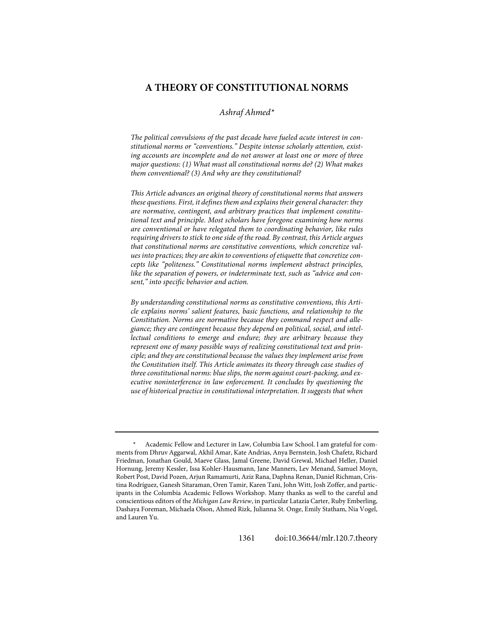# **A THEORY OF CONSTITUTIONAL NORMS**

# *Ashraf Ahmed[\\*](#page-0-0)*

*The political convulsions of the past decade have fueled acute interest in constitutional norms or "conventions." Despite intense scholarly attention, existing accounts are incomplete and do not answer at least one or more of three major questions: (1) What must all constitutional norms do? (2) What makes them conventional? (3) And why are they constitutional?*

*This Article advances an original theory of constitutional norms that answers these questions. First, it defines them and explains their general character: they are normative, contingent, and arbitrary practices that implement constitutional text and principle. Most scholars have foregone examining how norms are conventional or have relegated them to coordinating behavior, like rules requiring drivers to stick to one side of the road. By contrast, this Article argues that constitutional norms are constitutive conventions, which concretize values into practices; they are akin to conventions of etiquette that concretize concepts like "politeness." Constitutional norms implement abstract principles, like the separation of powers, or indeterminate text, such as "advice and consent," into specific behavior and action.*

*By understanding constitutional norms as constitutive conventions, this Article explains norms' salient features, basic functions, and relationship to the Constitution. Norms are normative because they command respect and allegiance; they are contingent because they depend on political, social, and intellectual conditions to emerge and endure; they are arbitrary because they represent one of many possible ways of realizing constitutional text and principle; and they are constitutional because the values they implement arise from the Constitution itself. This Article animates its theory through case studies of three constitutional norms: blue slips, the norm against court-packing, and executive noninterference in law enforcement. It concludes by questioning the use of historical practice in constitutional interpretation. It suggests that when* 

1361 doi[:10.36644/mlr.120.7.theory](https://doi.org/10.36644/mlr.120.7.theory)

<span id="page-0-0"></span>*<sup>\*</sup>* Academic Fellow and Lecturer in Law, Columbia Law School. I am grateful for comments from Dhruv Aggarwal, Akhil Amar, Kate Andrias, Anya Bernstein, Josh Chafetz, Richard Friedman, Jonathan Gould, Maeve Glass, Jamal Greene, David Grewal, Michael Heller, Daniel Hornung, Jeremy Kessler, Issa Kohler-Hausmann, Jane Manners, Lev Menand, Samuel Moyn, Robert Post, David Pozen, Arjun Ramamurti, Aziz Rana, Daphna Renan, Daniel Richman, Cristina Rodríguez, Ganesh Sitaraman, Oren Tamir, Karen Tani, John Witt, Josh Zoffer, and participants in the Columbia Academic Fellows Workshop. Many thanks as well to the careful and conscientious editors of the *Michigan Law Review*, in particular Latazia Carter, Ruby Emberling, Dashaya Foreman, Michaela Olson, Ahmed Rizk, Julianna St. Onge, Emily Statham, Nia Vogel, and Lauren Yu.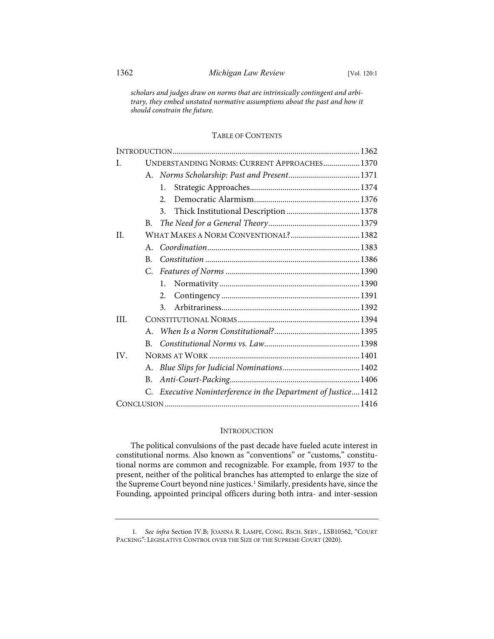*scholars and judges draw on norms that are intrinsically contingent and arbitrary, they embed unstated normative assumptions about the past and how it should constrain the future.*

# TABLE OF CONTENTS

| T.   |         | UNDERSTANDING NORMS: CURRENT APPROACHES 1370                  |
|------|---------|---------------------------------------------------------------|
|      |         |                                                               |
|      |         | 1.                                                            |
|      |         | 2.                                                            |
|      |         | 3.                                                            |
|      | В.      |                                                               |
| H.   |         | WHAT MAKES A NORM CONVENTIONAL? 1382                          |
|      | $A_{-}$ |                                                               |
|      | B.      |                                                               |
|      | C.      |                                                               |
|      |         | 1.                                                            |
|      |         | 2.                                                            |
|      |         | 3.                                                            |
| III. |         |                                                               |
|      | $A_{-}$ |                                                               |
|      | B.      |                                                               |
| IV.  |         |                                                               |
|      | A.      |                                                               |
|      | В.      |                                                               |
|      |         | C. Executive Noninterference in the Department of Justice1412 |
|      |         |                                                               |

# **INTRODUCTION**

The political convulsions of the past decade have fueled acute interest in constitutional norms. Also known as "conventions" or "customs," constitutional norms are common and recognizable. For example, from 1937 to the present, neither of the political branches has attempted to enlarge the size of the Supreme Court beyond nine justices.<sup>[1](#page-1-0)</sup> Similarly, presidents have, since the Founding, appointed principal officers during both intra- and inter-session

<span id="page-1-0"></span> <sup>1.</sup> *See infra* Section IV.B; JOANNA R. LAMPE, CONG. RSCH. SERV., LSB10562, "COURT PACKING": LEGISLATIVE CONTROL OVER THE SIZE OF THE SUPREME COURT (2020).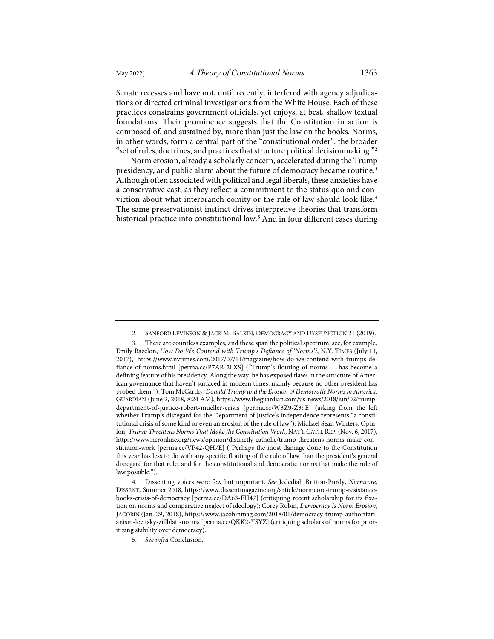Senate recesses and have not, until recently, interfered with agency adjudications or directed criminal investigations from the White House. Each of these practices constrains government officials, yet enjoys, at best, shallow textual foundations. Their prominence suggests that the Constitution in action is composed of, and sustained by, more than just the law on the books. Norms, in other words, form a central part of the "constitutional order": the broader

<span id="page-2-4"></span>"set of rules, doctrines, and practices that structure political decisionmaking."[2](#page-2-0) Norm erosion, already a scholarly concern, accelerated during the Trump presidency, and public alarm about the future of democracy became routine.<sup>[3](#page-2-1)</sup> Although often associated with political and legal liberals, these anxieties have a conservative cast, as they reflect a commitment to the status quo and con-viction about what interbranch comity or the rule of law should look like.<sup>[4](#page-2-2)</sup> The same preservationist instinct drives interpretive theories that transform historical practice into constitutional law.<sup>[5](#page-2-3)</sup> And in four different cases during

<span id="page-2-3"></span><span id="page-2-2"></span> 4. Dissenting voices were few but important. *See* Jedediah Britton-Purdy, *Normcore*, DISSENT, Summer 2018, [https://www.dissentmagazine.org/article/normcore-trump-resistance](https://www.dissentmagazine.org/article/normcore-trump-resistance-books-crisis-of-democracy)[books-crisis-of-democracy](https://www.dissentmagazine.org/article/normcore-trump-resistance-books-crisis-of-democracy) [\[perma.cc/DA63-FH47\]](https://perma.cc/DA63-FH47) (critiquing recent scholarship for its fixation on norms and comparative neglect of ideology); Corey Robin, *Democracy Is Norm Erosion*, JACOBIN (Jan. 29, 2018), [https://www.jacobinmag.com/2018/01/democracy-trump-authoritari](https://www.jacobinmag.com/2018/01/democracy-trump-authoritarianism-levitsky-zillblatt-norms)[anism-levitsky-zillblatt-norms](https://www.jacobinmag.com/2018/01/democracy-trump-authoritarianism-levitsky-zillblatt-norms) [\[perma.cc/QKK2-YSYZ\]](https://perma.cc/QKK2-YSYZ) (critiquing scholars of norms for prioritizing stability over democracy).

 <sup>2.</sup> SANFORD LEVINSON & JACK M. BALKIN, DEMOCRACY AND DYSFUNCTION 21 (2019).

<span id="page-2-1"></span><span id="page-2-0"></span>There are countless examples, and these span the political spectrum: see, for example, Emily Bazelon, *How Do We Contend with Trump's Defiance of 'Norms'?*, N.Y. TIMES (July 11, 2017), [https://www.nytimes.com/2017/07/11/magazine/how-do-we-contend-with-trumps-de](https://www.nytimes.com/2017/07/11/magazine/how-do-we-contend-with-trumps-defiance-of-norms.html)[fiance-of-norms.html](https://www.nytimes.com/2017/07/11/magazine/how-do-we-contend-with-trumps-defiance-of-norms.html) [\[perma.cc/P7AR-2LXS\]](https://perma.cc/P7AR-2LXS) ("Trump's flouting of norms . . . has become a defining feature of his presidency. Along the way, he has exposed flaws in the structure of American governance that haven't surfaced in modern times, mainly because no other president has probed them."); Tom McCarthy, *Donald Trump and the Erosion of Democratic Norms in America*, GUARDIAN (June 2, 2018, 8:24 AM)[, https://www.theguardian.com/us-news/2018/jun/02/trump](https://www.theguardian.com/us-news/2018/jun/02/trump-department-of-justice-robert-mueller-crisis)[department-of-justice-robert-mueller-crisis](https://www.theguardian.com/us-news/2018/jun/02/trump-department-of-justice-robert-mueller-crisis) [\[perma.cc/W3Z9-Z39E\]](https://perma.cc/W3Z9-Z39E) (asking from the left whether Trump's disregard for the Department of Justice's independence represents "a constitutional crisis of some kind or even an erosion of the rule of law"); Michael Sean Winters, Opinion, *Trump Threatens Norms That Make the Constitution Work*, NAT'L CATH.REP. (Nov. 6, 2017), [https://www.ncronline.org/news/opinion/distinctly-catholic/trump-threatens-norms-make-con](https://www.ncronline.org/news/opinion/distinctly-catholic/trump-threatens-norms-make-constitution-work)[stitution-work](https://www.ncronline.org/news/opinion/distinctly-catholic/trump-threatens-norms-make-constitution-work) [\[perma.cc/VP42-QH7E\]](https://perma.cc/VP42-QH7E) ("Perhaps the most damage done to the Constitution this year has less to do with any specific flouting of the rule of law than the president's general disregard for that rule, and for the constitutional and democratic norms that make the rule of law possible.").

 <sup>5.</sup> *See infra* Conclusion.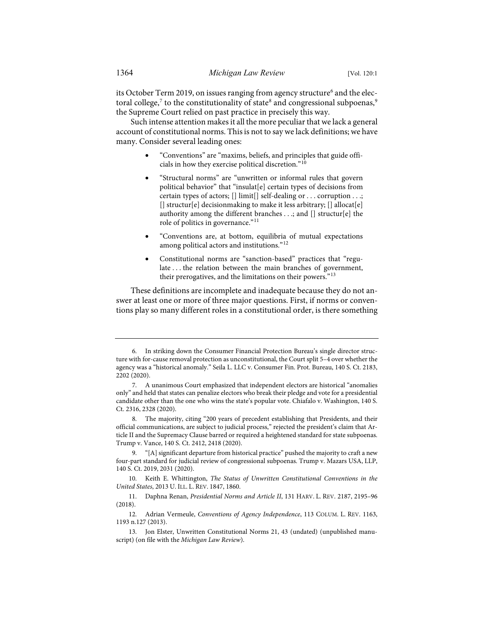its October Term 2019, on issues ranging from agency structure<sup>[6](#page-3-0)</sup> and the electoral college, $^7$  $^7$  to the constitutionality of state $^8$  and congressional subpoenas, $^9$  $^9$ the Supreme Court relied on past practice in precisely this way.

Such intense attention makes it all the more peculiar that we lack a general account of constitutional norms. This is not to say we lack definitions; we have many. Consider several leading ones:

- <span id="page-3-10"></span><span id="page-3-9"></span>• "Conventions" are "maxims, beliefs, and principles that guide officials in how they exercise political discretion."[10](#page-3-4)
- <span id="page-3-12"></span>• "Structural norms" are "unwritten or informal rules that govern political behavior" that "insulat[e] certain types of decisions from certain types of actors; [] limit[] self-dealing or . . . corruption . . .; [] structur[e] decisionmaking to make it less arbitrary; [] allocat[e] authority among the different branches . . .; and [] structur[e] the role of politics in governance."<sup>[11](#page-3-5)</sup>
- <span id="page-3-11"></span><span id="page-3-8"></span>• "Conventions are, at bottom, equilibria of mutual expectations among political actors and institutions."[12](#page-3-6)
- Constitutional norms are "sanction-based" practices that "regulate . . . the relation between the main branches of government, their prerogatives, and the limitations on their powers."<sup>[13](#page-3-7)</sup>

These definitions are incomplete and inadequate because they do not answer at least one or more of three major questions. First, if norms or conventions play so many different roles in a constitutional order, is there something

<span id="page-3-0"></span> <sup>6.</sup> In striking down the Consumer Financial Protection Bureau's single director structure with for-cause removal protection as unconstitutional, the Court split 5–4 over whether the agency was a "historical anomaly." Seila L. LLC v. Consumer Fin. Prot. Bureau, 140 S. Ct. 2183, 2202 (2020).

<span id="page-3-1"></span> <sup>7.</sup> A unanimous Court emphasized that independent electors are historical "anomalies only" and held that states can penalize electors who break their pledge and vote for a presidential candidate other than the one who wins the state's popular vote. Chiafalo v. Washington, 140 S. Ct. 2316, 2328 (2020).

<span id="page-3-2"></span> <sup>8.</sup> The majority, citing "200 years of precedent establishing that Presidents, and their official communications, are subject to judicial process," rejected the president's claim that Article II and the Supremacy Clause barred or required a heightened standard for state subpoenas. Trump v. Vance, 140 S. Ct. 2412, 2418 (2020).

<span id="page-3-3"></span> <sup>9. &</sup>quot;[A] significant departure from historical practice" pushed the majority to craft a new four-part standard for judicial review of congressional subpoenas. Trump v. Mazars USA, LLP, 140 S. Ct. 2019, 2031 (2020).

<span id="page-3-4"></span><sup>10.</sup> Keith E. Whittington, *The Status of Unwritten Constitutional Conventions in the United States*, 2013 U. ILL. L. REV. 1847, 1860.

<span id="page-3-5"></span><sup>11.</sup> Daphna Renan, *Presidential Norms and Article II*, 131 HARV. L. REV. 2187, 2195–96 (2018).

<span id="page-3-6"></span><sup>12.</sup> Adrian Vermeule, *Conventions of Agency Independence*, 113 COLUM. L. REV. 1163, 1193 n.127 (2013).

<span id="page-3-7"></span><sup>13.</sup> Jon Elster, Unwritten Constitutional Norms 21, 43 (undated) (unpublished manuscript) (on file with the *Michigan Law Review*).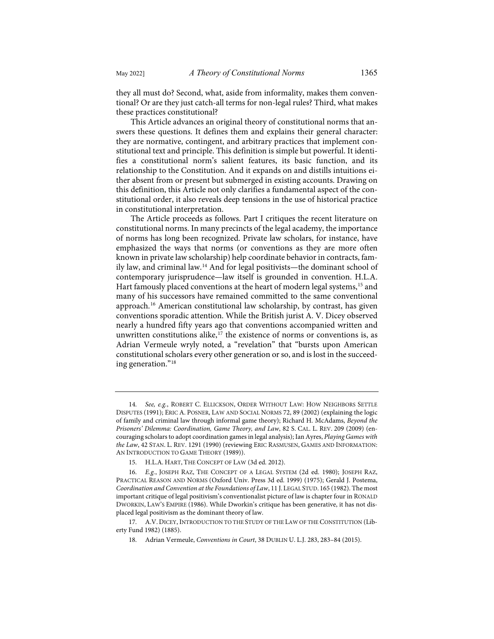they all must do? Second, what, aside from informality, makes them conventional? Or are they just catch-all terms for non-legal rules? Third, what makes these practices constitutional?

This Article advances an original theory of constitutional norms that answers these questions. It defines them and explains their general character: they are normative, contingent, and arbitrary practices that implement constitutional text and principle. This definition is simple but powerful. It identifies a constitutional norm's salient features, its basic function, and its relationship to the Constitution. And it expands on and distills intuitions either absent from or present but submerged in existing accounts. Drawing on this definition, this Article not only clarifies a fundamental aspect of the constitutional order, it also reveals deep tensions in the use of historical practice in constitutional interpretation.

<span id="page-4-8"></span><span id="page-4-7"></span>The Article proceeds as follows. Part I critiques the recent literature on constitutional norms. In many precincts of the legal academy, the importance of norms has long been recognized. Private law scholars, for instance, have emphasized the ways that norms (or conventions as they are more often known in private law scholarship) help coordinate behavior in contracts, family law, and criminal law.[14](#page-4-0) And for legal positivists—the dominant school of contemporary jurisprudence—law itself is grounded in convention. H.L.A. Hart famously placed conventions at the heart of modern legal systems,<sup>[15](#page-4-1)</sup> and many of his successors have remained committed to the same conventional approach[.16](#page-4-2) American constitutional law scholarship, by contrast, has given conventions sporadic attention. While the British jurist A. V. Dicey observed nearly a hundred fifty years ago that conventions accompanied written and unwritten constitutions alike, $17$  the existence of norms or conventions is, as Adrian Vermeule wryly noted, a "revelation" that "bursts upon American constitutional scholars every other generation or so, and is lost in the succeeding generation."[18](#page-4-4)

<span id="page-4-6"></span><span id="page-4-5"></span><span id="page-4-0"></span><sup>14.</sup> *See, e.g.*, ROBERT C. ELLICKSON, ORDER WITHOUT LAW: HOW NEIGHBORS SETTLE DISPUTES (1991); ERIC A. POSNER, LAW AND SOCIAL NORMS 72, 89 (2002) (explaining the logic of family and criminal law through informal game theory); Richard H. McAdams, *Beyond the Prisoners' Dilemma: Coordination, Game Theory, and Law*, 82 S. CAL. L. REV. 209 (2009) (encouraging scholars to adopt coordination games in legal analysis); Ian Ayres, *Playing Games with the Law*, 42 STAN. L. REV. 1291 (1990) (reviewing ERIC RASMUSEN, GAMES AND INFORMATION: AN INTRODUCTION TO GAME THEORY (1989)).

<sup>15.</sup> H.L.A. HART, THE CONCEPT OF LAW (3d ed. 2012).

<span id="page-4-2"></span><span id="page-4-1"></span><sup>16.</sup> *E.g.*, JOSEPH RAZ, THE CONCEPT OF A LEGAL SYSTEM (2d ed. 1980); JOSEPH RAZ, PRACTICAL REASON AND NORMS (Oxford Univ. Press 3d ed. 1999) (1975); Gerald J. Postema, *Coordination and Convention at the Foundations of Law*, 11 J. LEGAL STUD. 165 (1982). The most important critique of legal positivism's conventionalist picture of law is chapter four in RONALD DWORKIN, LAW'S EMPIRE (1986). While Dworkin's critique has been generative, it has not displaced legal positivism as the dominant theory of law.

<span id="page-4-4"></span><span id="page-4-3"></span><sup>17.</sup> A.V. DICEY, INTRODUCTION TO THE STUDY OF THE LAW OF THE CONSTITUTION (Liberty Fund 1982) (1885).

<sup>18.</sup> Adrian Vermeule, *Conventions in Court*, 38 DUBLIN U. L.J. 283, 283–84 (2015).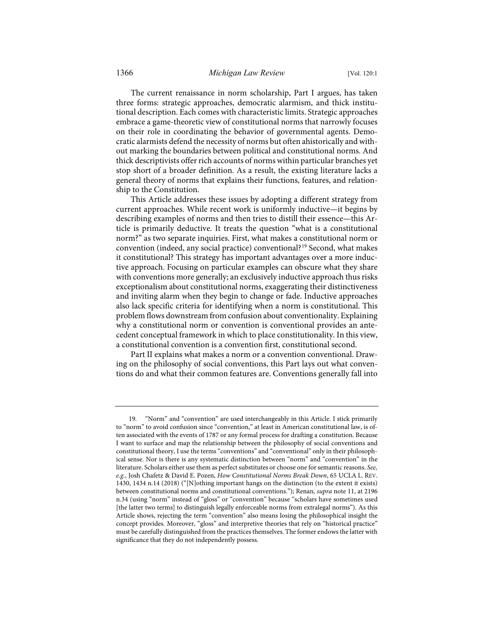The current renaissance in norm scholarship, Part I argues, has taken three forms: strategic approaches, democratic alarmism, and thick institutional description. Each comes with characteristic limits. Strategic approaches embrace a game-theoretic view of constitutional norms that narrowly focuses on their role in coordinating the behavior of governmental agents. Democratic alarmists defend the necessity of norms but often ahistorically and without marking the boundaries between political and constitutional norms. And thick descriptivists offer rich accounts of norms within particular branches yet stop short of a broader definition. As a result, the existing literature lacks a general theory of norms that explains their functions, features, and relationship to the Constitution.

<span id="page-5-1"></span>This Article addresses these issues by adopting a different strategy from current approaches. While recent work is uniformly inductive—it begins by describing examples of norms and then tries to distill their essence—this Article is primarily deductive. It treats the question "what is a constitutional norm?" as two separate inquiries. First, what makes a constitutional norm or convention (indeed, any social practice) conventional?[19](#page-5-0) Second, what makes it constitutional? This strategy has important advantages over a more inductive approach. Focusing on particular examples can obscure what they share with conventions more generally; an exclusively inductive approach thus risks exceptionalism about constitutional norms, exaggerating their distinctiveness and inviting alarm when they begin to change or fade. Inductive approaches also lack specific criteria for identifying when a norm is constitutional. This problem flows downstream from confusion about conventionality. Explaining why a constitutional norm or convention is conventional provides an antecedent conceptual framework in which to place constitutionality. In this view, a constitutional convention is a convention first, constitutional second.

Part II explains what makes a norm or a convention conventional. Drawing on the philosophy of social conventions, this Part lays out what conventions do and what their common features are. Conventions generally fall into

<span id="page-5-0"></span><sup>19. &</sup>quot;Norm" and "convention" are used interchangeably in this Article. I stick primarily to "norm" to avoid confusion since "convention," at least in American constitutional law, is often associated with the events of 1787 or any formal process for drafting a constitution. Because I want to surface and map the relationship between the philosophy of social conventions and constitutional theory, I use the terms "conventions" and "conventional" only in their philosophical sense. Nor is there is any systematic distinction between "norm" and "convention" in the literature. Scholars either use them as perfect substitutes or choose one for semantic reasons. *See, e.g.*, Josh Chafetz & David E. Pozen, *How Constitutional Norms Break Down*, 65 UCLA L. REV. 1430, 1434 n.14 (2018) ("[N]othing important hangs on the distinction (to the extent it exists) between constitutional norms and constitutional conventions."); Renan, *supra* not[e 11,](#page-3-8) at 2196 n.34 (using "norm" instead of "gloss" or "convention" because "scholars have sometimes used [the latter two terms] to distinguish legally enforceable norms from extralegal norms"). As this Article shows, rejecting the term "convention" also means losing the philosophical insight the concept provides. Moreover, "gloss" and interpretive theories that rely on "historical practice" must be carefully distinguished from the practices themselves. The former endows the latter with significance that they do not independently possess.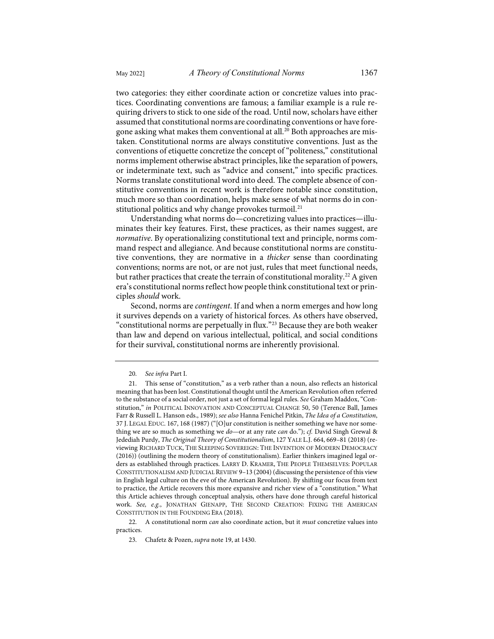two categories: they either coordinate action or concretize values into practices. Coordinating conventions are famous; a familiar example is a rule requiring drivers to stick to one side of the road. Until now, scholars have either assumed that constitutional norms are coordinating conventions or have foregone asking what makes them conventional at all.<sup>20</sup> Both approaches are mistaken. Constitutional norms are always constitutive conventions. Just as the conventions of etiquette concretize the concept of "politeness," constitutional norms implement otherwise abstract principles, like the separation of powers, or indeterminate text, such as "advice and consent," into specific practices. Norms translate constitutional word into deed. The complete absence of constitutive conventions in recent work is therefore notable since constitution, much more so than coordination, helps make sense of what norms do in con-stitutional politics and why change provokes turmoil.<sup>[21](#page-6-1)</sup>

Understanding what norms do—concretizing values into practices—illuminates their key features. First, these practices, as their names suggest, are *normative*. By operationalizing constitutional text and principle, norms command respect and allegiance. And because constitutional norms are constitutive conventions, they are normative in a *thicker* sense than coordinating conventions; norms are not, or are not just, rules that meet functional needs, but rather practices that create the terrain of constitutional morality.<sup>[22](#page-6-2)</sup> A given era's constitutional norms reflect how people think constitutional text or principles *should* work.

Second, norms are *contingent*. If and when a norm emerges and how long it survives depends on a variety of historical forces. As others have observed, "constitutional norms are perpetually in flux."[23](#page-6-3) Because they are both weaker than law and depend on various intellectual, political, and social conditions for their survival, constitutional norms are inherently provisional.

<span id="page-6-3"></span><span id="page-6-2"></span>22. A constitutional norm *can* also coordinate action, but it *must* concretize values into practices.

<sup>20.</sup> *See infra* Part I.

<span id="page-6-1"></span><span id="page-6-0"></span><sup>21.</sup> This sense of "constitution," as a verb rather than a noun, also reflects an historical meaning that has been lost. Constitutional thought until the American Revolution often referred to the substance of a social order, not just a set of formal legal rules. *See* Graham Maddox, "Constitution," *in* POLITICAL INNOVATION AND CONCEPTUAL CHANGE 50, 50 (Terence Ball, James Farr & Russell L. Hanson eds., 1989); *see also* Hanna Fenichel Pitkin, *The Idea of a Constitution*, 37 J. LEGAL EDUC. 167, 168 (1987) ("[O]ur constitution is neither something we have nor something we are so much as something we *do*—or at any rate *can* do."); *cf.* David Singh Grewal & Jedediah Purdy, *The Original Theory of Constitutionalism*, 127 YALE L.J. 664, 669–81 (2018) (reviewing RICHARD TUCK, THE SLEEPING SOVEREIGN: THE INVENTION OF MODERN DEMOCRACY (2016)) (outlining the modern theory of constitutionalism). Earlier thinkers imagined legal orders as established through practices. LARRY D. KRAMER, THE PEOPLE THEMSELVES: POPULAR CONSTITUTIONALISM AND JUDICIAL REVIEW 9–13 (2004) (discussing the persistence of this view in English legal culture on the eve of the American Revolution). By shifting our focus from text to practice, the Article recovers this more expansive and richer view of a "constitution." What this Article achieves through conceptual analysis, others have done through careful historical work. *See, e.g.*, JONATHAN GIENAPP, THE SECOND CREATION: FIXING THE AMERICAN CONSTITUTION IN THE FOUNDING ERA (2018).

<sup>23.</sup> Chafetz & Pozen, *supra* note [19,](#page-5-1) at 1430.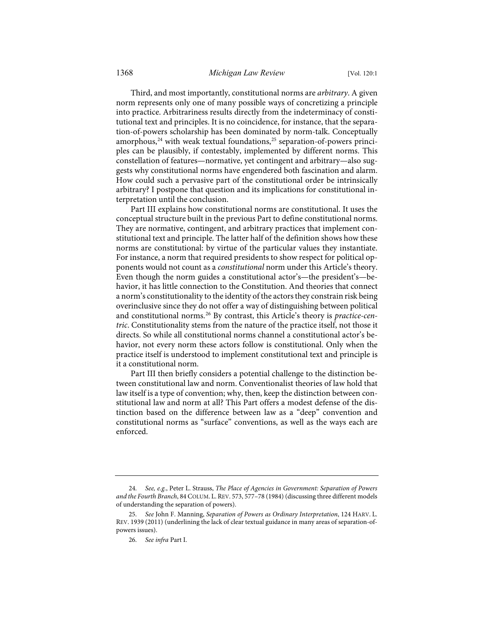<span id="page-7-3"></span>Third, and most importantly, constitutional norms are *arbitrary*. A given norm represents only one of many possible ways of concretizing a principle into practice. Arbitrariness results directly from the indeterminacy of constitutional text and principles. It is no coincidence, for instance, that the separation-of-powers scholarship has been dominated by norm-talk. Conceptually amorphous,<sup>[24](#page-7-0)</sup> with weak textual foundations,<sup>25</sup> separation-of-powers principles can be plausibly, if contestably, implemented by different norms. This constellation of features—normative, yet contingent and arbitrary—also suggests why constitutional norms have engendered both fascination and alarm. How could such a pervasive part of the constitutional order be intrinsically arbitrary? I postpone that question and its implications for constitutional interpretation until the conclusion.

Part III explains how constitutional norms are constitutional. It uses the conceptual structure built in the previous Part to define constitutional norms. They are normative, contingent, and arbitrary practices that implement constitutional text and principle. The latter half of the definition shows how these norms are constitutional: by virtue of the particular values they instantiate. For instance, a norm that required presidents to show respect for political opponents would not count as a *constitutional* norm under this Article's theory. Even though the norm guides a constitutional actor's—the president's—behavior, it has little connection to the Constitution. And theories that connect a norm's constitutionality to the identity of the actors they constrain risk being overinclusive since they do not offer a way of distinguishing between political and constitutional norms.[26](#page-7-2) By contrast, this Article's theory is *practice-centric*. Constitutionality stems from the nature of the practice itself, not those it directs. So while all constitutional norms channel a constitutional actor's behavior, not every norm these actors follow is constitutional. Only when the practice itself is understood to implement constitutional text and principle is it a constitutional norm.

Part III then briefly considers a potential challenge to the distinction between constitutional law and norm. Conventionalist theories of law hold that law itself is a type of convention; why, then, keep the distinction between constitutional law and norm at all? This Part offers a modest defense of the distinction based on the difference between law as a "deep" convention and constitutional norms as "surface" conventions, as well as the ways each are enforced.

<span id="page-7-0"></span><sup>24.</sup> *See, e.g.*, Peter L. Strauss, *The Place of Agencies in Government: Separation of Powers and the Fourth Branch*, 84 COLUM. L.REV. 573, 577–78 (1984) (discussing three different models of understanding the separation of powers).

<span id="page-7-2"></span><span id="page-7-1"></span><sup>25.</sup> *See* John F. Manning, *Separation of Powers as Ordinary Interpretation*, 124 HARV. L. REV. 1939 (2011) (underlining the lack of clear textual guidance in many areas of separation-ofpowers issues).

<sup>26.</sup> *See infra* Part I.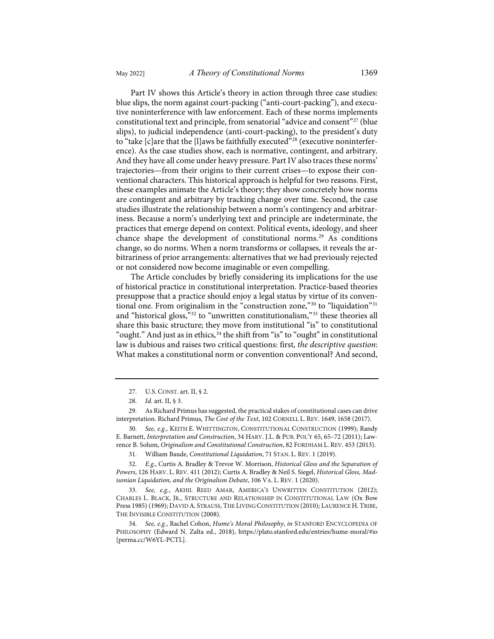Part IV shows this Article's theory in action through three case studies: blue slips, the norm against court-packing ("anti-court-packing"), and executive noninterference with law enforcement. Each of these norms implements constitutional text and principle, from senatorial "advice and consent"<sup>[27](#page-8-0)</sup> (blue slips), to judicial independence (anti-court-packing), to the president's duty to "take  $[c]$ are that the  $[l]$ aws be faithfully executed"<sup>[28](#page-8-1)</sup> (executive noninterference). As the case studies show, each is normative, contingent, and arbitrary. And they have all come under heavy pressure. Part IV also traces these norms' trajectories—from their origins to their current crises—to expose their conventional characters. This historical approach is helpful for two reasons. First, these examples animate the Article's theory; they show concretely how norms are contingent and arbitrary by tracking change over time. Second, the case studies illustrate the relationship between a norm's contingency and arbitrariness. Because a norm's underlying text and principle are indeterminate, the practices that emerge depend on context. Political events, ideology, and sheer chance shape the development of constitutional norms.<sup>[29](#page-8-2)</sup> As conditions change, so do norms. When a norm transforms or collapses, it reveals the arbitrariness of prior arrangements: alternatives that we had previously rejected

<span id="page-8-11"></span><span id="page-8-10"></span><span id="page-8-9"></span>The Article concludes by briefly considering its implications for the use of historical practice in constitutional interpretation. Practice-based theories presuppose that a practice should enjoy a legal status by virtue of its conventional one. From originalism in the "construction zone,"[30](#page-8-3) to "liquidation"[31](#page-8-4) and "historical gloss,"[32](#page-8-5) to "unwritten constitutionalism,"[33](#page-8-6) these theories all share this basic structure; they move from institutional "is" to constitutional "ought." And just as in ethics,  $34$  the shift from "is" to "ought" in constitutional law is dubious and raises two critical questions: first, *the descriptive question*: What makes a constitutional norm or convention conventional? And second,

or not considered now become imaginable or even compelling.

<span id="page-8-3"></span>30. *See, e.g.*, KEITH E. WHITTINGTON, CONSTITUTIONAL CONSTRUCTION (1999); Randy E. Barnett, *Interpretation and Construction*, 34 HARV. J.L. & PUB. POL'Y 65, 65–72 (2011); Lawrence B. Solum, *Originalism and Constitutional Construction*, 82 FORDHAM L. REV. 453 (2013).

31. William Baude, *Constitutional Liquidation*, 71 STAN. L. REV. 1 (2019).

<span id="page-8-5"></span><span id="page-8-4"></span>32. *E.g.*, Curtis A. Bradley & Trevor W. Morrison, *Historical Gloss and the Separation of Powers*, 126 HARV. L. REV. 411 (2012); Curtis A. Bradley & Neil S. Siegel, *Historical Gloss, Madisonian Liquidation, and the Originalism Debate*, 106 VA. L. REV. 1 (2020).

<span id="page-8-6"></span>33. *See, e.g.*, AKHIL REED AMAR, AMERICA'S UNWRITTEN CONSTITUTION (2012); CHARLES L. BLACK, JR., STRUCTURE AND RELATIONSHIP IN CONSTITUTIONAL LAW (Ox Bow Press 1985) (1969); DAVID A. STRAUSS, THE LIVING CONSTITUTION (2010); LAURENCE H.TRIBE, THE INVISIBLE CONSTITUTION (2008).

<span id="page-8-7"></span>34. *See, e.g.*, Rachel Cohon, *Hume's Moral Philosophy*, *in* STANFORD ENCYCLOPEDIA OF PHILOSOPHY (Edward N. Zalta ed., 2018),<https://plato.stanford.edu/entries/hume-moral/#io> [\[perma.cc/W6YL-PCTL\]](https://perma.cc/W6YL-PCTL).

<span id="page-8-8"></span><sup>27.</sup> U.S. CONST. art. II, § 2.

<sup>28.</sup> *Id.* art. II, § 3.

<span id="page-8-2"></span><span id="page-8-1"></span><span id="page-8-0"></span><sup>29.</sup> As Richard Primus has suggested, the practical stakes of constitutional cases can drive interpretation. Richard Primus, *The Cost of the Text*, 102 CORNELL L. REV. 1649, 1658 (2017).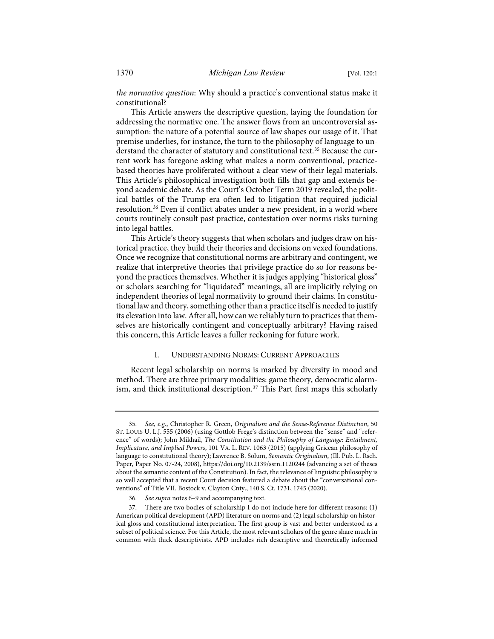*the normative question*: Why should a practice's conventional status make it constitutional?

<span id="page-9-4"></span>This Article answers the descriptive question, laying the foundation for addressing the normative one. The answer flows from an uncontroversial assumption: the nature of a potential source of law shapes our usage of it. That premise underlies, for instance, the turn to the philosophy of language to un-derstand the character of statutory and constitutional text.<sup>[35](#page-9-0)</sup> Because the current work has foregone asking what makes a norm conventional, practicebased theories have proliferated without a clear view of their legal materials. This Article's philosophical investigation both fills that gap and extends beyond academic debate. As the Court's October Term 2019 revealed, the political battles of the Trump era often led to litigation that required judicial resolution.[36](#page-9-1) Even if conflict abates under a new president, in a world where courts routinely consult past practice, contestation over norms risks turning into legal battles.

This Article's theory suggests that when scholars and judges draw on historical practice, they build their theories and decisions on vexed foundations. Once we recognize that constitutional norms are arbitrary and contingent, we realize that interpretive theories that privilege practice do so for reasons beyond the practices themselves. Whether it is judges applying "historical gloss" or scholars searching for "liquidated" meanings, all are implicitly relying on independent theories of legal normativity to ground their claims. In constitutional law and theory, something other than a practice itself is needed to justify its elevation into law. After all, how can we reliably turn to practices that themselves are historically contingent and conceptually arbitrary? Having raised this concern, this Article leaves a fuller reckoning for future work.

# <span id="page-9-3"></span>I. UNDERSTANDING NORMS: CURRENT APPROACHES

Recent legal scholarship on norms is marked by diversity in mood and method. There are three primary modalities: game theory, democratic alarm-ism, and thick institutional description.<sup>[37](#page-9-2)</sup> This Part first maps this scholarly

<span id="page-9-0"></span><sup>35.</sup> *See, e.g.*, Christopher R. Green, *Originalism and the Sense-Reference Distinction*, 50 ST. LOUIS U. L.J. 555 (2006) (using Gottlob Frege's distinction between the "sense" and "reference" of words); John Mikhail, *The Constitution and the Philosophy of Language: Entailment, Implicature, and Implied Powers*, 101 VA. L. REV. 1063 (2015) (applying Gricean philosophy of language to constitutional theory); Lawrence B. Solum, *Semantic Originalism*, (Ill. Pub. L. Rsch. Paper, Paper No. 07-24, 2008), [https://doi.org/10.2139/ssrn.1120244](https://dx.doi.org/10.2139/ssrn.1120244) (advancing a set of theses about the semantic content of the Constitution). In fact, the relevance of linguistic philosophy is so well accepted that a recent Court decision featured a debate about the "conversational conventions" of Title VII. Bostock v. Clayton Cnty., 140 S. Ct. 1731, 1745 (2020).

<sup>36.</sup> *See supra* note[s 6](#page-3-9)[–9](#page-3-10) and accompanying text.

<span id="page-9-2"></span><span id="page-9-1"></span><sup>37.</sup> There are two bodies of scholarship I do not include here for different reasons: (1) American political development (APD) literature on norms and (2) legal scholarship on historical gloss and constitutional interpretation. The first group is vast and better understood as a subset of political science. For this Article, the most relevant scholars of the genre share much in common with thick descriptivists. APD includes rich descriptive and theoretically informed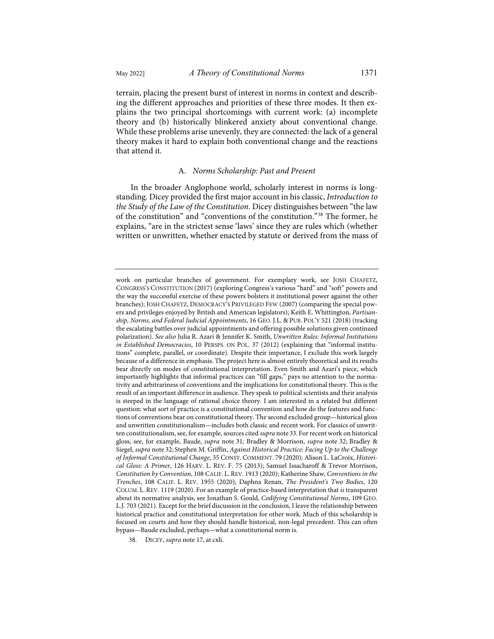terrain, placing the present burst of interest in norms in context and describing the different approaches and priorities of these three modes. It then explains the two principal shortcomings with current work: (a) incomplete theory and (b) historically blinkered anxiety about conventional change. While these problems arise unevenly, they are connected: the lack of a general theory makes it hard to explain both conventional change and the reactions that attend it.

#### A. *Norms Scholarship: Past and Present*

In the broader Anglophone world, scholarly interest in norms is longstanding. Dicey provided the first major account in his classic, *Introduction to the Study of the Law of the Constitution*. Dicey distinguishes between "the law of the constitution" and "conventions of the constitution."[38](#page-10-0) The former, he explains, "are in the strictest sense 'laws' since they are rules which (whether written or unwritten, whether enacted by statute or derived from the mass of

work on particular branches of government. For exemplary work, see JOSH CHAFETZ, CONGRESS'S CONSTITUTION (2017) (exploring Congress's various "hard" and "soft" powers and the way the successful exercise of these powers bolsters it institutional power against the other branches); JOSH CHAFETZ, DEMOCRACY'S PRIVILEGED FEW (2007) (comparing the special powers and privileges enjoyed by British and American legislators); Keith E. Whittington, *Partisanship, Norms, and Federal Judicial Appointments*, 16 GEO. J.L. & PUB. POL'Y 521 (2018) (tracking the escalating battles over judicial appointments and offering possible solutions given continued polarization). *See also* Julia R. Azari & Jennifer K. Smith, *Unwritten Rules: Informal Institutions in Established Democracies*, 10 PERSPS. ON POL. 37 (2012) (explaining that "informal institutions" complete, parallel, or coordinate). Despite their importance, I exclude this work largely because of a difference in emphasis. The project here is almost entirely theoretical and its results bear directly on modes of constitutional interpretation. Even Smith and Azari's piece, which importantly highlights that informal practices can "fill gaps," pays no attention to the normativity and arbitrariness of conventions and the implications for constitutional theory. This is the result of an important difference in audience. They speak to political scientists and their analysis is steeped in the language of rational choice theory. I am interested in a related but different question: what sort of practice is a constitutional convention and how do the features and functions of conventions bear on constitutional theory. The second excluded group—historical gloss and unwritten constitutionalism—includes both classic and recent work. For classics of unwritten constitutionalism, see, for example, sources cited *supra* note [33.](#page-8-8) For recent work on historical gloss, see, for example, Baude, *supra* note [31;](#page-8-9) Bradley & Morrison, *supra* note [32;](#page-8-10) Bradley & Siegel, *supra* note [32;](#page-8-10) Stephen M. Griffin, *Against Historical Practice: Facing Up to the Challenge of Informal Constitutional Change*, 35 CONST. COMMENT. 79 (2020); Alison L. LaCroix, *Historical Gloss: A Primer*, 126 HARV. L. REV. F. 75 (2013); Samuel Issacharoff & Trevor Morrison, *Constitution by Convention*, 108 CALIF. L. REV. 1913 (2020); Katherine Shaw, *Conventions in the Trenches*, 108 CALIF. L. REV. 1955 (2020); Daphna Renan, *The President's Two Bodies*, 120 COLUM. L. REV. 1119 (2020). For an example of practice-based interpretation that *is* transparent about its normative analysis, see Jonathan S. Gould, *Codifying Constitutional Norms*, 109 GEO. L.J. 703 (2021). Except for the brief discussion in the conclusion, I leave the relationship between historical practice and constitutional interpretation for other work. Much of this scholarship is focused on courts and how they should handle historical, non-legal precedent. This can often bypass—Baude excluded, perhaps—what a constitutional norm is.

<span id="page-10-0"></span><sup>38.</sup> DICEY, *supra* not[e 17,](#page-4-5) at cxli.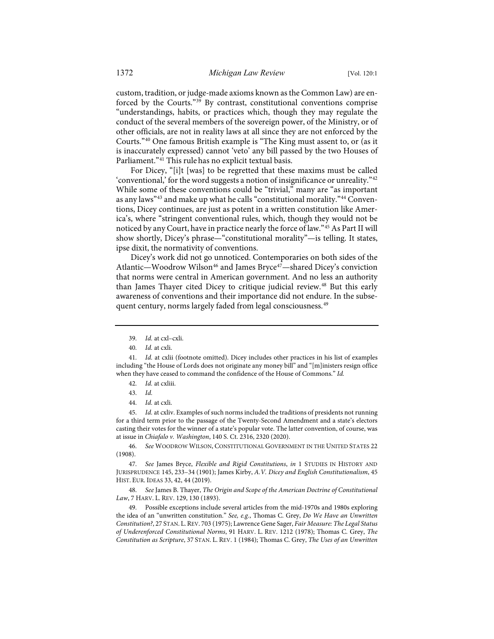custom, tradition, or judge-made axioms known as the Common Law) are enforced by the Courts."[39](#page-11-0) By contrast, constitutional conventions comprise "understandings, habits, or practices which, though they may regulate the conduct of the several members of the sovereign power, of the Ministry, or of other officials, are not in reality laws at all since they are not enforced by the Courts."[40](#page-11-1) One famous British example is "The King must assent to, or (as it is inaccurately expressed) cannot 'veto' any bill passed by the two Houses of Parliament."<sup>[41](#page-11-2)</sup> This rule has no explicit textual basis.

For Dicey, "[i]t [was] to be regretted that these maxims must be called 'conventional,' for the word suggests a notion of insignificance or unreality."[42](#page-11-3) While some of these conventions could be "trivial," many are "as important as any laws"[43](#page-11-4) and make up what he calls "constitutional morality."[44](#page-11-5) Conventions, Dicey continues, are just as potent in a written constitution like America's, where "stringent conventional rules, which, though they would not be noticed by any Court, have in practice nearly the force of law.["45](#page-11-6) As Part II will show shortly, Dicey's phrase—"constitutional morality"—is telling. It states, ipse dixit, the normativity of conventions.

Dicey's work did not go unnoticed. Contemporaries on both sides of the Atlantic—Woodrow Wilson<sup>[46](#page-11-7)</sup> and James Bryce<sup>47</sup>—shared Dicey's conviction that norms were central in American government. And no less an authority than James Thayer cited Dicey to critique judicial review.<sup>[48](#page-11-9)</sup> But this early awareness of conventions and their importance did not endure. In the subse-quent century, norms largely faded from legal consciousness.<sup>[49](#page-11-10)</sup>

<span id="page-11-6"></span><span id="page-11-5"></span><span id="page-11-4"></span>45. *Id.* at cxliv. Examples of such norms included the traditions of presidents not running for a third term prior to the passage of the Twenty-Second Amendment and a state's electors casting their votes for the winner of a state's popular vote. The latter convention, of course, was at issue in *Chiafalo v. Washington*, 140 S. Ct. 2316, 2320 (2020).

<span id="page-11-7"></span>46. *See* WOODROW WILSON, CONSTITUTIONAL GOVERNMENT IN THE UNITED STATES 22 (1908).

<span id="page-11-8"></span>47. *See* James Bryce, *Flexible and Rigid Constitutions*, *in* 1 STUDIES IN HISTORY AND JURISPRUDENCE 145, 233–34 (1901); James Kirby, *A.V. Dicey and English Constitutionalism*, 45 HIST. EUR. IDEAS 33, 42, 44 (2019).

<span id="page-11-9"></span>48. *See* James B. Thayer, *The Origin and Scope of the American Doctrine of Constitutional Law*, 7 HARV. L. REV. 129, 130 (1893).

<span id="page-11-10"></span>49. Possible exceptions include several articles from the mid-1970s and 1980s exploring the idea of an "unwritten constitution." *See, e.g.*, Thomas C. Grey, *Do We Have an Unwritten Constitution?*, 27 STAN. L.REV. 703 (1975); Lawrence Gene Sager, *Fair Measure: The Legal Status of Underenforced Constitutional Norms*, 91 HARV. L. REV. 1212 (1978); Thomas C. Grey, *The Constitution as Scripture*, 37 STAN. L. REV. 1 (1984); Thomas C. Grey, *The Uses of an Unwritten* 

<sup>39.</sup> *Id.* at cxl–cxli.

<sup>40.</sup> *Id.* at cxli.

<span id="page-11-3"></span><span id="page-11-2"></span><span id="page-11-1"></span><span id="page-11-0"></span><sup>41.</sup> *Id.* at cxlii (footnote omitted). Dicey includes other practices in his list of examples including "the House of Lords does not originate any money bill" and "[m]inisters resign office when they have ceased to command the confidence of the House of Commons." *Id.*

<sup>42.</sup> *Id.* at cxliii.

<sup>43.</sup> *Id.*

<sup>44.</sup> *Id.* at cxli.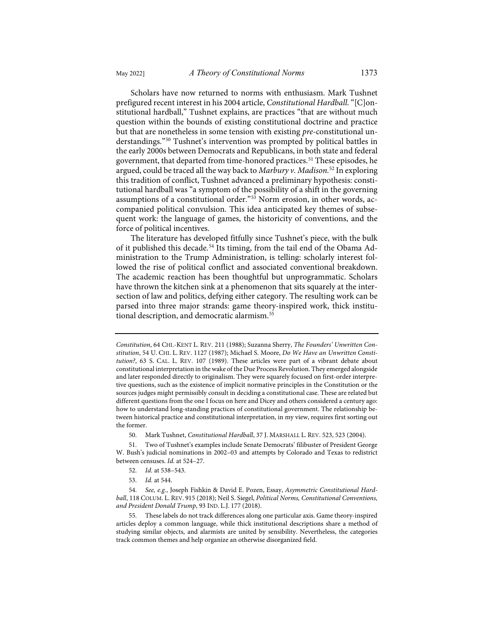Scholars have now returned to norms with enthusiasm. Mark Tushnet prefigured recent interest in his 2004 article, *Constitutional Hardball*. "[C]onstitutional hardball," Tushnet explains, are practices "that are without much question within the bounds of existing constitutional doctrine and practice but that are nonetheless in some tension with existing *pre*-constitutional understandings."[50](#page-12-0) Tushnet's intervention was prompted by political battles in the early 2000s between Democrats and Republicans, in both state and federal government, that departed from time-honored practices.<sup>[51](#page-12-1)</sup> These episodes, he argued, could be traced all the way back to *Marbury v. Madison*. [52](#page-12-2) In exploring this tradition of conflict, Tushnet advanced a preliminary hypothesis: constitutional hardball was "a symptom of the possibility of a shift in the governing assumptions of a constitutional order."[53](#page-12-3) Norm erosion, in other words, accompanied political convulsion. This idea anticipated key themes of subsequent work: the language of games, the historicity of conventions, and the force of political incentives.

<span id="page-12-6"></span>The literature has developed fitfully since Tushnet's piece, with the bulk of it published this decade.<sup>[54](#page-12-4)</sup> Its timing, from the tail end of the Obama Administration to the Trump Administration, is telling: scholarly interest followed the rise of political conflict and associated conventional breakdown. The academic reaction has been thoughtful but unprogrammatic. Scholars have thrown the kitchen sink at a phenomenon that sits squarely at the intersection of law and politics, defying either category. The resulting work can be parsed into three major strands: game theory-inspired work, thick institutional description, and democratic alarmism.[55](#page-12-5)

50. Mark Tushnet, *Constitutional Hardball*, 37 J. MARSHALL L. REV. 523, 523 (2004).

<span id="page-12-1"></span><span id="page-12-0"></span>51. Two of Tushnet's examples include Senate Democrats' filibuster of President George W. Bush's judicial nominations in 2002–03 and attempts by Colorado and Texas to redistrict between censuses. *Id.* at 524–27.

- 52. *Id.* at 538–543.
- 53. *Id.* at 544.

*Constitution*, 64 CHI.-KENT L. REV. 211 (1988); Suzanna Sherry, *The Founders' Unwritten Constitution*, 54 U. CHI. L. REV. 1127 (1987); Michael S. Moore, *Do We Have an Unwritten Constitution?*, 63 S. CAL. L. REV. 107 (1989). These articles were part of a vibrant debate about constitutional interpretation in the wake of the Due Process Revolution. They emerged alongside and later responded directly to originalism. They were squarely focused on first-order interpretive questions, such as the existence of implicit normative principles in the Constitution or the sources judges might permissibly consult in deciding a constitutional case. These are related but different questions from the one I focus on here and Dicey and others considered a century ago: how to understand long-standing practices of constitutional government. The relationship between historical practice and constitutional interpretation, in my view, requires first sorting out the former.

<span id="page-12-4"></span><span id="page-12-3"></span><span id="page-12-2"></span><sup>54.</sup> *See, e.g.*, Joseph Fishkin & David E. Pozen, Essay, *Asymmetric Constitutional Hardball*, 118 COLUM. L. REV. 915 (2018); Neil S. Siegel, *Political Norms, Constitutional Conventions, and President Donald Trump*, 93 IND. L.J. 177 (2018).

<span id="page-12-5"></span><sup>55.</sup> These labels do not track differences along one particular axis. Game theory-inspired articles deploy a common language, while thick institutional descriptions share a method of studying similar objects, and alarmists are united by sensibility. Nevertheless, the categories track common themes and help organize an otherwise disorganized field.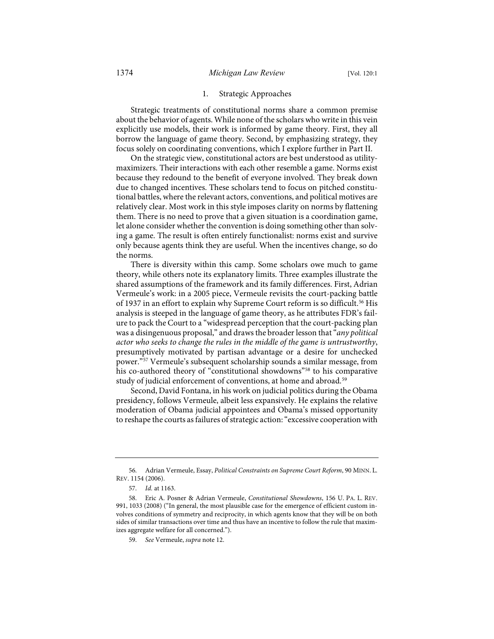# 1. Strategic Approaches

Strategic treatments of constitutional norms share a common premise about the behavior of agents. While none of the scholars who write in this vein explicitly use models, their work is informed by game theory. First, they all borrow the language of game theory. Second, by emphasizing strategy, they focus solely on coordinating conventions, which I explore further in Part II.

On the strategic view, constitutional actors are best understood as utilitymaximizers. Their interactions with each other resemble a game. Norms exist because they redound to the benefit of everyone involved. They break down due to changed incentives. These scholars tend to focus on pitched constitutional battles, where the relevant actors, conventions, and political motives are relatively clear. Most work in this style imposes clarity on norms by flattening them. There is no need to prove that a given situation is a coordination game, let alone consider whether the convention is doing something other than solving a game. The result is often entirely functionalist: norms exist and survive only because agents think they are useful. When the incentives change, so do the norms.

There is diversity within this camp. Some scholars owe much to game theory, while others note its explanatory limits. Three examples illustrate the shared assumptions of the framework and its family differences. First, Adrian Vermeule's work: in a 2005 piece, Vermeule revisits the court-packing battle of 1937 in an effort to explain why Supreme Court reform is so difficult.<sup>[56](#page-13-0)</sup> His analysis is steeped in the language of game theory, as he attributes FDR's failure to pack the Court to a "widespread perception that the court-packing plan was a disingenuous proposal," and draws the broader lesson that "*any political actor who seeks to change the rules in the middle of the game is untrustworthy*, presumptively motivated by partisan advantage or a desire for unchecked power.["57](#page-13-1) Vermeule's subsequent scholarship sounds a similar message, from his co-authored theory of "constitutional showdowns"<sup>[58](#page-13-2)</sup> to his comparative study of judicial enforcement of conventions, at home and abroad.<sup>[59](#page-13-3)</sup>

Second, David Fontana, in his work on judicial politics during the Obama presidency, follows Vermeule, albeit less expansively. He explains the relative moderation of Obama judicial appointees and Obama's missed opportunity to reshape the courts as failures of strategic action: "excessive cooperation with

<span id="page-13-0"></span><sup>56.</sup> Adrian Vermeule, Essay, *Political Constraints on Supreme Court Reform*, 90 MINN. L. REV. 1154 (2006).

<sup>57.</sup> *Id.* at 1163.

<span id="page-13-3"></span><span id="page-13-2"></span><span id="page-13-1"></span><sup>58.</sup> Eric A. Posner & Adrian Vermeule, *Constitutional Showdowns*, 156 U. PA. L. REV. 991, 1033 (2008) ("In general, the most plausible case for the emergence of efficient custom involves conditions of symmetry and reciprocity, in which agents know that they will be on both sides of similar transactions over time and thus have an incentive to follow the rule that maximizes aggregate welfare for all concerned.").

<sup>59.</sup> *See* Vermeule, *supra* not[e 12.](#page-3-11)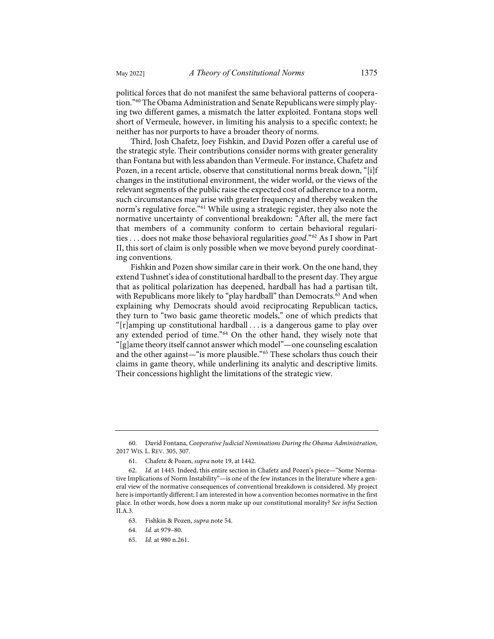political forces that do not manifest the same behavioral patterns of cooperation."[60](#page-14-0) The Obama Administration and Senate Republicans were simply playing two different games, a mismatch the latter exploited. Fontana stops well short of Vermeule, however, in limiting his analysis to a specific context; he neither has nor purports to have a broader theory of norms.

Third, Josh Chafetz, Joey Fishkin, and David Pozen offer a careful use of the strategic style. Their contributions consider norms with greater generality than Fontana but with less abandon than Vermeule. For instance, Chafetz and Pozen, in a recent article, observe that constitutional norms break down, "[i]f changes in the institutional environment, the wider world, or the views of the relevant segments of the public raise the expected cost of adherence to a norm, such circumstances may arise with greater frequency and thereby weaken the norm's regulative force."[61](#page-14-1) While using a strategic register, they also note the normative uncertainty of conventional breakdown: "After all, the mere fact that members of a community conform to certain behavioral regularities . . . does not make those behavioral regularities *good*."[62](#page-14-2) As I show in Part II, this sort of claim is only possible when we move beyond purely coordinating conventions.

Fishkin and Pozen show similar care in their work. On the one hand, they extend Tushnet's idea of constitutional hardball to the present day. They argue that as political polarization has deepened, hardball has had a partisan tilt, with Republicans more likely to "play hardball" than Democrats.<sup>[63](#page-14-3)</sup> And when explaining why Democrats should avoid reciprocating Republican tactics, they turn to "two basic game theoretic models," one of which predicts that "[r]amping up constitutional hardball . . . is a dangerous game to play over any extended period of time."[64](#page-14-4) On the other hand, they wisely note that "[g]ame theory itself cannot answer which model"—one counseling escalation and the other against—"is more plausible."[65](#page-14-5) These scholars thus couch their claims in game theory, while underlining its analytic and descriptive limits. Their concessions highlight the limitations of the strategic view.

- 63. Fishkin & Pozen, *supra* not[e 54.](#page-12-6)
- <span id="page-14-4"></span>64. *Id.* at 979–80.
- <span id="page-14-5"></span>65. *Id.* at 980 n.261.

<span id="page-14-0"></span><sup>60.</sup> David Fontana, *Cooperative Judicial Nominations During the Obama Administration*, 2017 WIS. L. REV. 305, 307.

<sup>61.</sup> Chafetz & Pozen, *supra* note [19,](#page-5-1) at 1442.

<span id="page-14-3"></span><span id="page-14-2"></span><span id="page-14-1"></span><sup>62.</sup> *Id.* at 1445. Indeed, this entire section in Chafetz and Pozen's piece—"Some Normative Implications of Norm Instability"—is one of the few instances in the literature where a general view of the normative consequences of conventional breakdown is considered. My project here is importantly different; I am interested in how a convention becomes normative in the first place. In other words, how does a norm make up our constitutional morality? *See infra* Section II.A.3.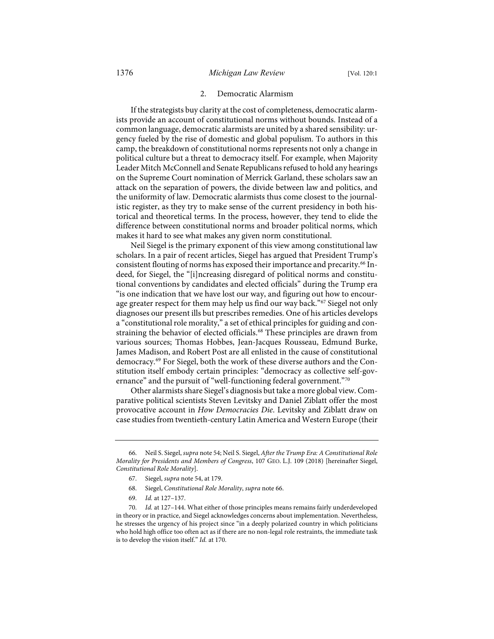## <span id="page-15-0"></span>2. Democratic Alarmism

If the strategists buy clarity at the cost of completeness, democratic alarmists provide an account of constitutional norms without bounds. Instead of a common language, democratic alarmists are united by a shared sensibility: urgency fueled by the rise of domestic and global populism. To authors in this camp, the breakdown of constitutional norms represents not only a change in political culture but a threat to democracy itself. For example, when Majority Leader Mitch McConnell and Senate Republicans refused to hold any hearings on the Supreme Court nomination of Merrick Garland, these scholars saw an attack on the separation of powers, the divide between law and politics, and the uniformity of law. Democratic alarmists thus come closest to the journalistic register, as they try to make sense of the current presidency in both historical and theoretical terms. In the process, however, they tend to elide the difference between constitutional norms and broader political norms, which makes it hard to see what makes any given norm constitutional.

Neil Siegel is the primary exponent of this view among constitutional law scholars. In a pair of recent articles, Siegel has argued that President Trump's consistent flouting of norms has exposed their importance and precarity.<sup>[66](#page-15-1)</sup> Indeed, for Siegel, the "[i]ncreasing disregard of political norms and constitutional conventions by candidates and elected officials" during the Trump era "is one indication that we have lost our way, and figuring out how to encour-age greater respect for them may help us find our way back."<sup>[67](#page-15-2)</sup> Siegel not only diagnoses our present ills but prescribes remedies. One of his articles develops a "constitutional role morality," a set of ethical principles for guiding and con-straining the behavior of elected officials.<sup>[68](#page-15-3)</sup> These principles are drawn from various sources; Thomas Hobbes, Jean-Jacques Rousseau, Edmund Burke, James Madison, and Robert Post are all enlisted in the cause of constitutional democracy.[69](#page-15-4) For Siegel, both the work of these diverse authors and the Constitution itself embody certain principles: "democracy as collective self-gov-ernance" and the pursuit of "well-functioning federal government."<sup>[70](#page-15-5)</sup>

Other alarmists share Siegel's diagnosis but take a more global view. Comparative political scientists Steven Levitsky and Daniel Ziblatt offer the most provocative account in *How Democracies Die*. Levitsky and Ziblatt draw on case studies from twentieth-century Latin America and Western Europe (their

<span id="page-15-2"></span><span id="page-15-1"></span><sup>66.</sup> Neil S. Siegel, *supra* not[e 54;](#page-12-6) Neil S. Siegel, *After the Trump Era: A Constitutional Role Morality for Presidents and Members of Congress*, 107 GEO. L.J. 109 (2018) [hereinafter Siegel, *Constitutional Role Morality*].

<sup>67.</sup> Siegel, *supra* not[e 54,](#page-12-6) at 179.

<sup>68.</sup> Siegel, *Constitutional Role Morality*, *supra* note [66.](#page-15-0) 

<sup>69.</sup> *Id.* at 127–137.

<span id="page-15-5"></span><span id="page-15-4"></span><span id="page-15-3"></span><sup>70.</sup> *Id.* at 127–144. What either of those principles means remains fairly underdeveloped in theory or in practice, and Siegel acknowledges concerns about implementation. Nevertheless, he stresses the urgency of his project since "in a deeply polarized country in which politicians who hold high office too often act as if there are no non-legal role restraints, the immediate task is to develop the vision itself." *Id.* at 170.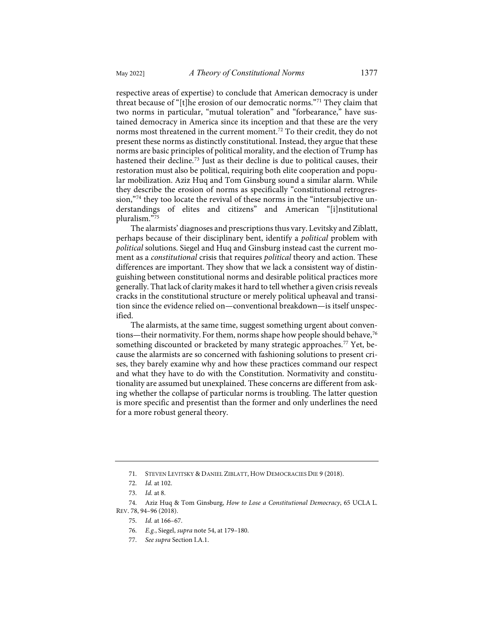respective areas of expertise) to conclude that American democracy is under threat because of "[t]he erosion of our democratic norms."[71](#page-16-0) They claim that two norms in particular, "mutual toleration" and "forbearance," have sustained democracy in America since its inception and that these are the very norms most threatened in the current moment.<sup>[72](#page-16-1)</sup> To their credit, they do not present these norms as distinctly constitutional. Instead, they argue that these norms are basic principles of political morality, and the election of Trump has hastened their decline.[73](#page-16-2) Just as their decline is due to political causes, their restoration must also be political, requiring both elite cooperation and popular mobilization. Aziz Huq and Tom Ginsburg sound a similar alarm. While they describe the erosion of norms as specifically "constitutional retrogres-sion,"[74](#page-16-3) they too locate the revival of these norms in the "intersubjective understandings of elites and citizens" and American "[i]nstitutional pluralism."[75](#page-16-4)

The alarmists' diagnoses and prescriptions thus vary. Levitsky and Ziblatt, perhaps because of their disciplinary bent, identify a *political* problem with *political* solutions. Siegel and Huq and Ginsburg instead cast the current moment as a *constitutional* crisis that requires *political* theory and action. These differences are important. They show that we lack a consistent way of distinguishing between constitutional norms and desirable political practices more generally. That lack of clarity makes it hard to tell whether a given crisis reveals cracks in the constitutional structure or merely political upheaval and transition since the evidence relied on—conventional breakdown—is itself unspecified.

The alarmists, at the same time, suggest something urgent about conven-tions—their normativity. For them, norms shape how people should behave,<sup>[76](#page-16-5)</sup> something discounted or bracketed by many strategic approaches.<sup>[77](#page-16-6)</sup> Yet, because the alarmists are so concerned with fashioning solutions to present crises, they barely examine why and how these practices command our respect and what they have to do with the Constitution. Normativity and constitutionality are assumed but unexplained. These concerns are different from asking whether the collapse of particular norms is troubling. The latter question is more specific and presentist than the former and only underlines the need for a more robust general theory.

77. *See supra* Section I.A.1.

<sup>71.</sup> STEVEN LEVITSKY & DANIEL ZIBLATT, HOW DEMOCRACIES DIE 9 (2018).

<sup>72.</sup> *Id.* at 102.

<sup>73.</sup> *Id.* at 8.

<span id="page-16-6"></span><span id="page-16-5"></span><span id="page-16-4"></span><span id="page-16-3"></span><span id="page-16-2"></span><span id="page-16-1"></span><span id="page-16-0"></span><sup>74.</sup> Aziz Huq & Tom Ginsburg, *How to Lose a Constitutional Democracy*, 65 UCLA L. REV. 78, 94–96 (2018).

<sup>75.</sup> *Id.* at 166–67.

<sup>76.</sup> *E.g.*, Siegel, *supra* not[e 54,](#page-12-6) at 179–180.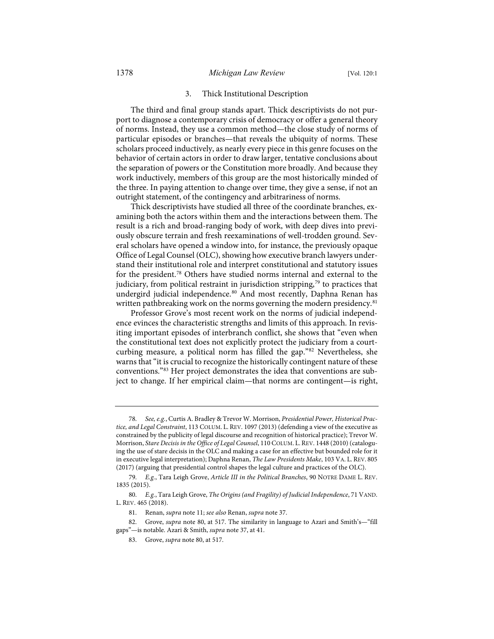# 3. Thick Institutional Description

The third and final group stands apart. Thick descriptivists do not purport to diagnose a contemporary crisis of democracy or offer a general theory of norms. Instead, they use a common method—the close study of norms of particular episodes or branches—that reveals the ubiquity of norms. These scholars proceed inductively, as nearly every piece in this genre focuses on the behavior of certain actors in order to draw larger, tentative conclusions about the separation of powers or the Constitution more broadly. And because they work inductively, members of this group are the most historically minded of the three. In paying attention to change over time, they give a sense, if not an outright statement, of the contingency and arbitrariness of norms.

Thick descriptivists have studied all three of the coordinate branches, examining both the actors within them and the interactions between them. The result is a rich and broad-ranging body of work, with deep dives into previously obscure terrain and fresh reexaminations of well-trodden ground. Several scholars have opened a window into, for instance, the previously opaque Office of Legal Counsel (OLC), showing how executive branch lawyers understand their institutional role and interpret constitutional and statutory issues for the president.[78](#page-17-1) Others have studied norms internal and external to the judiciary, from political restraint in jurisdiction stripping, [79](#page-17-2) to practices that undergird judicial independence.<sup>[80](#page-17-3)</sup> And most recently, Daphna Renan has written pathbreaking work on the norms governing the modern presidency.<sup>[81](#page-17-4)</sup>

<span id="page-17-7"></span><span id="page-17-0"></span>Professor Grove's most recent work on the norms of judicial independence evinces the characteristic strengths and limits of this approach. In revisiting important episodes of interbranch conflict, she shows that "even when the constitutional text does not explicitly protect the judiciary from a courtcurbing measure, a political norm has filled the gap."[82](#page-17-5) Nevertheless, she warns that "it is crucial to recognize the historically contingent nature of these conventions."[83](#page-17-6) Her project demonstrates the idea that conventions are subject to change. If her empirical claim—that norms are contingent—is right,

<span id="page-17-1"></span><sup>78.</sup> *See, e.g.*, Curtis A. Bradley & Trevor W. Morrison, *Presidential Power, Historical Practice, and Legal Constraint*, 113 COLUM. L. REV. 1097 (2013) (defending a view of the executive as constrained by the publicity of legal discourse and recognition of historical practice); Trevor W. Morrison, *Stare Decisis in the Office of Legal Counsel*, 110 COLUM. L.REV. 1448 (2010) (cataloguing the use of stare decisis in the OLC and making a case for an effective but bounded role for it in executive legal interpretation); Daphna Renan, *The Law Presidents Make*, 103 VA. L. REV. 805 (2017) (arguing that presidential control shapes the legal culture and practices of the OLC).

<span id="page-17-2"></span><sup>79.</sup> *E.g.*, Tara Leigh Grove, *Article III in the Political Branches*, 90 NOTRE DAME L. REV. 1835 (2015).

<span id="page-17-3"></span><sup>80.</sup> *E.g.*, Tara Leigh Grove, *The Origins (and Fragility) of Judicial Independence*, 71 VAND. L. REV. 465 (2018).

<sup>81.</sup> Renan, *supra* not[e 11;](#page-3-8) *see also* Renan, *supra* not[e 37.](#page-9-3)

<span id="page-17-6"></span><span id="page-17-5"></span><span id="page-17-4"></span><sup>82.</sup> Grove, *supra* not[e 80,](#page-17-0) at 517. The similarity in language to Azari and Smith's—"fill gaps"—is notable. Azari & Smith, *supra* not[e 37,](#page-9-3) at 41.

<sup>83.</sup> Grove, *supra* note [80,](#page-17-0) at 517.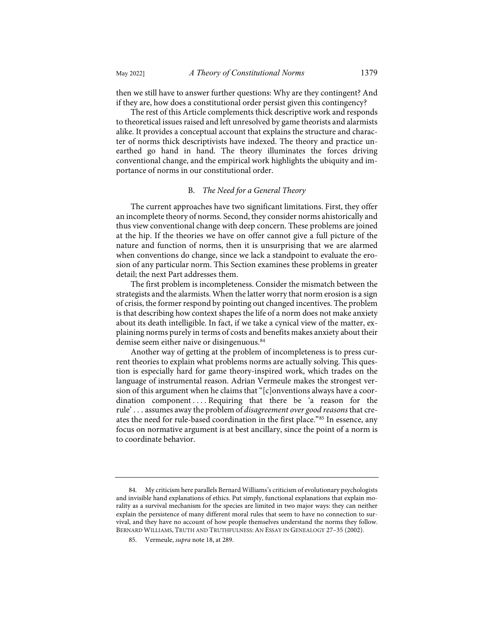then we still have to answer further questions: Why are they contingent? And if they are, how does a constitutional order persist given this contingency?

The rest of this Article complements thick descriptive work and responds to theoretical issues raised and left unresolved by game theorists and alarmists alike. It provides a conceptual account that explains the structure and character of norms thick descriptivists have indexed. The theory and practice unearthed go hand in hand. The theory illuminates the forces driving conventional change, and the empirical work highlights the ubiquity and importance of norms in our constitutional order.

# B. *The Need for a General Theory*

The current approaches have two significant limitations. First, they offer an incomplete theory of norms. Second, they consider norms ahistorically and thus view conventional change with deep concern. These problems are joined at the hip. If the theories we have on offer cannot give a full picture of the nature and function of norms, then it is unsurprising that we are alarmed when conventions do change, since we lack a standpoint to evaluate the erosion of any particular norm. This Section examines these problems in greater detail; the next Part addresses them.

The first problem is incompleteness. Consider the mismatch between the strategists and the alarmists. When the latter worry that norm erosion is a sign of crisis, the former respond by pointing out changed incentives. The problem is that describing how context shapes the life of a norm does not make anxiety about its death intelligible. In fact, if we take a cynical view of the matter, explaining norms purely in terms of costs and benefits makes anxiety about their demise seem either naive or disingenuous.<sup>84</sup>

Another way of getting at the problem of incompleteness is to press current theories to explain what problems norms are actually solving. This question is especially hard for game theory-inspired work, which trades on the language of instrumental reason. Adrian Vermeule makes the strongest version of this argument when he claims that "[c]onventions always have a coordination component . . . . Requiring that there be 'a reason for the rule' . . . assumes away the problem of *disagreement over good reasons* that creates the need for rule-based coordination in the first place."[85](#page-18-1) In essence, any focus on normative argument is at best ancillary, since the point of a norm is to coordinate behavior.

<span id="page-18-1"></span><span id="page-18-0"></span><sup>84.</sup> My criticism here parallels Bernard Williams's criticism of evolutionary psychologists and invisible hand explanations of ethics. Put simply, functional explanations that explain morality as a survival mechanism for the species are limited in two major ways: they can neither explain the persistence of many different moral rules that seem to have no connection to survival, and they have no account of how people themselves understand the norms they follow. BERNARD WILLIAMS, TRUTH AND TRUTHFULNESS: AN ESSAY IN GENEALOGY 27–35 (2002).

<sup>85.</sup> Vermeule, *supra* not[e 18,](#page-4-6) at 289.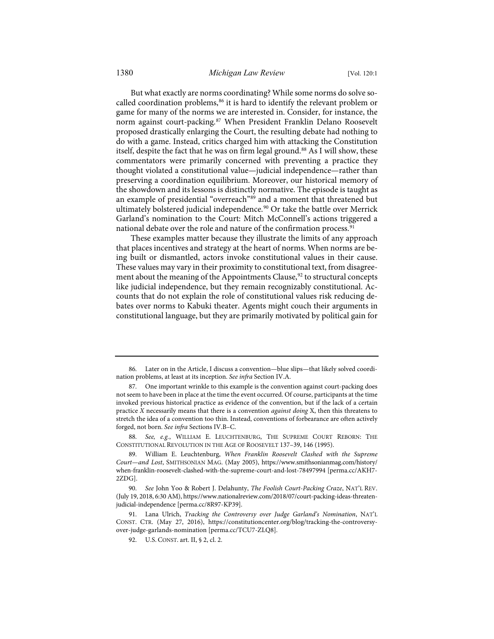<span id="page-19-7"></span>But what exactly are norms coordinating? While some norms do solve so-called coordination problems,<sup>[86](#page-19-0)</sup> it is hard to identify the relevant problem or game for many of the norms we are interested in. Consider, for instance, the norm against court-packing.[87](#page-19-1) When President Franklin Delano Roosevelt proposed drastically enlarging the Court, the resulting debate had nothing to do with a game. Instead, critics charged him with attacking the Constitution itself, despite the fact that he was on firm legal ground.<sup>[88](#page-19-2)</sup> As I will show, these commentators were primarily concerned with preventing a practice they thought violated a constitutional value—judicial independence—rather than preserving a coordination equilibrium. Moreover, our historical memory of the showdown and its lessons is distinctly normative. The episode is taught as an example of presidential "overreach"<sup>[89](#page-19-3)</sup> and a moment that threatened but ultimately bolstered judicial independence.<sup>[90](#page-19-4)</sup> Or take the battle over Merrick Garland's nomination to the Court: Mitch McConnell's actions triggered a national debate over the role and nature of the confirmation process.<sup>[91](#page-19-5)</sup>

These examples matter because they illustrate the limits of any approach that places incentives and strategy at the heart of norms. When norms are being built or dismantled, actors invoke constitutional values in their cause. These values may vary in their proximity to constitutional text, from disagreement about the meaning of the Appointments Clause, [92](#page-19-6) to structural concepts like judicial independence, but they remain recognizably constitutional. Accounts that do not explain the role of constitutional values risk reducing debates over norms to Kabuki theater. Agents might couch their arguments in constitutional language, but they are primarily motivated by political gain for

<span id="page-19-2"></span>88. *See, e.g.*, WILLIAM E. LEUCHTENBURG, THE SUPREME COURT REBORN: THE CONSTITUTIONAL REVOLUTION IN THE AGE OF ROOSEVELT 137–39, 146 (1995).

<span id="page-19-0"></span><sup>86.</sup> Later on in the Article, I discuss a convention—blue slips—that likely solved coordination problems, at least at its inception. *See infra* Section IV.A.

<span id="page-19-1"></span><sup>87.</sup> One important wrinkle to this example is the convention against court-packing does not seem to have been in place at the time the event occurred. Of course, participants at the time invoked previous historical practice as evidence of the convention, but if the lack of a certain practice *X* necessarily means that there is a convention *against doing* X, then this threatens to stretch the idea of a convention too thin. Instead, conventions of forbearance are often actively forged, not born. *See infra* Sections IV.B–C.

<span id="page-19-3"></span><sup>89.</sup> William E. Leuchtenburg, *When Franklin Roosevelt Clashed with the Supreme Court—and Lost*, SMITHSONIAN MAG. (May 2005), [https://www.smithsonianmag.com/history/](https://www.smithsonianmag.com/history/when-franklin-roosevelt-clashed-with-the-supreme-court-and-lost-78497994) [when-franklin-roosevelt-clashed-with-the-supreme-court-and-lost-78497994](https://www.smithsonianmag.com/history/when-franklin-roosevelt-clashed-with-the-supreme-court-and-lost-78497994) [\[perma.cc/AKH7-](https://perma.cc/AKH7-2ZDG) [2ZDG\]](https://perma.cc/AKH7-2ZDG).

<span id="page-19-4"></span><sup>90.</sup> *See* John Yoo & Robert J. Delahunty, *The Foolish Court-Packing Craze*, NAT'L REV. (July 19, 2018, 6:30 AM)[, https://www.nationalreview.com/2018/07/court-packing-ideas-threaten](https://www.nationalreview.com/2018/07/court-packing-ideas-threaten-judicial-independence)[judicial-independence](https://www.nationalreview.com/2018/07/court-packing-ideas-threaten-judicial-independence) [\[perma.cc/8R97-KP39\]](https://perma.cc/8R97-KP39).

<span id="page-19-6"></span><span id="page-19-5"></span><sup>91.</sup> Lana Ulrich, *Tracking the Controversy over Judge Garland's Nomination*, NAT'L CONST. CTR. (May 27, 2016), [https://constitutioncenter.org/blog/tracking-the-controversy](https://constitutioncenter.org/blog/tracking-the-controversy-over-judge-garlands-nomination)[over-judge-garlands-nomination](https://constitutioncenter.org/blog/tracking-the-controversy-over-judge-garlands-nomination) [\[perma.cc/TCU7-ZLQ8\]](https://perma.cc/TCU7-ZLQ8).

<sup>92.</sup> U.S. CONST. art. II, § 2, cl. 2.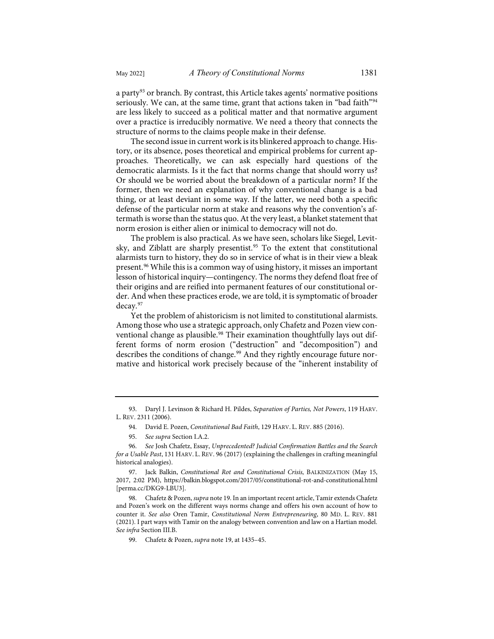a party<sup>93</sup> or branch. By contrast, this Article takes agents' normative positions seriously. We can, at the same time, grant that actions taken in "bad faith"<sup>[94](#page-20-1)</sup> are less likely to succeed as a political matter and that normative argument over a practice is irreducibly normative. We need a theory that connects the structure of norms to the claims people make in their defense.

The second issue in current work is its blinkered approach to change. History, or its absence, poses theoretical and empirical problems for current approaches. Theoretically, we can ask especially hard questions of the democratic alarmists. Is it the fact that norms change that should worry us? Or should we be worried about the breakdown of a particular norm? If the former, then we need an explanation of why conventional change is a bad thing, or at least deviant in some way. If the latter, we need both a specific defense of the particular norm at stake and reasons why the convention's aftermath is worse than the status quo. At the very least, a blanket statement that norm erosion is either alien or inimical to democracy will not do.

The problem is also practical. As we have seen, scholars like Siegel, Levit-sky, and Ziblatt are sharply presentist.<sup>[95](#page-20-2)</sup> To the extent that constitutional alarmists turn to history, they do so in service of what is in their view a bleak present.[96](#page-20-3) While this is a common way of using history, it misses an important lesson of historical inquiry—contingency. The norms they defend float free of their origins and are reified into permanent features of our constitutional order. And when these practices erode, we are told, it is symptomatic of broader decay.[97](#page-20-4)

<span id="page-20-7"></span>Yet the problem of ahistoricism is not limited to constitutional alarmists. Among those who use a strategic approach, only Chafetz and Pozen view con-ventional change as plausible.<sup>[98](#page-20-5)</sup> Their examination thoughtfully lays out different forms of norm erosion ("destruction" and "decomposition") and describes the conditions of change.<sup>[99](#page-20-6)</sup> And they rightly encourage future normative and historical work precisely because of the "inherent instability of

<span id="page-20-1"></span><span id="page-20-0"></span><sup>93.</sup> Daryl J. Levinson & Richard H. Pildes, *Separation of Parties, Not Powers*, 119 HARV. L. REV. 2311 (2006).

<sup>94.</sup> David E. Pozen, *Constitutional Bad Faith*, 129 HARV. L. REV. 885 (2016).

<sup>95.</sup> *See supra* Section I.A.2.

<span id="page-20-3"></span><span id="page-20-2"></span><sup>96.</sup> *See* Josh Chafetz, Essay, *Unprecedented? Judicial Confirmation Battles and the Search for a Usable Past*, 131 HARV. L. REV. 96 (2017) (explaining the challenges in crafting meaningful historical analogies).

<span id="page-20-4"></span><sup>97.</sup> Jack Balkin, *Constitutional Rot and Constitutional Crisis*, BALKINIZATION (May 15, 2017, 2:02 PM),<https://balkin.blogspot.com/2017/05/constitutional-rot-and-constitutional.html> [\[perma.cc/DKG9-LBU3\]](https://perma.cc/DKG9-LBU3).

<span id="page-20-6"></span><span id="page-20-5"></span><sup>98.</sup> Chafetz & Pozen, *supra* not[e 19.](#page-5-1) In an important recent article, Tamir extends Chafetz and Pozen's work on the different ways norms change and offers his own account of how to counter it. *See also* Oren Tamir, *Constitutional Norm Entrepreneuring*, 80 MD. L. REV. 881 (2021). I part ways with Tamir on the analogy between convention and law on a Hartian model. *See infra* Section III.B.

<sup>99.</sup> Chafetz & Pozen, *supra* note [19,](#page-5-1) at 1435–45.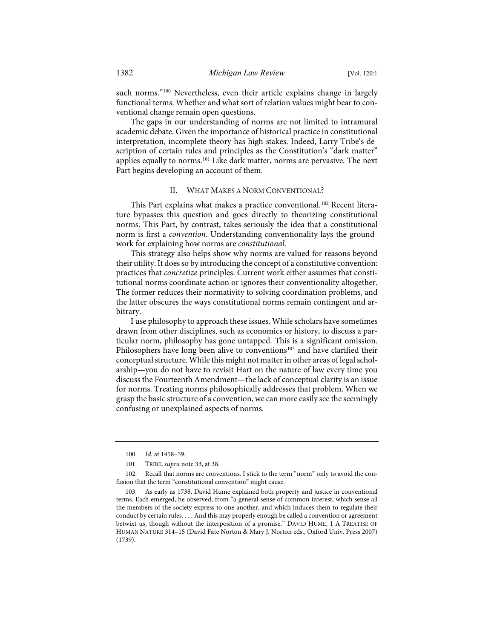such norms."<sup>[100](#page-21-0)</sup> Nevertheless, even their article explains change in largely functional terms. Whether and what sort of relation values might bear to conventional change remain open questions.

The gaps in our understanding of norms are not limited to intramural academic debate. Given the importance of historical practice in constitutional interpretation, incomplete theory has high stakes. Indeed, Larry Tribe's description of certain rules and principles as the Constitution's "dark matter" applies equally to norms.<sup>[101](#page-21-1)</sup> Like dark matter, norms are pervasive. The next Part begins developing an account of them.

# II. WHAT MAKES A NORM CONVENTIONAL?

This Part explains what makes a practice conventional.<sup>[102](#page-21-2)</sup> Recent literature bypasses this question and goes directly to theorizing constitutional norms. This Part, by contrast, takes seriously the idea that a constitutional norm is first a *convention*. Understanding conventionality lays the groundwork for explaining how norms are *constitutional*.

This strategy also helps show why norms are valued for reasons beyond their utility. It does so by introducing the concept of a constitutive convention: practices that *concretize* principles. Current work either assumes that constitutional norms coordinate action or ignores their conventionality altogether. The former reduces their normativity to solving coordination problems, and the latter obscures the ways constitutional norms remain contingent and arbitrary.

<span id="page-21-4"></span>I use philosophy to approach these issues. While scholars have sometimes drawn from other disciplines, such as economics or history, to discuss a particular norm, philosophy has gone untapped. This is a significant omission. Philosophers have long been alive to conventions<sup>[103](#page-21-3)</sup> and have clarified their conceptual structure. While this might not matterin other areas of legal scholarship—you do not have to revisit Hart on the nature of law every time you discuss the Fourteenth Amendment—the lack of conceptual clarity is an issue for norms. Treating norms philosophically addresses that problem. When we grasp the basic structure of a convention, we can more easily see the seemingly confusing or unexplained aspects of norms.

<sup>100.</sup> *Id.* at 1458–59.

<sup>101.</sup> TRIBE, *supra* not[e 33,](#page-8-8) at 38.

<span id="page-21-2"></span><span id="page-21-1"></span><span id="page-21-0"></span><sup>102.</sup> Recall that norms are conventions. I stick to the term "norm" only to avoid the confusion that the term "constitutional convention" might cause.

<span id="page-21-3"></span><sup>103.</sup> As early as 1738, David Hume explained both property and justice in conventional terms. Each emerged, he observed, from "a general sense of common interest; which sense all the members of the society express to one another, and which induces them to regulate their conduct by certain rules. . . . And this may properly enough be called a convention or agreement betwixt us, though without the interposition of a promise." DAVID HUME, 1 A TREATISE OF HUMAN NATURE 314–15 (David Fate Norton & Mary J. Norton eds., Oxford Univ. Press 2007) (1739).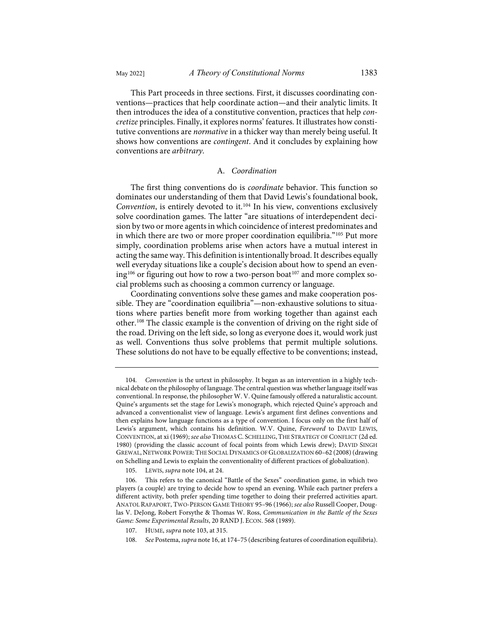This Part proceeds in three sections. First, it discusses coordinating conventions—practices that help coordinate action—and their analytic limits. It then introduces the idea of a constitutive convention, practices that help *concretize* principles. Finally, it explores norms' features. It illustrates how constitutive conventions are *normative* in a thicker way than merely being useful. It shows how conventions are *contingent*. And it concludes by explaining how conventions are *arbitrary*.

#### <span id="page-22-0"></span>A. *Coordination*

The first thing conventions do is *coordinate* behavior. This function so dominates our understanding of them that David Lewis's foundational book, *Convention*, is entirely devoted to it.[104](#page-22-1) In his view, conventions exclusively solve coordination games. The latter "are situations of interdependent decision by two or more agents in which coincidence of interest predominates and in which there are two or more proper coordination equilibria."[105](#page-22-2) Put more simply, coordination problems arise when actors have a mutual interest in acting the same way. This definition is intentionally broad. It describes equally well everyday situations like a couple's decision about how to spend an even-ing<sup>[106](#page-22-3)</sup> or figuring out how to row a two-person boat<sup>[107](#page-22-4)</sup> and more complex social problems such as choosing a common currency or language.

Coordinating conventions solve these games and make cooperation possible. They are "coordination equilibria"—non-exhaustive solutions to situations where parties benefit more from working together than against each other[.108](#page-22-5) The classic example is the convention of driving on the right side of the road. Driving on the left side, so long as everyone does it, would work just as well. Conventions thus solve problems that permit multiple solutions. These solutions do not have to be equally effective to be conventions; instead,

105. LEWIS, *supra* note [104,](#page-22-0) at 24.

<span id="page-22-1"></span><sup>104.</sup> *Convention* is the urtext in philosophy. It began as an intervention in a highly technical debate on the philosophy of language. The central question was whether language itself was conventional. In response, the philosopher W. V. Quine famously offered a naturalistic account. Quine's arguments set the stage for Lewis's monograph, which rejected Quine's approach and advanced a conventionalist view of language. Lewis's argument first defines conventions and then explains how language functions as a type of convention. I focus only on the first half of Lewis's argument, which contains his definition. W.V. Quine, *Foreword* to DAVID LEWIS, CONVENTION, at xi (1969); *see also* THOMAS C. SCHELLING,THE STRATEGY OF CONFLICT (2d ed. 1980) (providing the classic account of focal points from which Lewis drew); DAVID SINGH GREWAL, NETWORK POWER: THE SOCIAL DYNAMICS OF GLOBALIZATION 60-62 (2008) (drawing on Schelling and Lewis to explain the conventionality of different practices of globalization).

<span id="page-22-3"></span><span id="page-22-2"></span><sup>106.</sup> This refers to the canonical "Battle of the Sexes" coordination game, in which two players (a couple) are trying to decide how to spend an evening. While each partner prefers a different activity, both prefer spending time together to doing their preferred activities apart. ANATOL RAPAPORT, TWO-PERSON GAME THEORY 95–96 (1966); *see also* Russell Cooper, Douglas V. DeJong, Robert Forsythe & Thomas W. Ross, *Communication in the Battle of the Sexes Game: Some Experimental Results*, 20 RAND J. ECON. 568 (1989).

<span id="page-22-5"></span><span id="page-22-4"></span><sup>107.</sup> HUME, *supra* not[e 103,](#page-21-4) at 315.

<sup>108.</sup> *See* Postema, *supra* not[e 16,](#page-4-7) at 174–75 (describing features of coordination equilibria).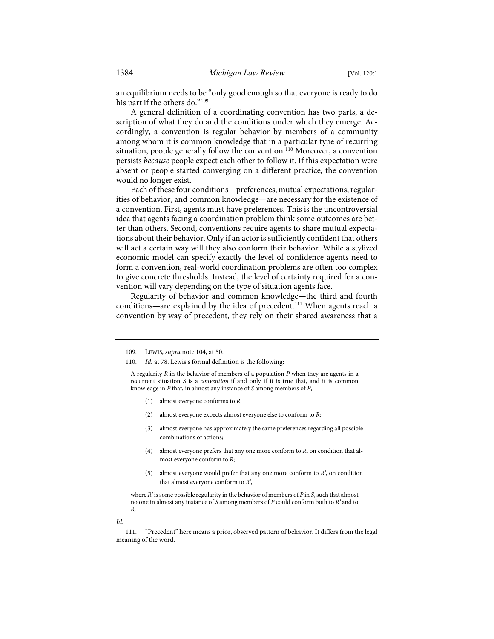an equilibrium needs to be "only good enough so that everyone is ready to do his part if the others do."<sup>[109](#page-23-0)</sup>

A general definition of a coordinating convention has two parts, a description of what they do and the conditions under which they emerge. Accordingly, a convention is regular behavior by members of a community among whom it is common knowledge that in a particular type of recurring situation, people generally follow the convention.<sup>[110](#page-23-1)</sup> Moreover, a convention persists *because* people expect each other to follow it. If this expectation were absent or people started converging on a different practice, the convention would no longer exist.

Each of these four conditions—preferences, mutual expectations, regularities of behavior, and common knowledge—are necessary for the existence of a convention. First, agents must have preferences. This is the uncontroversial idea that agents facing a coordination problem think some outcomes are better than others. Second, conventions require agents to share mutual expectations about their behavior. Only if an actor is sufficiently confident that others will act a certain way will they also conform their behavior. While a stylized economic model can specify exactly the level of confidence agents need to form a convention, real-world coordination problems are often too complex to give concrete thresholds. Instead, the level of certainty required for a convention will vary depending on the type of situation agents face.

Regularity of behavior and common knowledge—the third and fourth conditions—are explained by the idea of precedent.<sup>111</sup> When agents reach a convention by way of precedent, they rely on their shared awareness that a

<span id="page-23-1"></span><span id="page-23-0"></span>110. *Id.* at 78. Lewis's formal definition is the following:

A regularity *R* in the behavior of members of a population *P* when they are agents in a recurrent situation *S* is a *convention* if and only if it is true that, and it is common knowledge in *P* that, in almost any instance of *S* among members of *P*,

- (1) almost everyone conforms to *R*;
- (2) almost everyone expects almost everyone else to conform to *R*;
- (3) almost everyone has approximately the same preferences regarding all possible combinations of actions;
- (4) almost everyone prefers that any one more conform to *R*, on condition that almost everyone conform to *R*;
- (5) almost everyone would prefer that any one more conform to *R'*, on condition that almost everyone conform to *R'*,

where *R'* is some possible regularity in the behavior of members of *P* in *S*, such that almost no one in almost any instance of *S* among members of *P* could conform both to *R'* and to *R*.

*Id.*

<span id="page-23-2"></span>111. "Precedent" here means a prior, observed pattern of behavior. It differs from the legal meaning of the word.

<sup>109.</sup> LEWIS, *supra* note [104,](#page-22-0) at 50.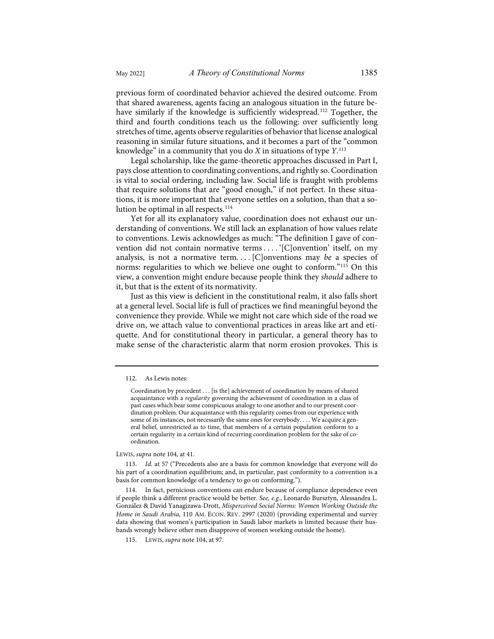previous form of coordinated behavior achieved the desired outcome. From that shared awareness, agents facing an analogous situation in the future be-have similarly if the knowledge is sufficiently widespread.<sup>[112](#page-24-0)</sup> Together, the third and fourth conditions teach us the following: over sufficiently long stretches of time, agents observe regularities of behavior that license analogical reasoning in similar future situations, and it becomes a part of the "common knowledge" in a community that you do *X* in situations of type *Y*. [113](#page-24-1)

Legal scholarship, like the game-theoretic approaches discussed in Part I, pays close attention to coordinating conventions, and rightly so. Coordination is vital to social ordering, including law. Social life is fraught with problems that require solutions that are "good enough," if not perfect. In these situations, it is more important that everyone settles on a solution, than that a so-lution be optimal in all respects.<sup>[114](#page-24-2)</sup>

Yet for all its explanatory value, coordination does not exhaust our understanding of conventions. We still lack an explanation of how values relate to conventions. Lewis acknowledges as much: "The definition I gave of convention did not contain normative terms . . . '[C]onvention' itself, on my analysis, is not a normative term. . . . [C]onventions may *be* a species of norms: regularities to which we believe one ought to conform."[115](#page-24-3) On this view, a convention might endure because people think they *should* adhere to it, but that is the extent of its normativity.

Just as this view is deficient in the constitutional realm, it also falls short at a general level. Social life is full of practices we find meaningful beyond the convenience they provide. While we might not care which side of the road we drive on, we attach value to conventional practices in areas like art and etiquette. And for constitutional theory in particular, a general theory has to make sense of the characteristic alarm that norm erosion provokes. This is

<span id="page-24-0"></span>112. As Lewis notes:

LEWIS, *supra* note [104,](#page-22-0) at 41.

<span id="page-24-1"></span>113. *Id.* at 57 ("Precedents also are a basis for common knowledge that everyone will do his part of a coordination equilibrium; and, in particular, past conformity to a convention is a basis for common knowledge of a tendency to go on conforming.").

<span id="page-24-2"></span>114. In fact, pernicious conventions can endure because of compliance dependence even if people think a different practice would be better. *See, e.g.*, Leonardo Bursztyn, Alessandra L. González & David Yanagizawa-Drott, *Misperceived Social Norms: Women Working Outside the Home in Saudi Arabia*, 110 AM. ECON. REV. 2997 (2020) (providing experimental and survey data showing that women's participation in Saudi labor markets is limited because their husbands wrongly believe other men disapprove of women working outside the home).

<span id="page-24-3"></span>115. LEWIS, *supra* note [104,](#page-22-0) at 97.

Coordination by precedent . . . [is the] achievement of coordination by means of shared acquaintance with a *regularity* governing the achievement of coordination in a class of past cases which bear some conspicuous analogy to one another and to our present coordination problem. Our acquaintance with this regularity comes from our experience with some of its instances, not necessarily the same ones for everybody. . . . We acquire a general belief, unrestricted as to time, that members of a certain population conform to a certain regularity in a certain kind of recurring coordination problem for the sake of coordination.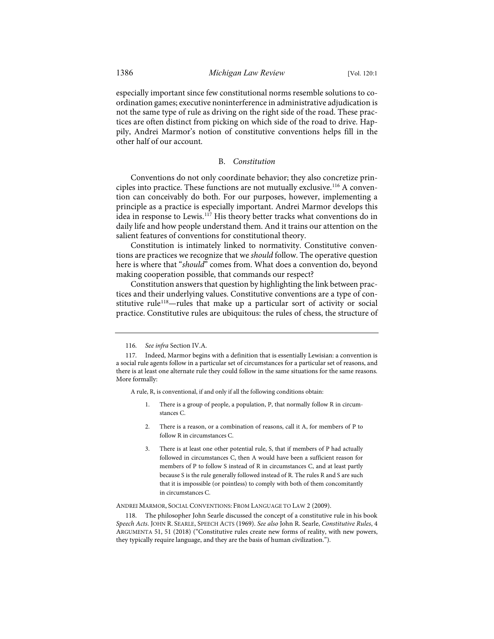especially important since few constitutional norms resemble solutions to coordination games; executive noninterference in administrative adjudication is not the same type of rule as driving on the right side of the road. These practices are often distinct from picking on which side of the road to drive. Happily, Andrei Marmor's notion of constitutive conventions helps fill in the other half of our account.

# <span id="page-25-3"></span>B. *Constitution*

Conventions do not only coordinate behavior; they also concretize principles into practice. These functions are not mutually exclusive.[116](#page-25-0) A convention can conceivably do both. For our purposes, however, implementing a principle as a practice is especially important. Andrei Marmor develops this idea in response to Lewis[.117](#page-25-1) His theory better tracks what conventions do in daily life and how people understand them. And it trains our attention on the salient features of conventions for constitutional theory.

Constitution is intimately linked to normativity. Constitutive conventions are practices we recognize that we *should* follow. The operative question here is where that "*should*" comes from. What does a convention do, beyond making cooperation possible, that commands our respect?

Constitution answers that question by highlighting the link between practices and their underlying values. Constitutive conventions are a type of constitutive rule<sup>118</sup>-rules that make up a particular sort of activity or social practice. Constitutive rules are ubiquitous: the rules of chess, the structure of

A rule, R, is conventional, if and only if all the following conditions obtain:

- There is a group of people, a population, P, that normally follow R in circumstances C.
- 2. There is a reason, or a combination of reasons, call it A, for members of P to follow R in circumstances C.
- 3. There is at least one other potential rule, S, that if members of P had actually followed in circumstances C, then A would have been a sufficient reason for members of P to follow S instead of R in circumstances C, and at least partly because S is the rule generally followed instead of R. The rules R and S are such that it is impossible (or pointless) to comply with both of them concomitantly in circumstances C.

ANDREI MARMOR, SOCIAL CONVENTIONS: FROM LANGUAGE TO LAW 2 (2009).

<span id="page-25-2"></span>118. The philosopher John Searle discussed the concept of a constitutive rule in his book *Speech Acts*. JOHN R. SEARLE, SPEECH ACTS (1969). *See also* John R. Searle, *Constitutive Rules*, 4 ARGUMENTA 51, 51 (2018) ("Constitutive rules create new forms of reality, with new powers, they typically require language, and they are the basis of human civilization.").

<sup>116.</sup> *See infra* Section IV.A.

<span id="page-25-1"></span><span id="page-25-0"></span><sup>117.</sup> Indeed, Marmor begins with a definition that is essentially Lewisian: a convention is a social rule agents follow in a particular set of circumstances for a particular set of reasons, and there is at least one alternate rule they could follow in the same situations for the same reasons. More formally: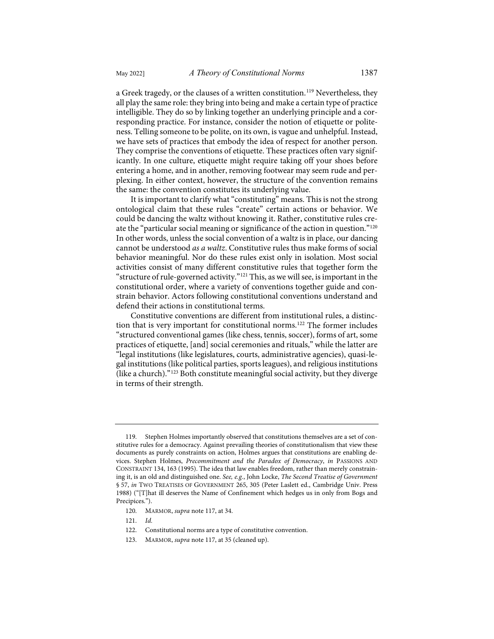a Greek tragedy, or the clauses of a written constitution.<sup>[119](#page-26-0)</sup> Nevertheless, they all play the same role: they bring into being and make a certain type of practice intelligible. They do so by linking together an underlying principle and a corresponding practice. For instance, consider the notion of etiquette or politeness. Telling someone to be polite, on its own, is vague and unhelpful. Instead, we have sets of practices that embody the idea of respect for another person. They comprise the conventions of etiquette. These practices often vary significantly. In one culture, etiquette might require taking off your shoes before entering a home, and in another, removing footwear may seem rude and perplexing. In either context, however, the structure of the convention remains the same: the convention constitutes its underlying value.

It is important to clarify what "constituting" means. This is not the strong ontological claim that these rules "create" certain actions or behavior. We could be dancing the waltz without knowing it. Rather, constitutive rules create the "particular social meaning or significance of the action in question."[120](#page-26-1) In other words, unless the social convention of a waltz is in place, our dancing cannot be understood *as a waltz*. Constitutive rules thus make forms of social behavior meaningful. Nor do these rules exist only in isolation. Most social activities consist of many different constitutive rules that together form the "structure of rule-governed activity."[121](#page-26-2) This, as we will see, is important in the constitutional order, where a variety of conventions together guide and constrain behavior. Actors following constitutional conventions understand and defend their actions in constitutional terms.

Constitutive conventions are different from institutional rules, a distinction that is very important for constitutional norms[.122](#page-26-3) The former includes "structured conventional games (like chess, tennis, soccer), forms of art, some practices of etiquette, [and] social ceremonies and rituals," while the latter are "legal institutions (like legislatures, courts, administrative agencies), quasi-legal institutions (like political parties, sports leagues), and religious institutions (like a church)."[123](#page-26-4) Both constitute meaningful social activity, but they diverge in terms of their strength.

<span id="page-26-0"></span><sup>119.</sup> Stephen Holmes importantly observed that constitutions themselves are a set of constitutive rules for a democracy. Against prevailing theories of constitutionalism that view these documents as purely constraints on action, Holmes argues that constitutions are enabling devices. Stephen Holmes, *Precommitment and the Paradox of Democracy*, *in* PASSIONS AND CONSTRAINT 134, 163 (1995). The idea that law enables freedom, rather than merely constraining it, is an old and distinguished one. *See, e.g.*, John Locke, *The Second Treatise of Government* § 57, *in* TWO TREATISES OF GOVERNMENT 265, 305 (Peter Laslett ed., Cambridge Univ. Press 1988) ("[T]hat ill deserves the Name of Confinement which hedges us in only from Bogs and Precipices.").

<span id="page-26-1"></span><sup>120.</sup> MARMOR, *supra* not[e 117,](#page-25-3) at 34.

<span id="page-26-2"></span><sup>121.</sup> *Id.*

<span id="page-26-3"></span><sup>122.</sup> Constitutional norms are a type of constitutive convention.

<span id="page-26-4"></span><sup>123.</sup> MARMOR, *supra* not[e 117,](#page-25-3) at 35 (cleaned up).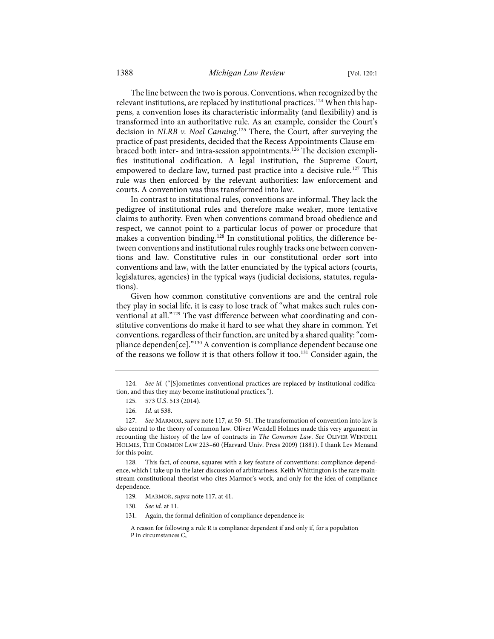The line between the two is porous. Conventions, when recognized by the relevant institutions, are replaced by institutional practices.<sup>[124](#page-27-0)</sup> When this happens, a convention loses its characteristic informality (and flexibility) and is transformed into an authoritative rule. As an example, consider the Court's decision in *NLRB v. Noel Canning*. [125](#page-27-1) There, the Court, after surveying the practice of past presidents, decided that the Recess Appointments Clause em-braced both inter- and intra-session appointments.<sup>[126](#page-27-2)</sup> The decision exemplifies institutional codification. A legal institution, the Supreme Court, empowered to declare law, turned past practice into a decisive rule.<sup>[127](#page-27-3)</sup> This rule was then enforced by the relevant authorities: law enforcement and courts. A convention was thus transformed into law.

In contrast to institutional rules, conventions are informal. They lack the pedigree of institutional rules and therefore make weaker, more tentative claims to authority. Even when conventions command broad obedience and respect, we cannot point to a particular locus of power or procedure that makes a convention binding.[128](#page-27-4) In constitutional politics, the difference between conventions and institutional rules roughly tracks one between conventions and law. Constitutive rules in our constitutional order sort into conventions and law, with the latter enunciated by the typical actors (courts, legislatures, agencies) in the typical ways (judicial decisions, statutes, regulations).

Given how common constitutive conventions are and the central role they play in social life, it is easy to lose track of "what makes such rules conventional at all.["129](#page-27-5) The vast difference between what coordinating and constitutive conventions do make it hard to see what they share in common. Yet conventions, regardless of their function, are united by a shared quality: "com-pliance dependen[ce]."<sup>[130](#page-27-6)</sup> A convention is compliance dependent because one of the reasons we follow it is that others follow it too.[131](#page-27-7) Consider again, the

<span id="page-27-6"></span><span id="page-27-5"></span><span id="page-27-4"></span>128. This fact, of course, squares with a key feature of conventions: compliance dependence, which I take up in the later discussion of arbitrariness. Keith Whittington is the rare mainstream constitutional theorist who cites Marmor's work, and only for the idea of compliance dependence.

- 129. MARMOR, *supra* not[e 117,](#page-25-3) at 41.
- 130. *See id.* at 11.
- <span id="page-27-7"></span>131. Again, the formal definition of compliance dependence is:

<span id="page-27-1"></span><span id="page-27-0"></span><sup>124.</sup> *See id.* ("[S]ometimes conventional practices are replaced by institutional codification, and thus they may become institutional practices.").

<sup>125. 573</sup> U.S. 513 (2014).

<sup>126.</sup> *Id.* at 538.

<span id="page-27-3"></span><span id="page-27-2"></span><sup>127.</sup> *See* MARMOR, *supra* not[e 117,](#page-25-3) at 50–51. The transformation of convention into law is also central to the theory of common law. Oliver Wendell Holmes made this very argument in recounting the history of the law of contracts in *The Common Law*. *See* OLIVER WENDELL HOLMES, THE COMMON LAW 223–60 (Harvard Univ. Press 2009) (1881). I thank Lev Menand for this point.

A reason for following a rule R is compliance dependent if and only if, for a population P in circumstances C,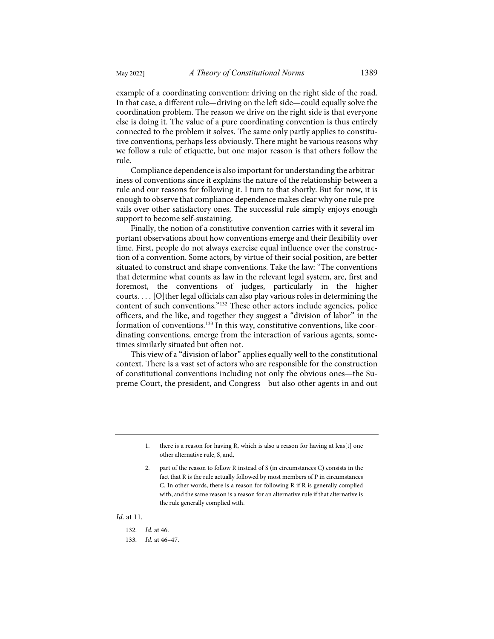example of a coordinating convention: driving on the right side of the road. In that case, a different rule—driving on the left side—could equally solve the coordination problem. The reason we drive on the right side is that everyone else is doing it. The value of a pure coordinating convention is thus entirely connected to the problem it solves. The same only partly applies to constitutive conventions, perhaps less obviously. There might be various reasons why we follow a rule of etiquette, but one major reason is that others follow the rule.

Compliance dependence is also important for understanding the arbitrariness of conventions since it explains the nature of the relationship between a rule and our reasons for following it. I turn to that shortly. But for now, it is enough to observe that compliance dependence makes clear why one rule prevails over other satisfactory ones. The successful rule simply enjoys enough support to become self-sustaining.

Finally, the notion of a constitutive convention carries with it several important observations about how conventions emerge and their flexibility over time. First, people do not always exercise equal influence over the construction of a convention. Some actors, by virtue of their social position, are better situated to construct and shape conventions. Take the law: "The conventions that determine what counts as law in the relevant legal system, are, first and foremost, the conventions of judges, particularly in the higher courts. . . . [O]ther legal officials can also play various roles in determining the content of such conventions."[132](#page-28-0) These other actors include agencies, police officers, and the like, and together they suggest a "division of labor" in the formation of conventions.[133](#page-28-1) In this way, constitutive conventions, like coordinating conventions, emerge from the interaction of various agents, sometimes similarly situated but often not.

This view of a "division of labor" applies equally well to the constitutional context. There is a vast set of actors who are responsible for the construction of constitutional conventions including not only the obvious ones—the Supreme Court, the president, and Congress—but also other agents in and out

#### <span id="page-28-1"></span><span id="page-28-0"></span>*Id.* at 11.

<sup>1.</sup> there is a reason for having R, which is also a reason for having at leas[t] one other alternative rule, S, and,

<sup>2.</sup> part of the reason to follow R instead of S (in circumstances C) consists in the fact that R is the rule actually followed by most members of P in circumstances C. In other words, there is a reason for following R if R is generally complied with, and the same reason is a reason for an alternative rule if that alternative is the rule generally complied with.

<sup>132.</sup> *Id.* at 46.

<sup>133.</sup> *Id.* at 46–47.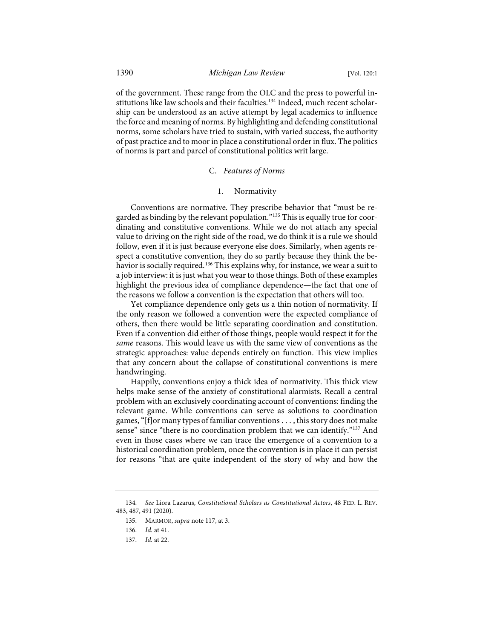of the government. These range from the OLC and the press to powerful in-stitutions like law schools and their faculties.<sup>[134](#page-29-0)</sup> Indeed, much recent scholarship can be understood as an active attempt by legal academics to influence the force and meaning of norms. By highlighting and defending constitutional norms, some scholars have tried to sustain, with varied success, the authority of past practice and to moor in place a constitutional order in flux. The politics of norms is part and parcel of constitutional politics writ large.

# C. *Features of Norms*

# 1. Normativity

Conventions are normative. They prescribe behavior that "must be regarded as binding by the relevant population."[135](#page-29-1) This is equally true for coordinating and constitutive conventions. While we do not attach any special value to driving on the right side of the road, we do think it is a rule we should follow, even if it is just because everyone else does. Similarly, when agents respect a constitutive convention, they do so partly because they think the be-havior is socially required.<sup>[136](#page-29-2)</sup> This explains why, for instance, we wear a suit to a job interview: it is just what you wear to those things. Both of these examples highlight the previous idea of compliance dependence—the fact that one of the reasons we follow a convention is the expectation that others will too.

Yet compliance dependence only gets us a thin notion of normativity. If the only reason we followed a convention were the expected compliance of others, then there would be little separating coordination and constitution. Even if a convention did either of those things, people would respect it for the *same* reasons. This would leave us with the same view of conventions as the strategic approaches: value depends entirely on function. This view implies that any concern about the collapse of constitutional conventions is mere handwringing.

Happily, conventions enjoy a thick idea of normativity. This thick view helps make sense of the anxiety of constitutional alarmists. Recall a central problem with an exclusively coordinating account of conventions: finding the relevant game. While conventions can serve as solutions to coordination games, "[f]or many types of familiar conventions . . . , this story does not make sense" since "there is no coordination problem that we can identify."<sup>[137](#page-29-3)</sup> And even in those cases where we can trace the emergence of a convention to a historical coordination problem, once the convention is in place it can persist for reasons "that are quite independent of the story of why and how the

<span id="page-29-3"></span><span id="page-29-2"></span><span id="page-29-1"></span><span id="page-29-0"></span><sup>134.</sup> *See* Liora Lazarus, *Constitutional Scholars as Constitutional Actors*, 48 FED. L. REV. 483, 487, 491 (2020).

<sup>135.</sup> MARMOR, *supra* not[e 117,](#page-25-3) at 3.

<sup>136.</sup> *Id.* at 41.

<sup>137.</sup> *Id.* at 22.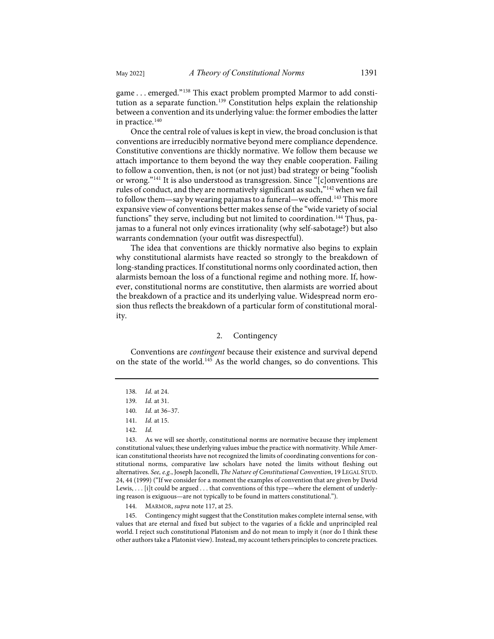game . . . emerged."[138](#page-30-0) This exact problem prompted Marmor to add consti-tution as a separate function.<sup>[139](#page-30-1)</sup> Constitution helps explain the relationship between a convention and its underlying value: the former embodies the latter in practice.<sup>[140](#page-30-2)</sup>

Once the central role of values is kept in view, the broad conclusion is that conventions are irreducibly normative beyond mere compliance dependence. Constitutive conventions are thickly normative. We follow them because we attach importance to them beyond the way they enable cooperation. Failing to follow a convention, then, is not (or not just) bad strategy or being "foolish or wrong."[141](#page-30-3) It is also understood as transgression. Since "[c]onventions are rules of conduct, and they are normatively significant as such,"[142](#page-30-4) when we fail to follow them—say by wearing pajamas to a funeral—we offend.<sup>[143](#page-30-5)</sup> This more expansive view of conventions better makes sense of the "wide variety of social functions" they serve, including but not limited to coordination.<sup>[144](#page-30-6)</sup> Thus, pajamas to a funeral not only evinces irrationality (why self-sabotage?) but also warrants condemnation (your outfit was disrespectful).

The idea that conventions are thickly normative also begins to explain why constitutional alarmists have reacted so strongly to the breakdown of long-standing practices. If constitutional norms only coordinated action, then alarmists bemoan the loss of a functional regime and nothing more. If, however, constitutional norms are constitutive, then alarmists are worried about the breakdown of a practice and its underlying value. Widespread norm erosion thus reflects the breakdown of a particular form of constitutional morality.

#### 2. Contingency

<span id="page-30-0"></span>Conventions are *contingent* because their existence and survival depend on the state of the world.[145](#page-30-7) As the world changes, so do conventions. This

<span id="page-30-5"></span><span id="page-30-4"></span><span id="page-30-3"></span><span id="page-30-2"></span><span id="page-30-1"></span>143. As we will see shortly, constitutional norms are normative because they implement constitutional values; these underlying values imbue the practice with normativity. While American constitutional theorists have not recognized the limits of coordinating conventions for constitutional norms, comparative law scholars have noted the limits without fleshing out alternatives. *See, e.g.*, Joseph Jaconelli, *The Nature of Constitutional Convention*, 19 LEGAL STUD. 24, 44 (1999) ("If we consider for a moment the examples of convention that are given by David Lewis, . . . [i]t could be argued . . . that conventions of this type—where the element of underlying reason is exiguous—are not typically to be found in matters constitutional.").

144. MARMOR, *supra* not[e 117,](#page-25-3) at 25.

<span id="page-30-7"></span><span id="page-30-6"></span>145. Contingency might suggest that the Constitution makes complete internal sense, with values that are eternal and fixed but subject to the vagaries of a fickle and unprincipled real world. I reject such constitutional Platonism and do not mean to imply it (nor do I think these other authors take a Platonist view). Instead, my account tethers principles to concrete practices.

<sup>138.</sup> *Id.* at 24.

<sup>139.</sup> *Id.* at 31.

<sup>140.</sup> *Id.* at 36–37.

<sup>141.</sup> *Id.* at 15.

<sup>142.</sup> *Id.*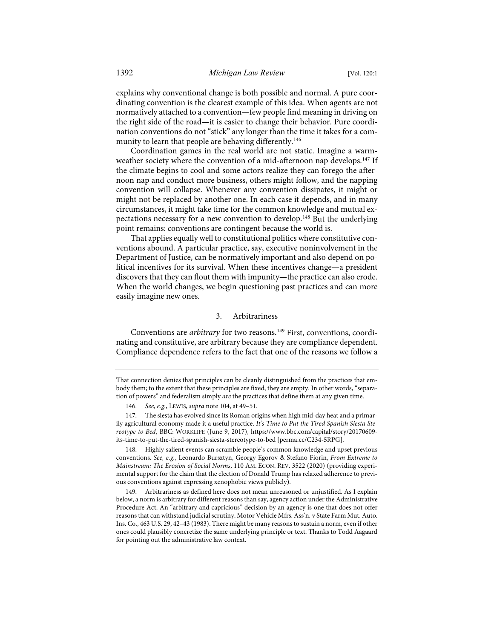explains why conventional change is both possible and normal. A pure coordinating convention is the clearest example of this idea. When agents are not normatively attached to a convention—few people find meaning in driving on the right side of the road—it is easier to change their behavior. Pure coordination conventions do not "stick" any longer than the time it takes for a com-munity to learn that people are behaving differently.<sup>[146](#page-31-0)</sup>

Coordination games in the real world are not static. Imagine a warm-weather society where the convention of a mid-afternoon nap develops.<sup>[147](#page-31-1)</sup> If the climate begins to cool and some actors realize they can forego the afternoon nap and conduct more business, others might follow, and the napping convention will collapse. Whenever any convention dissipates, it might or might not be replaced by another one. In each case it depends, and in many circumstances, it might take time for the common knowledge and mutual expectations necessary for a new convention to develop.[148](#page-31-2) But the underlying point remains: conventions are contingent because the world is.

That applies equally well to constitutional politics where constitutive conventions abound. A particular practice, say, executive noninvolvement in the Department of Justice, can be normatively important and also depend on political incentives for its survival. When these incentives change—a president discovers that they can flout them with impunity—the practice can also erode. When the world changes, we begin questioning past practices and can more easily imagine new ones.

# 3. Arbitrariness

Conventions are *arbitrary* for two reasons.<sup>149</sup> First, conventions, coordinating and constitutive, are arbitrary because they are compliance dependent. Compliance dependence refers to the fact that one of the reasons we follow a

<span id="page-31-2"></span>148. Highly salient events can scramble people's common knowledge and upset previous conventions. *See, e.g.*, Leonardo Bursztyn, Georgy Egorov & Stefano Fiorin, *From Extreme to Mainstream: The Erosion of Social Norms*, 110 AM. ECON. REV. 3522 (2020) (providing experimental support for the claim that the election of Donald Trump has relaxed adherence to previous conventions against expressing xenophobic views publicly).

That connection denies that principles can be cleanly distinguished from the practices that embody them; to the extent that these principles are fixed, they are empty. In other words, "separation of powers" and federalism simply *are* the practices that define them at any given time.

<sup>146.</sup> *See, e.g.*, LEWIS, *supra* not[e 104,](#page-22-0) at 49–51.

<span id="page-31-1"></span><span id="page-31-0"></span><sup>147.</sup> The siesta has evolved since its Roman origins when high mid-day heat and a primarily agricultural economy made it a useful practice. *It's Time to Put the Tired Spanish Siesta Stereotype to Bed*, BBC: WORKLIFE (June 9, 2017), [https://www.bbc.com/capital/story/20170609](https://www.bbc.com/capital/story/20170609-its-time-to-put-the-tired-spanish-siesta-stereotype-to-bed) [its-time-to-put-the-tired-spanish-siesta-stereotype-to-bed](https://www.bbc.com/capital/story/20170609-its-time-to-put-the-tired-spanish-siesta-stereotype-to-bed) [\[perma.cc/C234-5RPG\]](https://perma.cc/C234-5RPG).

<span id="page-31-3"></span><sup>149.</sup> Arbitrariness as defined here does not mean unreasoned or unjustified. As I explain below, a norm is arbitrary for different reasons than say, agency action under the Administrative Procedure Act. An "arbitrary and capricious" decision by an agency is one that does not offer reasons that can withstand judicial scrutiny. Motor Vehicle Mfrs. Ass'n. v State Farm Mut. Auto. Ins. Co., 463 U.S. 29, 42–43 (1983). There might be many reasons to sustain a norm, even if other ones could plausibly concretize the same underlying principle or text. Thanks to Todd Aagaard for pointing out the administrative law context.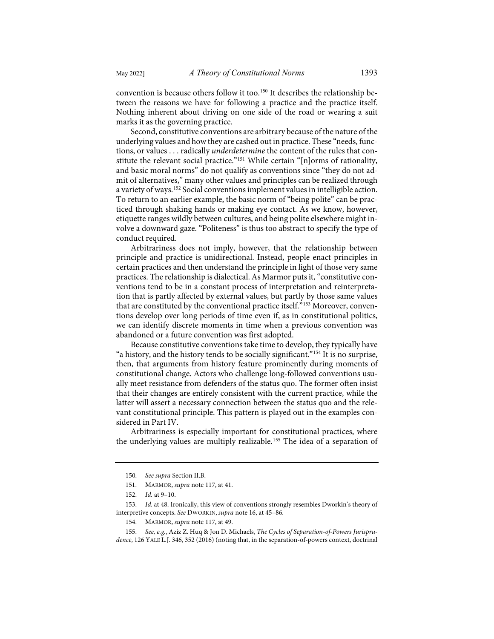convention is because others follow it too.<sup>[150](#page-32-0)</sup> It describes the relationship between the reasons we have for following a practice and the practice itself. Nothing inherent about driving on one side of the road or wearing a suit marks it as the governing practice.

Second, constitutive conventions are arbitrary because of the nature of the underlying values and how they are cashed out in practice. These "needs, functions, or values . . . radically *underdetermine* the content of the rules that constitute the relevant social practice.["151](#page-32-1) While certain "[n]orms of rationality, and basic moral norms" do not qualify as conventions since "they do not admit of alternatives," many other values and principles can be realized through a variety of ways.[152](#page-32-2) Social conventions implement values in intelligible action. To return to an earlier example, the basic norm of "being polite" can be practiced through shaking hands or making eye contact. As we know, however, etiquette ranges wildly between cultures, and being polite elsewhere might involve a downward gaze. "Politeness" is thus too abstract to specify the type of conduct required.

Arbitrariness does not imply, however, that the relationship between principle and practice is unidirectional. Instead, people enact principles in certain practices and then understand the principle in light of those very same practices. The relationship is dialectical. As Marmor puts it, "constitutive conventions tend to be in a constant process of interpretation and reinterpretation that is partly affected by external values, but partly by those same values that are constituted by the conventional practice itself."<sup>[153](#page-32-3)</sup> Moreover, conventions develop over long periods of time even if, as in constitutional politics, we can identify discrete moments in time when a previous convention was abandoned or a future convention was first adopted.

Because constitutive conventions take time to develop, they typically have "a history, and the history tends to be socially significant."[154](#page-32-4) It is no surprise, then, that arguments from history feature prominently during moments of constitutional change. Actors who challenge long-followed conventions usually meet resistance from defenders of the status quo. The former often insist that their changes are entirely consistent with the current practice, while the latter will assert a necessary connection between the status quo and the relevant constitutional principle. This pattern is played out in the examples considered in Part IV.

Arbitrariness is especially important for constitutional practices, where the underlying values are multiply realizable.[155](#page-32-5) The idea of a separation of

<sup>150.</sup> *See supra* Section II.B.

<sup>151.</sup> MARMOR, *supra* not[e 117,](#page-25-3) at 41.

<sup>152.</sup> *Id.* at 9–10.

<span id="page-32-4"></span><span id="page-32-3"></span><span id="page-32-2"></span><span id="page-32-1"></span><span id="page-32-0"></span><sup>153.</sup> *Id.* at 48. Ironically, this view of conventions strongly resembles Dworkin's theory of interpretive concepts. *See* DWORKIN, *supra* not[e 16,](#page-4-7) at 45–86.

<sup>154.</sup> MARMOR, *supra* not[e 117,](#page-25-3) at 49.

<span id="page-32-5"></span><sup>155.</sup> *See, e.g.*, Aziz Z. Huq & Jon D. Michaels, *The Cycles of Separation-of-Powers Jurisprudence*, 126 YALE L.J. 346, 352 (2016) (noting that, in the separation-of-powers context, doctrinal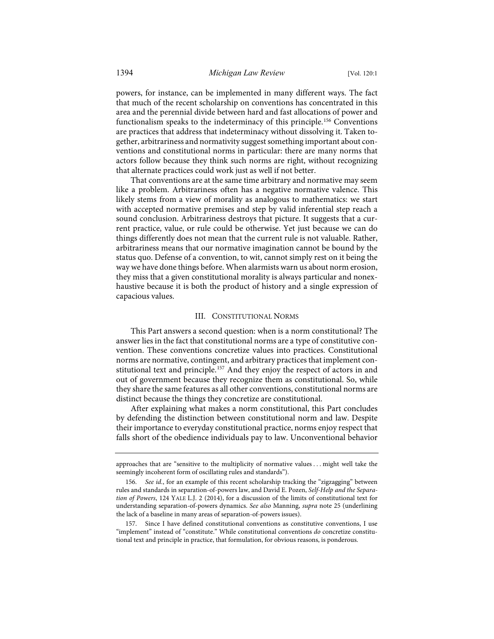powers, for instance, can be implemented in many different ways. The fact that much of the recent scholarship on conventions has concentrated in this area and the perennial divide between hard and fast allocations of power and functionalism speaks to the indeterminacy of this principle.<sup>[156](#page-33-0)</sup> Conventions are practices that address that indeterminacy without dissolving it. Taken together, arbitrariness and normativity suggest something important about conventions and constitutional norms in particular: there are many norms that actors follow because they think such norms are right, without recognizing that alternate practices could work just as well if not better.

That conventions are at the same time arbitrary and normative may seem like a problem. Arbitrariness often has a negative normative valence. This likely stems from a view of morality as analogous to mathematics: we start with accepted normative premises and step by valid inferential step reach a sound conclusion. Arbitrariness destroys that picture. It suggests that a current practice, value, or rule could be otherwise. Yet just because we can do things differently does not mean that the current rule is not valuable. Rather, arbitrariness means that our normative imagination cannot be bound by the status quo. Defense of a convention, to wit, cannot simply rest on it being the way we have done things before. When alarmists warn us about norm erosion, they miss that a given constitutional morality is always particular and nonexhaustive because it is both the product of history and a single expression of capacious values.

#### III. CONSTITUTIONAL NORMS

This Part answers a second question: when is a norm constitutional? The answer lies in the fact that constitutional norms are a type of constitutive convention. These conventions concretize values into practices. Constitutional norms are normative, contingent, and arbitrary practices that implement con-stitutional text and principle.<sup>[157](#page-33-1)</sup> And they enjoy the respect of actors in and out of government because they recognize them as constitutional. So, while they share the same features as all other conventions, constitutional norms are distinct because the things they concretize are constitutional.

After explaining what makes a norm constitutional, this Part concludes by defending the distinction between constitutional norm and law. Despite their importance to everyday constitutional practice, norms enjoy respect that falls short of the obedience individuals pay to law. Unconventional behavior

approaches that are "sensitive to the multiplicity of normative values . . . might well take the seemingly incoherent form of oscillating rules and standards").

<span id="page-33-0"></span><sup>156.</sup> *See id.*, for an example of this recent scholarship tracking the "zigzagging" between rules and standards in separation-of-powers law, and David E. Pozen, *Self-Help and the Separation of Powers*, 124 YALE L.J. 2 (2014), for a discussion of the limits of constitutional text for understanding separation-of-powers dynamics. *See also* Manning, *supra* note [25](#page-7-3) (underlining the lack of a baseline in many areas of separation-of-powers issues).

<span id="page-33-1"></span>Since I have defined constitutional conventions as constitutive conventions, I use "implement" instead of "constitute." While constitutional conventions *do* concretize constitutional text and principle in practice, that formulation, for obvious reasons, is ponderous.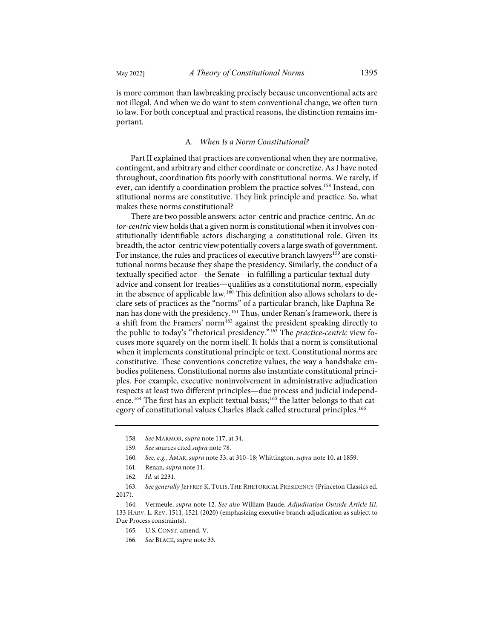is more common than lawbreaking precisely because unconventional acts are not illegal. And when we do want to stem conventional change, we often turn to law. For both conceptual and practical reasons, the distinction remains important.

# A. *When Is a Norm Constitutional?*

Part II explained that practices are conventional when they are normative, contingent, and arbitrary and either coordinate or concretize. As I have noted throughout, coordination fits poorly with constitutional norms. We rarely, if ever, can identify a coordination problem the practice solves.<sup>[158](#page-34-0)</sup> Instead, constitutional norms are constitutive. They link principle and practice. So, what makes these norms constitutional?

There are two possible answers: actor-centric and practice-centric. An *actor-centric* view holds that a given norm is constitutional when it involves constitutionally identifiable actors discharging a constitutional role. Given its breadth, the actor-centric view potentially covers a large swath of government. For instance, the rules and practices of executive branch lawyers<sup>[159](#page-34-1)</sup> are constitutional norms because they shape the presidency. Similarly, the conduct of a textually specified actor—the Senate—in fulfilling a particular textual duty advice and consent for treaties—qualifies as a constitutional norm, especially in the absence of applicable law.<sup>[160](#page-34-2)</sup> This definition also allows scholars to declare sets of practices as the "norms" of a particular branch, like Daphna Renan has done with the presidency. [161](#page-34-3) Thus, under Renan's framework, there is a shift from the Framers' norm<sup>[162](#page-34-4)</sup> against the president speaking directly to the public to today's "rhetorical presidency."[163](#page-34-5) The *practice-centric* view focuses more squarely on the norm itself. It holds that a norm is constitutional when it implements constitutional principle or text. Constitutional norms are constitutive. These conventions concretize values, the way a handshake embodies politeness. Constitutional norms also instantiate constitutional principles. For example, executive noninvolvement in administrative adjudication respects at least two different principles—due process and judicial independ-ence.<sup>[164](#page-34-6)</sup> The first has an explicit textual basis;<sup>[165](#page-34-7)</sup> the latter belongs to that category of constitutional values Charles Black called structural principles.<sup>166</sup>

<sup>158.</sup> *See* MARMOR, *supra* not[e 117,](#page-25-3) at 34.

<span id="page-34-0"></span><sup>159.</sup> *See* sources cited *supra* not[e 78.](#page-17-7) 

<sup>160.</sup> *See, e.g.*, AMAR, *supra* not[e 33,](#page-8-8) at 310–18; Whittington, *supra* not[e 10,](#page-3-12) at 1859.

<sup>161.</sup> Renan, *supra* not[e 11.](#page-3-8) 

<sup>162.</sup> *Id.* at 2231.

<span id="page-34-5"></span><span id="page-34-4"></span><span id="page-34-3"></span><span id="page-34-2"></span><span id="page-34-1"></span><sup>163.</sup> *See generally* JEFFREY K. TULIS, THE RHETORICAL PRESIDENCY (Princeton Classics ed. 2017).

<span id="page-34-8"></span><span id="page-34-7"></span><span id="page-34-6"></span><sup>164.</sup> Vermeule, *supra* not[e 12.](#page-3-11) *See also* William Baude, *Adjudication Outside Article III*, 133 HARV. L. REV. 1511, 1521 (2020) (emphasizing executive branch adjudication as subject to Due Process constraints).

<sup>165.</sup> U.S. CONST. amend. V.

<sup>166.</sup> *See* BLACK, *supra* note [33.](#page-8-8)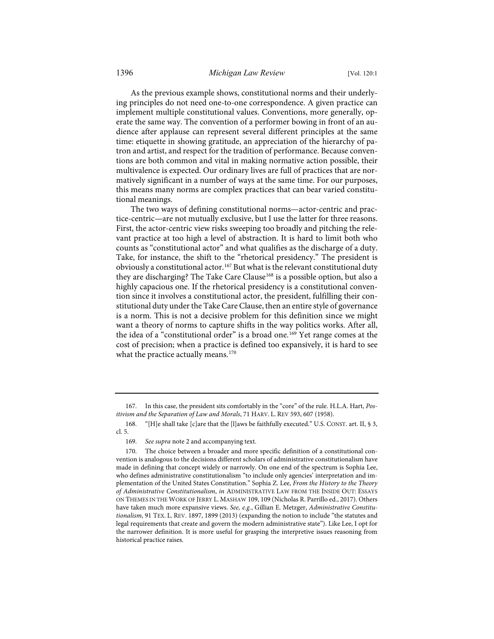As the previous example shows, constitutional norms and their underlying principles do not need one-to-one correspondence. A given practice can implement multiple constitutional values. Conventions, more generally, operate the same way. The convention of a performer bowing in front of an audience after applause can represent several different principles at the same time: etiquette in showing gratitude, an appreciation of the hierarchy of patron and artist, and respect for the tradition of performance. Because conventions are both common and vital in making normative action possible, their multivalence is expected. Our ordinary lives are full of practices that are normatively significant in a number of ways at the same time. For our purposes, this means many norms are complex practices that can bear varied constitutional meanings.

The two ways of defining constitutional norms—actor-centric and practice-centric—are not mutually exclusive, but I use the latter for three reasons. First, the actor-centric view risks sweeping too broadly and pitching the relevant practice at too high a level of abstraction. It is hard to limit both who counts as "constitutional actor" and what qualifies as the discharge of a duty. Take, for instance, the shift to the "rhetorical presidency." The president is obviously a constitutional actor.[167](#page-35-0) But what is the relevant constitutional duty they are discharging? The Take Care Clause<sup>[168](#page-35-1)</sup> is a possible option, but also a highly capacious one. If the rhetorical presidency is a constitutional convention since it involves a constitutional actor, the president, fulfilling their constitutional duty under the Take Care Clause, then an entire style of governance is a norm. This is not a decisive problem for this definition since we might want a theory of norms to capture shifts in the way politics works. After all, the idea of a "constitutional order" is a broad one.<sup>[169](#page-35-2)</sup> Yet range comes at the cost of precision; when a practice is defined too expansively, it is hard to see what the practice actually means.<sup>[170](#page-35-3)</sup>

<span id="page-35-0"></span><sup>167.</sup> In this case, the president sits comfortably in the "core" of the rule. H.L.A. Hart, *Positivism and the Separation of Law and Morals*, 71 HARV. L. REV 593, 607 (1958).

<span id="page-35-1"></span><sup>168. &</sup>quot;[H]e shall take [c]are that the [l]aws be faithfully executed." U.S. CONST. art. II, § 3, cl. 5.

<sup>169.</sup> *See supra* not[e 2](#page-2-4) and accompanying text.

<span id="page-35-3"></span><span id="page-35-2"></span><sup>170.</sup> The choice between a broader and more specific definition of a constitutional convention is analogous to the decisions different scholars of administrative constitutionalism have made in defining that concept widely or narrowly. On one end of the spectrum is Sophia Lee, who defines administrative constitutionalism "to include only agencies' interpretation and implementation of the United States Constitution." Sophia Z. Lee, *From the History to the Theory of Administrative Constitutionalism*, *in* ADMINISTRATIVE LAW FROM THE INSIDE OUT: ESSAYS ON THEMES IN THE WORK OF JERRY L. MASHAW 109, 109 (Nicholas R. Parrillo ed., 2017). Others have taken much more expansive views. *See, e.g.*, Gillian E. Metzger, *Administrative Constitutionalism*, 91 TEX. L. REV. 1897, 1899 (2013) (expanding the notion to include "the statutes and legal requirements that create and govern the modern administrative state"). Like Lee, I opt for the narrower definition. It is more useful for grasping the interpretive issues reasoning from historical practice raises.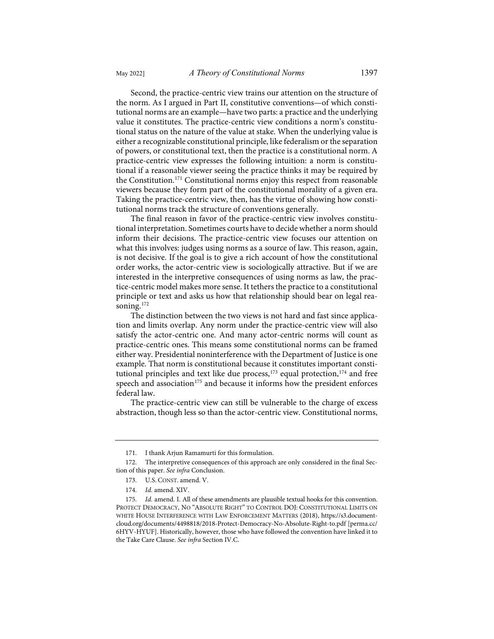Second, the practice-centric view trains our attention on the structure of the norm. As I argued in Part II, constitutive conventions—of which constitutional norms are an example—have two parts: a practice and the underlying value it constitutes. The practice-centric view conditions a norm's constitutional status on the nature of the value at stake. When the underlying value is either a recognizable constitutional principle, like federalism or the separation of powers, or constitutional text, then the practice is a constitutional norm. A practice-centric view expresses the following intuition: a norm is constitutional if a reasonable viewer seeing the practice thinks it may be required by the Constitution.<sup>[171](#page-36-0)</sup> Constitutional norms enjoy this respect from reasonable viewers because they form part of the constitutional morality of a given era. Taking the practice-centric view, then, has the virtue of showing how constitutional norms track the structure of conventions generally.

The final reason in favor of the practice-centric view involves constitutional interpretation. Sometimes courts have to decide whether a norm should inform their decisions. The practice-centric view focuses our attention on what this involves: judges using norms as a source of law. This reason, again, is not decisive. If the goal is to give a rich account of how the constitutional order works, the actor-centric view is sociologically attractive. But if we are interested in the interpretive consequences of using norms as law, the practice-centric model makes more sense. It tethers the practice to a constitutional principle or text and asks us how that relationship should bear on legal rea-soning.<sup>[172](#page-36-1)</sup>

The distinction between the two views is not hard and fast since application and limits overlap. Any norm under the practice-centric view will also satisfy the actor-centric one. And many actor-centric norms will count as practice-centric ones. This means some constitutional norms can be framed either way. Presidential noninterference with the Department of Justice is one example. That norm is constitutional because it constitutes important consti-tutional principles and text like due process,<sup>[173](#page-36-2)</sup> equal protection,<sup>174</sup> and free speech and association<sup>[175](#page-36-4)</sup> and because it informs how the president enforces federal law.

The practice-centric view can still be vulnerable to the charge of excess abstraction, though less so than the actor-centric view. Constitutional norms,

<sup>171.</sup> I thank Arjun Ramamurti for this formulation.

<span id="page-36-2"></span><span id="page-36-1"></span><span id="page-36-0"></span><sup>172.</sup> The interpretive consequences of this approach are only considered in the final Section of this paper. *See infra* Conclusion.

<sup>173.</sup> U.S. CONST. amend. V.

<sup>174.</sup> *Id.* amend. XIV.

<span id="page-36-4"></span><span id="page-36-3"></span><sup>175.</sup> *Id.* amend. I. All of these amendments are plausible textual hooks for this convention. PROTECT DEMOCRACY, NO "ABSOLUTE RIGHT" TO CONTROL DOJ: CONSTITUTIONAL LIMITS ON WHITE HOUSE INTERFERENCE WITH LAW ENFORCEMENT MATTERS (2018), [https://s3.document](https://s3.documentcloud.org/documents/4498818/2018-Protect-Democracy-No-Absolute-Right-to.pdf)[cloud.org/documents/4498818/2018-Protect-Democracy-No-Absolute-Right-to.pdf](https://s3.documentcloud.org/documents/4498818/2018-Protect-Democracy-No-Absolute-Right-to.pdf) [\[perma.cc/](https://perma.cc/6HYV-HYUF) [6HYV-HYUF\]](https://perma.cc/6HYV-HYUF). Historically, however, those who have followed the convention have linked it to the Take Care Clause. *See infra* Section IV.C.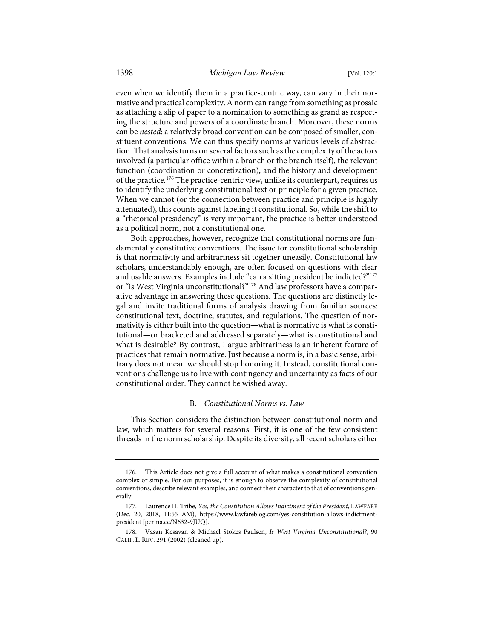even when we identify them in a practice-centric way, can vary in their normative and practical complexity. A norm can range from something as prosaic as attaching a slip of paper to a nomination to something as grand as respecting the structure and powers of a coordinate branch. Moreover, these norms can be *nested*: a relatively broad convention can be composed of smaller, constituent conventions. We can thus specify norms at various levels of abstraction. That analysis turns on several factors such as the complexity of the actors involved (a particular office within a branch or the branch itself), the relevant function (coordination or concretization), and the history and development of the practice.[176](#page-37-0) The practice-centric view, unlike its counterpart, requires us to identify the underlying constitutional text or principle for a given practice. When we cannot (or the connection between practice and principle is highly attenuated), this counts against labeling it constitutional. So, while the shift to a "rhetorical presidency" is very important, the practice is better understood as a political norm, not a constitutional one.

Both approaches, however, recognize that constitutional norms are fundamentally constitutive conventions. The issue for constitutional scholarship is that normativity and arbitrariness sit together uneasily. Constitutional law scholars, understandably enough, are often focused on questions with clear and usable answers. Examples include "can a sitting president be indicted?"[177](#page-37-1) or "is West Virginia unconstitutional?"[178](#page-37-2) And law professors have a comparative advantage in answering these questions. The questions are distinctly legal and invite traditional forms of analysis drawing from familiar sources: constitutional text, doctrine, statutes, and regulations. The question of normativity is either built into the question—what is normative is what is constitutional—or bracketed and addressed separately—what is constitutional and what is desirable? By contrast, I argue arbitrariness is an inherent feature of practices that remain normative. Just because a norm is, in a basic sense, arbitrary does not mean we should stop honoring it. Instead, constitutional conventions challenge us to live with contingency and uncertainty as facts of our constitutional order. They cannot be wished away.

## B. *Constitutional Norms vs. Law*

This Section considers the distinction between constitutional norm and law, which matters for several reasons. First, it is one of the few consistent threads in the norm scholarship. Despite its diversity, all recent scholars either

<span id="page-37-0"></span><sup>176.</sup> This Article does not give a full account of what makes a constitutional convention complex or simple. For our purposes, it is enough to observe the complexity of constitutional conventions, describe relevant examples, and connect their character to that of conventions generally.

<span id="page-37-1"></span><sup>177.</sup> Laurence H. Tribe, *Yes, the Constitution Allows Indictment of the President*, LAWFARE (Dec. 20, 2018, 11:55 AM), [https://www.lawfareblog.com/yes-constitution-allows-indictment](https://www.lawfareblog.com/yes-constitution-allows-indictment-president)[president](https://www.lawfareblog.com/yes-constitution-allows-indictment-president) [\[perma.cc/N632-9JUQ\]](https://perma.cc/N632-9JUQ).

<span id="page-37-2"></span><sup>178.</sup> Vasan Kesavan & Michael Stokes Paulsen, *Is West Virginia Unconstitutional?*, 90 CALIF. L. REV. 291 (2002) (cleaned up).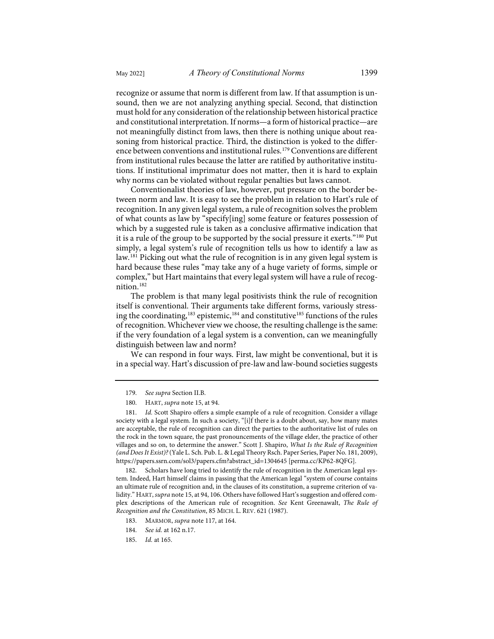recognize or assume that norm is different from law. If that assumption is unsound, then we are not analyzing anything special. Second, that distinction must hold for any consideration of the relationship between historical practice and constitutional interpretation. If norms—a form of historical practice—are not meaningfully distinct from laws, then there is nothing unique about reasoning from historical practice. Third, the distinction is yoked to the differ-ence between conventions and institutional rules.<sup>[179](#page-38-0)</sup> Conventions are different from institutional rules because the latter are ratified by authoritative institutions. If institutional imprimatur does not matter, then it is hard to explain why norms can be violated without regular penalties but laws cannot.

Conventionalist theories of law, however, put pressure on the border between norm and law. It is easy to see the problem in relation to Hart's rule of recognition. In any given legal system, a rule of recognition solves the problem of what counts as law by "specify[ing] some feature or features possession of which by a suggested rule is taken as a conclusive affirmative indication that it is a rule of the group to be supported by the social pressure it exerts."[180](#page-38-1) Put simply, a legal system's rule of recognition tells us how to identify a law as law.<sup>[181](#page-38-2)</sup> Picking out what the rule of recognition is in any given legal system is hard because these rules "may take any of a huge variety of forms, simple or complex," but Hart maintains that every legal system will have a rule of recognition.[182](#page-38-3)

The problem is that many legal positivists think the rule of recognition itself is conventional. Their arguments take different forms, variously stress-ing the coordinating,<sup>[183](#page-38-4)</sup> epistemic,<sup>184</sup> and constitutive<sup>185</sup> functions of the rules of recognition. Whichever view we choose, the resulting challenge is the same: if the very foundation of a legal system is a convention, can we meaningfully distinguish between law and norm?

We can respond in four ways. First, law might be conventional, but it is in a special way. Hart's discussion of pre-law and law-bound societies suggests

<span id="page-38-4"></span><span id="page-38-3"></span>182. Scholars have long tried to identify the rule of recognition in the American legal system. Indeed, Hart himself claims in passing that the American legal "system of course contains an ultimate rule of recognition and, in the clauses of its constitution, a supreme criterion of validity." HART, *supra* not[e 15,](#page-4-8) at 94, 106. Others have followed Hart's suggestion and offered complex descriptions of the American rule of recognition. *See* Kent Greenawalt, *The Rule of Recognition and the Constitution*, 85 MICH. L. REV. 621 (1987).

- 183. MARMOR, *supra* not[e 117,](#page-25-3) at 164.
- <span id="page-38-5"></span>184. *See id.* at 162 n.17.
- <span id="page-38-6"></span>185. *Id.* at 165.

<sup>179.</sup> *See supra* Section II.B.

<sup>180.</sup> HART, *supra* not[e 15,](#page-4-8) at 94.

<span id="page-38-2"></span><span id="page-38-1"></span><span id="page-38-0"></span><sup>181.</sup> *Id.* Scott Shapiro offers a simple example of a rule of recognition. Consider a village society with a legal system. In such a society, "[i]f there is a doubt about, say, how many mates are acceptable, the rule of recognition can direct the parties to the authoritative list of rules on the rock in the town square, the past pronouncements of the village elder, the practice of other villages and so on, to determine the answer." Scott J. Shapiro, *What Is the Rule of Recognition (and Does It Exist)?*(Yale L. Sch. Pub. L. & Legal Theory Rsch. Paper Series, Paper No. 181, 2009), [https://papers.ssrn.com/sol3/papers.cfm?abstract\\_id=1304645](https://papers.ssrn.com/sol3/papers.cfm?abstract_id=1304645) [\[perma.cc/KP62-8QFG\]](https://perma.cc/KP62-8QFG).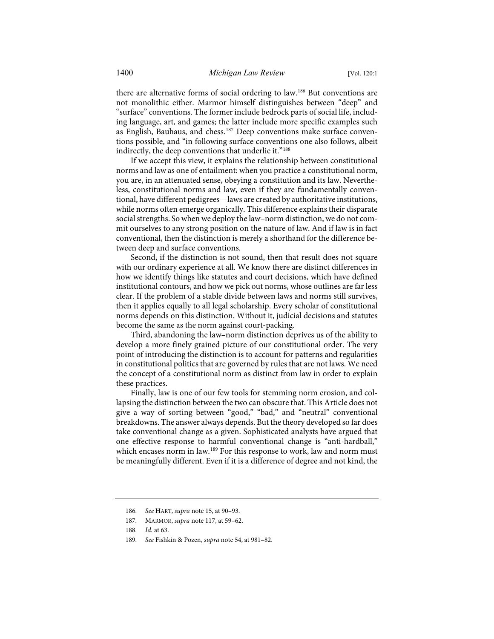there are alternative forms of social ordering to law.[186](#page-39-0) But conventions are not monolithic either. Marmor himself distinguishes between "deep" and "surface" conventions. The former include bedrock parts of social life, including language, art, and games; the latter include more specific examples such as English, Bauhaus, and chess.<sup>[187](#page-39-1)</sup> Deep conventions make surface conventions possible, and "in following surface conventions one also follows, albeit indirectly, the deep conventions that underlie it."<sup>[188](#page-39-2)</sup>

If we accept this view, it explains the relationship between constitutional norms and law as one of entailment: when you practice a constitutional norm, you are, in an attenuated sense, obeying a constitution and its law. Nevertheless, constitutional norms and law, even if they are fundamentally conventional, have different pedigrees—laws are created by authoritative institutions, while norms often emerge organically. This difference explains their disparate social strengths. So when we deploy the law–norm distinction, we do not commit ourselves to any strong position on the nature of law. And if law is in fact conventional, then the distinction is merely a shorthand for the difference between deep and surface conventions.

Second, if the distinction is not sound, then that result does not square with our ordinary experience at all. We know there are distinct differences in how we identify things like statutes and court decisions, which have defined institutional contours, and how we pick out norms, whose outlines are far less clear. If the problem of a stable divide between laws and norms still survives, then it applies equally to all legal scholarship. Every scholar of constitutional norms depends on this distinction. Without it, judicial decisions and statutes become the same as the norm against court-packing.

Third, abandoning the law–norm distinction deprives us of the ability to develop a more finely grained picture of our constitutional order. The very point of introducing the distinction is to account for patterns and regularities in constitutional politics that are governed by rules that are not laws. We need the concept of a constitutional norm as distinct from law in order to explain these practices.

Finally, law is one of our few tools for stemming norm erosion, and collapsing the distinction between the two can obscure that. This Article does not give a way of sorting between "good," "bad," and "neutral" conventional breakdowns. The answer always depends. But the theory developed so far does take conventional change as a given. Sophisticated analysts have argued that one effective response to harmful conventional change is "anti-hardball," which encases norm in law.<sup>[189](#page-39-3)</sup> For this response to work, law and norm must be meaningfully different. Even if it is a difference of degree and not kind, the

<span id="page-39-3"></span>189. *See* Fishkin & Pozen, *supra* not[e 54,](#page-12-6) at 981–82.

<span id="page-39-0"></span><sup>186.</sup> *See* HART, *supra* not[e 15,](#page-4-8) at 90–93.

<span id="page-39-1"></span><sup>187.</sup> MARMOR, *supra* not[e 117,](#page-25-3) at 59–62.

<span id="page-39-2"></span><sup>188.</sup> *Id.* at 63.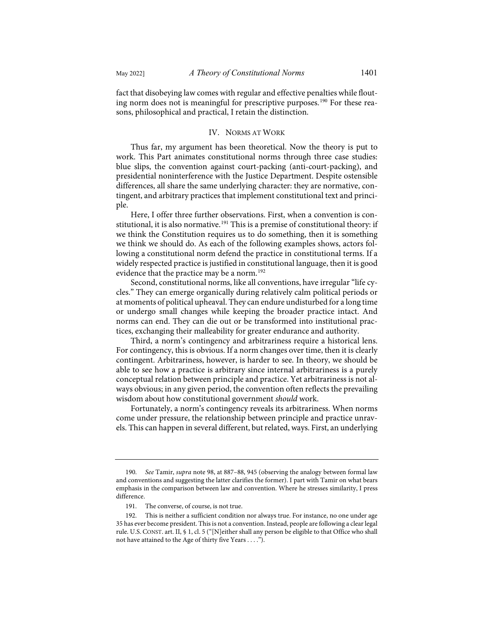fact that disobeying law comes with regular and effective penalties while flout-ing norm does not is meaningful for prescriptive purposes.<sup>[190](#page-40-0)</sup> For these reasons, philosophical and practical, I retain the distinction.

# IV. NORMS AT WORK

Thus far, my argument has been theoretical. Now the theory is put to work. This Part animates constitutional norms through three case studies: blue slips, the convention against court-packing (anti-court-packing), and presidential noninterference with the Justice Department. Despite ostensible differences, all share the same underlying character: they are normative, contingent, and arbitrary practices that implement constitutional text and principle.

Here, I offer three further observations. First, when a convention is con-stitutional, it is also normative.<sup>[191](#page-40-1)</sup> This is a premise of constitutional theory: if we think the Constitution requires us to do something, then it is something we think we should do. As each of the following examples shows, actors following a constitutional norm defend the practice in constitutional terms. If a widely respected practice is justified in constitutional language, then it is good evidence that the practice may be a norm.<sup>[192](#page-40-2)</sup>

Second, constitutional norms, like all conventions, have irregular "life cycles." They can emerge organically during relatively calm political periods or at moments of political upheaval. They can endure undisturbed for a long time or undergo small changes while keeping the broader practice intact. And norms can end. They can die out or be transformed into institutional practices, exchanging their malleability for greater endurance and authority.

Third, a norm's contingency and arbitrariness require a historical lens. For contingency, this is obvious. If a norm changes over time, then it is clearly contingent. Arbitrariness, however, is harder to see. In theory, we should be able to see how a practice is arbitrary since internal arbitrariness is a purely conceptual relation between principle and practice. Yet arbitrariness is not always obvious; in any given period, the convention often reflects the prevailing wisdom about how constitutional government *should* work.

Fortunately, a norm's contingency reveals its arbitrariness. When norms come under pressure, the relationship between principle and practice unravels. This can happen in several different, but related, ways. First, an underlying

<span id="page-40-0"></span><sup>190.</sup> *See* Tamir, *supra* not[e 98,](#page-20-7) at 887–88, 945 (observing the analogy between formal law and conventions and suggesting the latter clarifies the former). I part with Tamir on what bears emphasis in the comparison between law and convention. Where he stresses similarity, I press difference.

<sup>191.</sup> The converse, of course, is not true.

<span id="page-40-2"></span><span id="page-40-1"></span><sup>192.</sup> This is neither a sufficient condition nor always true. For instance, no one under age 35 has ever become president. This is not a convention. Instead, people are following a clear legal rule. U.S. CONST. art. II, § 1, cl. 5 ("[N]either shall any person be eligible to that Office who shall not have attained to the Age of thirty five Years . . . .").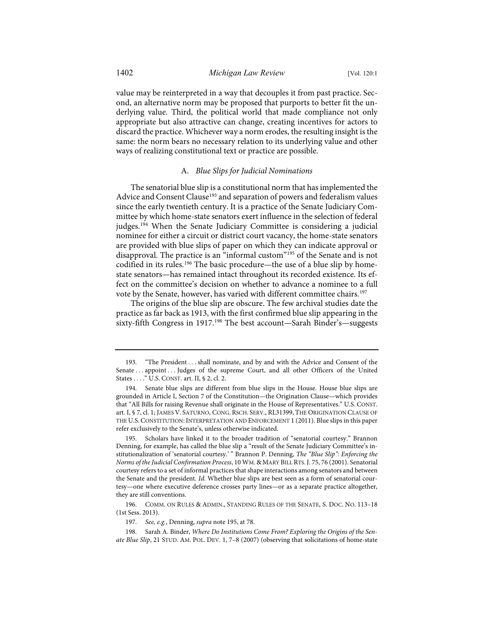value may be reinterpreted in a way that decouples it from past practice. Second, an alternative norm may be proposed that purports to better fit the underlying value. Third, the political world that made compliance not only appropriate but also attractive can change, creating incentives for actors to discard the practice. Whichever way a norm erodes, the resulting insight is the same: the norm bears no necessary relation to its underlying value and other ways of realizing constitutional text or practice are possible.

# <span id="page-41-0"></span>A. *Blue Slips for Judicial Nominations*

The senatorial blue slip is a constitutional norm that has implemented the Advice and Consent Clause<sup>[193](#page-41-1)</sup> and separation of powers and federalism values since the early twentieth century. It is a practice of the Senate Judiciary Committee by which home-state senators exert influence in the selection of federal judges.<sup>[194](#page-41-2)</sup> When the Senate Judiciary Committee is considering a judicial nominee for either a circuit or district court vacancy, the home-state senators are provided with blue slips of paper on which they can indicate approval or disapproval. The practice is an "informal custom"[195](#page-41-3) of the Senate and is not codified in its rules.<sup>196</sup> The basic procedure—the use of a blue slip by homestate senators—has remained intact throughout its recorded existence. Its effect on the committee's decision on whether to advance a nominee to a full vote by the Senate, however, has varied with different committee chairs.[197](#page-41-5)

<span id="page-41-7"></span>The origins of the blue slip are obscure. The few archival studies date the practice as far back as 1913, with the first confirmed blue slip appearing in the sixty-fifth Congress in 1917.<sup>[198](#page-41-6)</sup> The best account—Sarah Binder's—suggests

<span id="page-41-1"></span><sup>193. &</sup>quot;The President . . . shall nominate, and by and with the Advice and Consent of the Senate . . . appoint . . . Judges of the supreme Court, and all other Officers of the United States . . . ." U.S. CONST. art. II, § 2, cl. 2.

<span id="page-41-2"></span><sup>194.</sup> Senate blue slips are different from blue slips in the House. House blue slips are grounded in Article I, Section 7 of the Constitution—the Origination Clause—which provides that "All Bills for raising Revenue shall originate in the House of Representatives." U.S. CONST. art. I, § 7, cl. 1; JAMES V. SATURNO, CONG. RSCH. SERV., RL31399, THE ORIGINATION CLAUSE OF THE U.S.CONSTITUTION:INTERPRETATION AND ENFORCEMENT 1 (2011). Blue slips in this paper refer exclusively to the Senate's, unless otherwise indicated.

<span id="page-41-3"></span><sup>195.</sup> Scholars have linked it to the broader tradition of "senatorial courtesy." Brannon Denning, for example, has called the blue slip a "result of the Senate Judiciary Committee's institutionalization of 'senatorial courtesy.' " Brannon P. Denning, *The "Blue Slip": Enforcing the Norms of the Judicial Confirmation Process*, 10 WM. & MARY BILL RTS. J. 75, 76 (2001). Senatorial courtesy refers to a set of informal practices that shape interactions among senators and between the Senate and the president. *Id.* Whether blue slips are best seen as a form of senatorial courtesy—one where executive deference crosses party lines—or as a separate practice altogether, they are still conventions.

<span id="page-41-4"></span><sup>196.</sup> COMM. ON RULES & ADMIN., STANDING RULES OF THE SENATE, S. DOC. NO. 113–18 (1st Sess. 2013).

<sup>197.</sup> *See, e.g.*, Denning, *supra* not[e 195,](#page-41-0) at 78.

<span id="page-41-6"></span><span id="page-41-5"></span><sup>198.</sup> Sarah A. Binder, *Where Do Institutions Come From? Exploring the Origins of the Senate Blue Slip*, 21 STUD. AM. POL. DEV. 1, 7–8 (2007) (observing that solicitations of home-state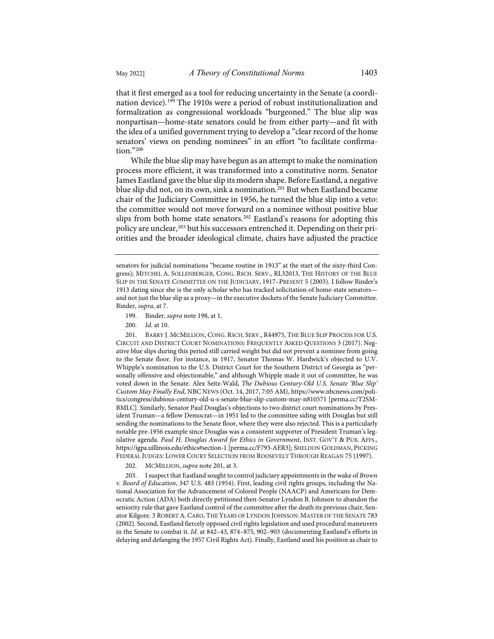<span id="page-42-0"></span>

that it first emerged as a tool for reducing uncertainty in the Senate (a coordination device).<sup>199</sup> The 1910s were a period of robust institutionalization and formalization as congressional workloads "burgeoned." The blue slip was nonpartisan—home-state senators could be from either party—and fit with the idea of a unified government trying to develop a "clear record of the home senators' views on pending nominees" in an effort "to facilitate confirmation."[200](#page-42-2)

While the blue slip may have begun as an attempt to make the nomination process more efficient, it was transformed into a constitutive norm. Senator James Eastland gave the blue slip its modern shape. Before Eastland, a negative blue slip did not, on its own, sink a nomination.<sup>[201](#page-42-3)</sup> But when Eastland became chair of the Judiciary Committee in 1956, he turned the blue slip into a veto: the committee would not move forward on a nominee without positive blue slips from both home state senators.[202](#page-42-4) Eastland's reasons for adopting this policy are unclear,<sup>[203](#page-42-5)</sup> but his successors entrenched it. Depending on their priorities and the broader ideological climate, chairs have adjusted the practice

- 199. Binder, *supra* not[e 198,](#page-41-7) at 1.
- 200. *Id.* at 10.

<span id="page-42-3"></span><span id="page-42-2"></span><span id="page-42-1"></span>201. BARRY J. MCMILLION, CONG. RSCH. SERV., R44975, THE BLUE SLIP PROCESS FOR U.S. CIRCUIT AND DISTRICT COURT NOMINATIONS: FREQUENTLY ASKED QUESTIONS 3 (2017). Negative blue slips during this period still carried weight but did not prevent a nominee from going to the Senate floor. For instance, in 1917, Senator Thomas W. Hardwick's objected to U.V. Whipple's nomination to the U.S. District Court for the Southern District of Georgia as "personally offensive and objectionable," and although Whipple made it out of committee, he was voted down in the Senate. Alex Seitz-Wald, *The Dubious Century-Old U.S. Senate 'Blue Slip' Custom May Finally End*, NBC NEWS (Oct. 14, 2017, 7:05 AM)[, https://www.nbcnews.com/poli](https://www.nbcnews.com/politics/congress/dubious-century-old-u-s-senate-blue-slip-custom-may-n810571)[tics/congress/dubious-century-old-u-s-senate-blue-slip-custom-may-n810571](https://www.nbcnews.com/politics/congress/dubious-century-old-u-s-senate-blue-slip-custom-may-n810571) [\[perma.cc/T2SM-](https://perma.cc/T2SM-BMLC)[BMLC\]](https://perma.cc/T2SM-BMLC). Similarly, Senator Paul Douglas's objections to two district court nominations by President Truman—a fellow Democrat—in 1951 led to the committee siding with Douglas but still sending the nominations to the Senate floor, where they were also rejected. This is a particularly notable pre-1956 example since Douglas was a consistent supporter of President Truman's legislative agenda. *Paul H. Douglas Award for Ethics in Government*, INST. GOV'T & PUB. AFFS., <https://igpa.uillinois.edu/ethics#section-1>[\[perma.cc/F793-AER3\]](https://perma.cc/F793-AER3); SHELDON GOLDMAN, PICKING FEDERAL JUDGES: LOWER COURT SELECTION FROM ROOSEVELT THROUGH REAGAN 75 (1997).

202. MCMILLION, *supra* not[e 201,](#page-42-0) at 3.

<span id="page-42-5"></span><span id="page-42-4"></span>203. I suspect that Eastland sought to control judiciary appointments in the wake of *Brown v. Board of Education*, 347 U.S. 483 (1954). First, leading civil rights groups, including the National Association for the Advancement of Colored People (NAACP) and Americans for Democratic Action (ADA) both directly petitioned then-Senator Lyndon B. Johnson to abandon the seniority rule that gave Eastland control of the committee after the death its previous chair, Senator Kilgore. 3 ROBERT A. CARO, THE YEARS OF LYNDON JOHNSON: MASTER OF THE SENATE 783 (2002). Second, Eastland fiercely opposed civil rights legislation and used procedural maneuvers in the Senate to combat it. *Id.* at 842–43, 874–875, 902–903 (documenting Eastland's efforts in delaying and defanging the 1957 Civil Rights Act). Finally, Eastland used his position as chair to

senators for judicial nominations "became routine in 1913" at the start of the sixty-third Congress); MITCHEL A. SOLLENBERGER, CONG. RSCH. SERV., RL32013, THE HISTORY OF THE BLUE SLIP IN THE SENATE COMMITTEE ON THE JUDICIARY, 1917–PRESENT 5 (2003). I follow Binder's 1913 dating since she is the only scholar who has tracked solicitation of home-state senators and not just the blue slip as a proxy—in the executive dockets of the Senate Judiciary Committee. Binder, *supra*, at 7.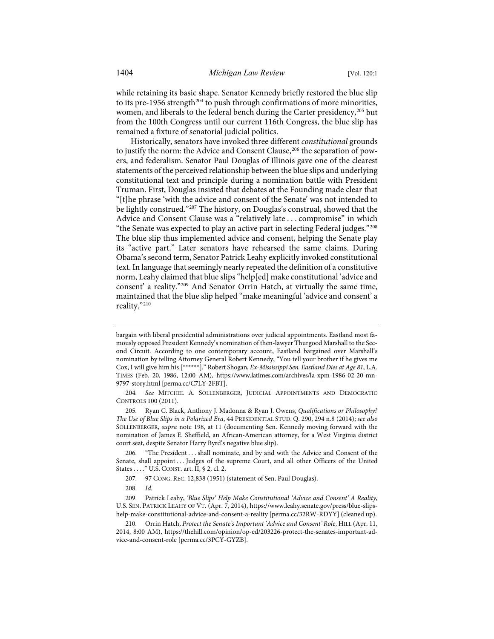while retaining its basic shape. Senator Kennedy briefly restored the blue slip to its pre-1956 strength<sup>[204](#page-43-0)</sup> to push through confirmations of more minorities, women, and liberals to the federal bench during the Carter presidency,[205](#page-43-1) but from the 100th Congress until our current 116th Congress, the blue slip has remained a fixture of senatorial judicial politics.

Historically, senators have invoked three different *constitutional* grounds to justify the norm: the Advice and Consent Clause,<sup>[206](#page-43-2)</sup> the separation of powers, and federalism. Senator Paul Douglas of Illinois gave one of the clearest statements of the perceived relationship between the blue slips and underlying constitutional text and principle during a nomination battle with President Truman. First, Douglas insisted that debates at the Founding made clear that "[t]he phrase 'with the advice and consent of the Senate' was not intended to be lightly construed."<sup>[207](#page-43-3)</sup> The history, on Douglas's construal, showed that the Advice and Consent Clause was a "relatively late . . . compromise" in which "the Senate was expected to play an active part in selecting Federal judges."[208](#page-43-4) The blue slip thus implemented advice and consent, helping the Senate play its "active part." Later senators have rehearsed the same claims. During Obama's second term, Senator Patrick Leahy explicitly invoked constitutional text. In language that seemingly nearly repeated the definition of a constitutive norm, Leahy claimed that blue slips "help[ed] make constitutional 'advice and consent' a reality.["209](#page-43-5) And Senator Orrin Hatch, at virtually the same time, maintained that the blue slip helped "make meaningful 'advice and consent' a reality."[210](#page-43-6)

<span id="page-43-0"></span>204. *See* MITCHEL A. SOLLENBERGER, JUDICIAL APPOINTMENTS AND DEMOCRATIC CONTROLS 100 (2011).

<span id="page-43-1"></span>205. Ryan C. Black, Anthony J. Madonna & Ryan J. Owens, *Qualifications or Philosophy? The Use of Blue Slips in a Polarized Era*, 44 PRESIDENTIAL STUD. Q. 290, 294 n.8 (2014); *see also* SOLLENBERGER, *supra* note [198,](#page-41-7) at 11 (documenting Sen. Kennedy moving forward with the nomination of James E. Sheffield, an African-American attorney, for a West Virginia district court seat, despite Senator Harry Byrd's negative blue slip).

<span id="page-43-2"></span>206. "The President . . . shall nominate, and by and with the Advice and Consent of the Senate, shall appoint . . . Judges of the supreme Court, and all other Officers of the United States . . . ." U.S. CONST. art. II, § 2, cl. 2.

bargain with liberal presidential administrations over judicial appointments. Eastland most famously opposed President Kennedy's nomination of then-lawyer Thurgood Marshall to the Second Circuit. According to one contemporary account, Eastland bargained over Marshall's nomination by telling Attorney General Robert Kennedy, "You tell your brother if he gives me Cox, I will give him his [\*\*\*\*\*\*]." Robert Shogan, *Ex-Mississippi Sen. Eastland Dies at Age 81*, L.A. TIMES (Feb. 20, 1986, 12:00 AM), [https://www.latimes.com/archives/la-xpm-1986-02-20-mn-](https://www.latimes.com/archives/la-xpm-1986-02-20-mn-9797-story.html)[9797-story.html](https://www.latimes.com/archives/la-xpm-1986-02-20-mn-9797-story.html) [\[perma.cc/C7LY-2FBT\]](https://perma.cc/C7LY-2FBT).

<sup>207. 97</sup> CONG. REC. 12,838 (1951) (statement of Sen. Paul Douglas).

<sup>208.</sup> *Id.*

<span id="page-43-5"></span><span id="page-43-4"></span><span id="page-43-3"></span><sup>209.</sup> Patrick Leahy, *'Blue Slips' Help Make Constitutional 'Advice and Consent' A Reality*, U.S. SEN. PATRICK LEAHY OF VT. (Apr. 7, 2014)[, https://www.leahy.senate.gov/press/blue-slips](https://www.leahy.senate.gov/press/blue-slips-help-make-constitutional-advice-and-consent-a-reality)[help-make-constitutional-advice-and-consent-a-reality](https://www.leahy.senate.gov/press/blue-slips-help-make-constitutional-advice-and-consent-a-reality) [\[perma.cc/32RW-RDYY\]](https://perma.cc/32RW-RDYY) (cleaned up).

<span id="page-43-6"></span><sup>210.</sup> Orrin Hatch, *Protect the Senate's Important 'Advice and Consent' Role*, HILL (Apr. 11, 2014, 8:00 AM), [https://thehill.com/opinion/op-ed/203226-protect-the-senates-important-ad](https://thehill.com/opinion/op-ed/203226-protect-the-senates-important-advice-and-consent-role)[vice-and-consent-role](https://thehill.com/opinion/op-ed/203226-protect-the-senates-important-advice-and-consent-role) [\[perma.cc/3PCY-GYZB\]](https://perma.cc/3PCY-GYZB).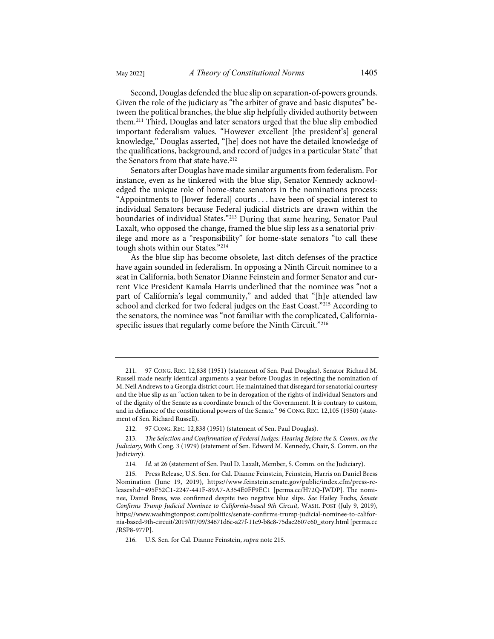Second, Douglas defended the blue slip on separation-of-powers grounds. Given the role of the judiciary as "the arbiter of grave and basic disputes" between the political branches, the blue slip helpfully divided authority between them.[211](#page-44-1) Third, Douglas and later senators urged that the blue slip embodied important federalism values. "However excellent [the president's] general knowledge," Douglas asserted, "[he] does not have the detailed knowledge of the qualifications, background, and record of judges in a particular State" that the Senators from that state have.<sup>[212](#page-44-2)</sup>

Senators after Douglas have made similar arguments from federalism. For instance, even as he tinkered with the blue slip, Senator Kennedy acknowledged the unique role of home-state senators in the nominations process: "Appointments to [lower federal] courts . . . have been of special interest to individual Senators because Federal judicial districts are drawn within the boundaries of individual States."[213](#page-44-3) During that same hearing, Senator Paul Laxalt, who opposed the change, framed the blue slip less as a senatorial privilege and more as a "responsibility" for home-state senators "to call these tough shots within our States."[214](#page-44-4)

<span id="page-44-0"></span>As the blue slip has become obsolete, last-ditch defenses of the practice have again sounded in federalism. In opposing a Ninth Circuit nominee to a seat in California, both Senator Dianne Feinstein and former Senator and current Vice President Kamala Harris underlined that the nominee was "not a part of California's legal community," and added that "[h]e attended law school and clerked for two federal judges on the East Coast."[215](#page-44-5) According to the senators, the nominee was "not familiar with the complicated, Californiaspecific issues that regularly come before the Ninth Circuit."[216](#page-44-6)

<span id="page-44-1"></span><sup>211. 97</sup> CONG. REC. 12,838 (1951) (statement of Sen. Paul Douglas). Senator Richard M. Russell made nearly identical arguments a year before Douglas in rejecting the nomination of M. Neil Andrews to a Georgia district court. He maintained that disregard for senatorial courtesy and the blue slip as an "action taken to be in derogation of the rights of individual Senators and of the dignity of the Senate as a coordinate branch of the Government. It is contrary to custom, and in defiance of the constitutional powers of the Senate." 96 CONG. REC. 12,105 (1950) (statement of Sen. Richard Russell).

<sup>212. 97</sup> CONG. REC. 12,838 (1951) (statement of Sen. Paul Douglas).

<span id="page-44-3"></span><span id="page-44-2"></span><sup>213.</sup> *The Selection and Confirmation of Federal Judges: Hearing Before the S. Comm. on the Judiciary*, 96th Cong. 3 (1979) (statement of Sen. Edward M. Kennedy, Chair, S. Comm. on the Judiciary).

<sup>214.</sup> *Id.* at 26 (statement of Sen. Paul D. Laxalt, Member, S. Comm. on the Judiciary).

<span id="page-44-5"></span><span id="page-44-4"></span><sup>215.</sup> Press Release, U.S. Sen. for Cal. Dianne Feinstein, Feinstein, Harris on Daniel Bress Nomination (June 19, 2019), [https://www.feinstein.senate.gov/public/index.cfm/press-re](https://www.feinstein.senate.gov/public/index.cfm/press-releases?id=495F52C1-2247-441F-89A7-A354E0FF9EC1)[leases?id=495F52C1-2247-441F-89A7-A354E0FF9EC1](https://www.feinstein.senate.gov/public/index.cfm/press-releases?id=495F52C1-2247-441F-89A7-A354E0FF9EC1) [\[perma.cc/H72Q-JWDP\]](https://perma.cc/H72Q-JWDP). The nominee, Daniel Bress, was confirmed despite two negative blue slips. *See* Hailey Fuchs, *Senate Confirms Trump Judicial Nominee to California-based 9th Circuit*, WASH. POST (July 9, 2019), [https://www.washingtonpost.com/politics/senate-confirms-trump-judicial-nominee-to-califor](https://www.washingtonpost.com/politics/senate-confirms-trump-judicial-nominee-to-california-based-9th-circuit/2019/07/09/34671d6c-a27f-11e9-b8c8-75dae2607e60_story.html)[nia-based-9th-circuit/2019/07/09/34671d6c-a27f-11e9-b8c8-75dae2607e60\\_story.html](https://www.washingtonpost.com/politics/senate-confirms-trump-judicial-nominee-to-california-based-9th-circuit/2019/07/09/34671d6c-a27f-11e9-b8c8-75dae2607e60_story.html) [\[perma.cc](https://perma.cc/RSP8-977P) [/RSP8-977P\]](https://perma.cc/RSP8-977P).

<span id="page-44-6"></span><sup>216.</sup> U.S. Sen. for Cal. Dianne Feinstein, *supra* not[e 215.](#page-44-0)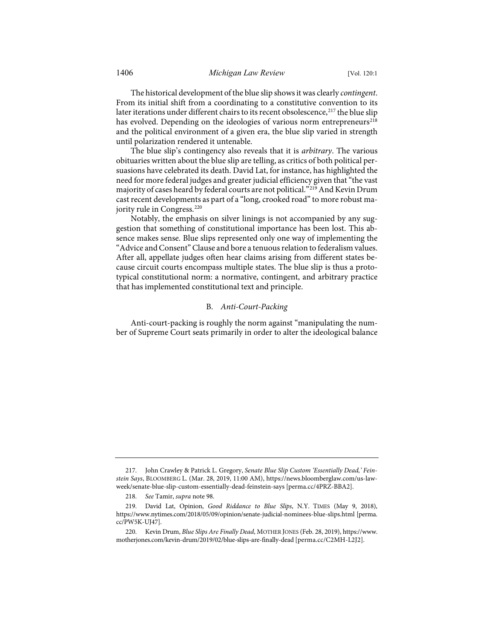The historical development of the blue slip shows it was clearly *contingent*. From its initial shift from a coordinating to a constitutive convention to its later iterations under different chairs to its recent obsolescence,<sup>[217](#page-45-0)</sup> the blue slip has evolved. Depending on the ideologies of various norm entrepreneurs<sup>[218](#page-45-1)</sup> and the political environment of a given era, the blue slip varied in strength until polarization rendered it untenable.

The blue slip's contingency also reveals that it is *arbitrary*. The various obituaries written about the blue slip are telling, as critics of both political persuasions have celebrated its death. David Lat, for instance, has highlighted the need for more federal judges and greater judicial efficiency given that "the vast majority of cases heard by federal courts are not political."<sup>[219](#page-45-2)</sup> And Kevin Drum cast recent developments as part of a "long, crooked road" to more robust ma-jority rule in Congress.<sup>[220](#page-45-3)</sup>

Notably, the emphasis on silver linings is not accompanied by any suggestion that something of constitutional importance has been lost. This absence makes sense. Blue slips represented only one way of implementing the "Advice and Consent" Clause and bore a tenuous relation to federalism values. After all, appellate judges often hear claims arising from different states because circuit courts encompass multiple states. The blue slip is thus a prototypical constitutional norm: a normative, contingent, and arbitrary practice that has implemented constitutional text and principle.

# B. *Anti-Court-Packing*

Anti-court-packing is roughly the norm against "manipulating the number of Supreme Court seats primarily in order to alter the ideological balance

<span id="page-45-0"></span><sup>217.</sup> John Crawley & Patrick L. Gregory, *Senate Blue Slip Custom 'Essentially Dead,' Feinstein Says*, BLOOMBERG L. (Mar. 28, 2019, 11:00 AM), [https://news.bloomberglaw.com/us-law](https://news.bloomberglaw.com/us-law-week/senate-blue-slip-custom-essentially-dead-feinstein-says)[week/senate-blue-slip-custom-essentially-dead-feinstein-says](https://news.bloomberglaw.com/us-law-week/senate-blue-slip-custom-essentially-dead-feinstein-says) [\[perma.cc/4PRZ-BBA2\]](https://perma.cc/4PRZ-BBA2).

<sup>218.</sup> *See* Tamir, *supra* note [98.](#page-20-7) 

<span id="page-45-2"></span><span id="page-45-1"></span><sup>219.</sup> David Lat, Opinion, *Good Riddance to Blue Slips*, N.Y. TIMES (May 9, 2018), <https://www.nytimes.com/2018/05/09/opinion/senate-judicial-nominees-blue-slips.html>[\[perma.](https://perma.cc/PW5K-UJ47) [cc/PW5K-UJ47\]](https://perma.cc/PW5K-UJ47).

<span id="page-45-3"></span><sup>220.</sup> Kevin Drum, *Blue Slips Are Finally Dead*, MOTHER JONES (Feb. 28, 2019)[, https://www.](https://www.motherjones.com/kevin-drum/2019/02/blue-slips-are-finally-dead) [motherjones.com/kevin-drum/2019/02/blue-slips-are-finally-dead](https://www.motherjones.com/kevin-drum/2019/02/blue-slips-are-finally-dead) [\[perma.cc/C2MH-L2J2\]](https://perma.cc/C2MH-L2J2).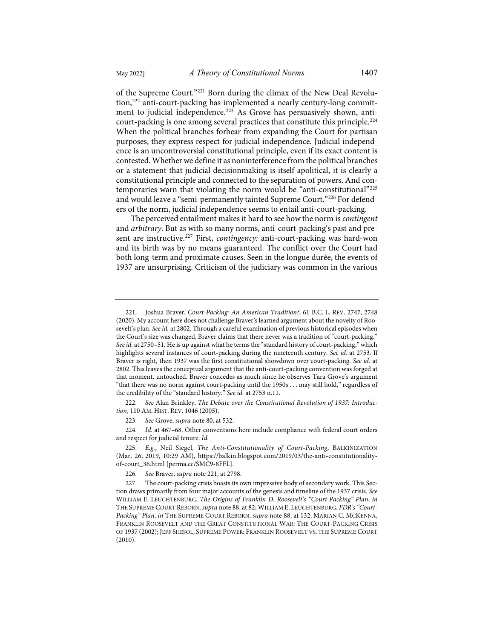<span id="page-46-8"></span><span id="page-46-0"></span>of the Supreme Court."[221](#page-46-1) Born during the climax of the New Deal Revolu-tion,<sup>[222](#page-46-2)</sup> anti-court-packing has implemented a nearly century-long commit-ment to judicial independence.<sup>[223](#page-46-3)</sup> As Grove has persuasively shown, anticourt-packing is one among several practices that constitute this principle.[224](#page-46-4) When the political branches forbear from expanding the Court for partisan purposes, they express respect for judicial independence. Judicial independence is an uncontroversial constitutional principle, even if its exact content is contested. Whether we define it as noninterference from the political branches or a statement that judicial decisionmaking is itself apolitical, it is clearly a

constitutional principle and connected to the separation of powers. And contemporaries warn that violating the norm would be "anti-constitutional"[225](#page-46-5) and would leave a "semi-permanently tainted Supreme Court."[226](#page-46-6) For defenders of the norm, judicial independence seems to entail anti-court-packing.

<span id="page-46-9"></span>The perceived entailment makes it hard to see how the norm is *contingent* and *arbitrary*. But as with so many norms, anti-court-packing's past and pre-sent are instructive.<sup>[227](#page-46-7)</sup> First, *contingency*: anti-court-packing was hard-won and its birth was by no means guaranteed. The conflict over the Court had both long-term and proximate causes. Seen in the longue durée, the events of 1937 are unsurprising. Criticism of the judiciary was common in the various

<span id="page-46-2"></span>222. *See* Alan Brinkley, *The Debate over the Constitutional Revolution of 1937: Introduction*, 110 AM. HIST. REV. 1046 (2005).

223. *See* Grove, *supra* not[e 80,](#page-17-0) at 532.

<span id="page-46-4"></span><span id="page-46-3"></span>224. *Id.* at 467–68. Other conventions here include compliance with federal court orders and respect for judicial tenure. *Id.*

226. *See* Braver, *supra* not[e 221,](#page-46-0) at 2798.

<span id="page-46-1"></span><sup>221.</sup> Joshua Braver, *Court-Packing: An American Tradition?*, 61 B.C. L. REV. 2747, 2748 (2020). My account here does not challenge Braver's learned argument about the novelty of Roosevelt's plan. *See id.* at 2802. Through a careful examination of previous historical episodes when the Court's size was changed, Braver claims that there never was a tradition of "court-packing." *See id.* at 2750–51. He is up against what he terms the "standard history of court-packing," which highlights several instances of court-packing during the nineteenth century. *See id.* at 2753. If Braver is right, then 1937 was the first constitutional showdown over court-packing. *See id.* at 2802. This leaves the conceptual argument that the anti-court-packing convention was forged at that moment, untouched. Braver concedes as much since he observes Tara Grove's argument "that there was no norm against court-packing until the 1950s . . . may still hold," regardless of the credibility of the "standard history." *See id.* at 2753 n.11.

<span id="page-46-5"></span><sup>225.</sup> *E.g.*, Neil Siegel, *The Anti-Constitutionality of Court-Packing*, BALKINIZATION (Mar. 26, 2019, 10:29 AM), [https://balkin.blogspot.com/2019/03/the-anti-constitutionality](https://balkin.blogspot.com/2019/03/the-anti-constitutionality-of-court_36.html)[of-court\\_36.html](https://balkin.blogspot.com/2019/03/the-anti-constitutionality-of-court_36.html) [\[perma.cc/SMC9-8FFL\]](https://perma.cc/SMC9-8FFL).

<span id="page-46-7"></span><span id="page-46-6"></span><sup>227.</sup> The court-packing crisis boasts its own impressive body of secondary work. This Section draws primarily from four major accounts of the genesis and timeline of the 1937 crisis. *See* WILLIAM E. LEUCHTENBURG, *The Origins of Franklin D. Roosevelt's "Court-Packing" Plan*, *in* THE SUPREMECOURT REBORN, *supra* not[e 88,](#page-19-7) at 82; WILLIAM E. LEUCHTENBURG, *FDR's "Court-Packing" Plan*, *in* THE SUPREME COURT REBORN, *supra* not[e 88,](#page-19-7) at 132; MARIAN C. MCKENNA, FRANKLIN ROOSEVELT AND THE GREAT CONSTITUTIONAL WAR: THE COURT-PACKING CRISIS OF 1937 (2002); JEFF SHESOL, SUPREME POWER: FRANKLIN ROOSEVELT VS. THE SUPREME COURT (2010).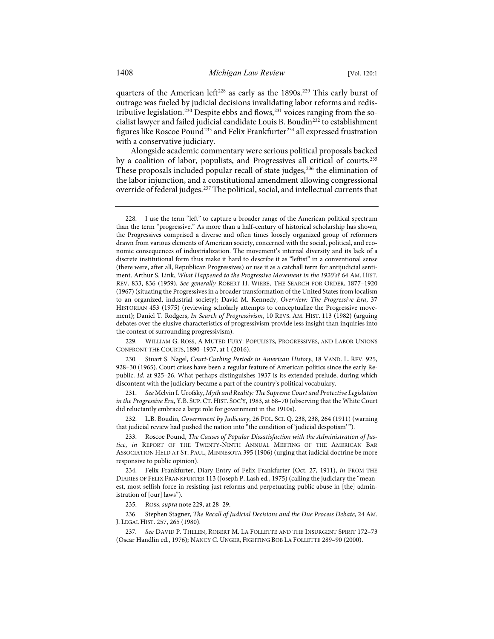<span id="page-47-0"></span>quarters of the American left<sup>[228](#page-47-1)</sup> as early as the 1890s.<sup>[229](#page-47-2)</sup> This early burst of outrage was fueled by judicial decisions invalidating labor reforms and redis-tributive legislation.<sup>[230](#page-47-3)</sup> Despite ebbs and flows,<sup>[231](#page-47-4)</sup> voices ranging from the socialist lawyer and failed judicial candidate Louis B. Boudi[n232](#page-47-5) to establishment figures like Roscoe Pound<sup>[233](#page-47-6)</sup> and Felix Frankfurter<sup>[234](#page-47-7)</sup> all expressed frustration with a conservative judiciary.

Alongside academic commentary were serious political proposals backed by a coalition of labor, populists, and Progressives all critical of courts.[235](#page-47-8) These proposals included popular recall of state judges,<sup>[236](#page-47-9)</sup> the elimination of the labor injunction, and a constitutional amendment allowing congressional override of federal judges.<sup>[237](#page-47-10)</sup> The political, social, and intellectual currents that

<span id="page-47-2"></span>229. WILLIAM G. ROSS, A MUTED FURY: POPULISTS, PROGRESSIVES, AND LABOR UNIONS CONFRONT THE COURTS, 1890–1937, at 1 (2016).

<span id="page-47-3"></span>230. Stuart S. Nagel, *Court-Curbing Periods in American History*, 18 VAND. L. REV. 925, 928–30 (1965). Court crises have been a regular feature of American politics since the early Republic. *Id.* at 925–26. What perhaps distinguishes 1937 is its extended prelude, during which discontent with the judiciary became a part of the country's political vocabulary.

<span id="page-47-4"></span>231. *See* Melvin I. Urofsky, *Myth and Reality: The Supreme Court and Protective Legislation in the Progressive Era*, Y.B. SUP. CT. HIST. SOC'Y, 1983, at 68–70 (observing that the White Court did reluctantly embrace a large role for government in the 1910s).

<span id="page-47-5"></span>232. L.B. Boudin, *Government by Judiciary*, 26 POL. SCI. Q. 238, 238, 264 (1911) (warning that judicial review had pushed the nation into "the condition of 'judicial despotism' ").

<span id="page-47-6"></span>233. Roscoe Pound, *The Causes of Popular Dissatisfaction with the Administration of Justice*, *in* REPORT OF THE TWENTY-NINTH ANNUAL MEETING OF THE AMERICAN BAR ASSOCIATION HELD AT ST. PAUL, MINNESOTA 395 (1906) (urging that judicial doctrine be more responsive to public opinion).

<span id="page-47-7"></span>234. Felix Frankfurter, Diary Entry of Felix Frankfurter (Oct. 27, 1911), *in* FROM THE DIARIES OF FELIX FRANKFURTER 113 (Joseph P. Lash ed., 1975) (calling the judiciary the "meanest, most selfish force in resisting just reforms and perpetuating public abuse in [the] administration of [our] laws").

235. ROSS, *supra* not[e 229,](#page-47-0) at 28–29.

<span id="page-47-10"></span><span id="page-47-9"></span><span id="page-47-8"></span>236. Stephen Stagner, *The Recall of Judicial Decisions and the Due Process Debate*, 24 AM. J. LEGAL HIST. 257, 265 (1980).

237*. See* DAVID P. THELEN, ROBERT M. LA FOLLETTE AND THE INSURGENT SPIRIT 172–73 (Oscar Handlin ed., 1976); NANCY C. UNGER, FIGHTING BOB LA FOLLETTE 289–90 (2000).

<span id="page-47-1"></span><sup>228.</sup> I use the term "left" to capture a broader range of the American political spectrum than the term "progressive." As more than a half-century of historical scholarship has shown, the Progressives comprised a diverse and often times loosely organized group of reformers drawn from various elements of American society, concerned with the social, political, and economic consequences of industrialization. The movement's internal diversity and its lack of a discrete institutional form thus make it hard to describe it as "leftist" in a conventional sense (there were, after all, Republican Progressives) or use it as a catchall term for antijudicial sentiment. Arthur S. Link, *What Happened to the Progressive Movement in the 1920's?* 64 AM. HIST. REV. 833, 836 (1959). *See generally* ROBERT H. WIEBE, THE SEARCH FOR ORDER, 1877–1920 (1967) (situating the Progressives in a broader transformation of the United States from localism to an organized, industrial society); David M. Kennedy, *Overview: The Progressive Era*, 37 HISTORIAN 453 (1975) (reviewing scholarly attempts to conceptualize the Progressive movement); Daniel T. Rodgers, *In Search of Progressivism*, 10 REVS. AM. HIST. 113 (1982) (arguing debates over the elusive characteristics of progressivism provide less insight than inquiries into the context of surrounding progressivism).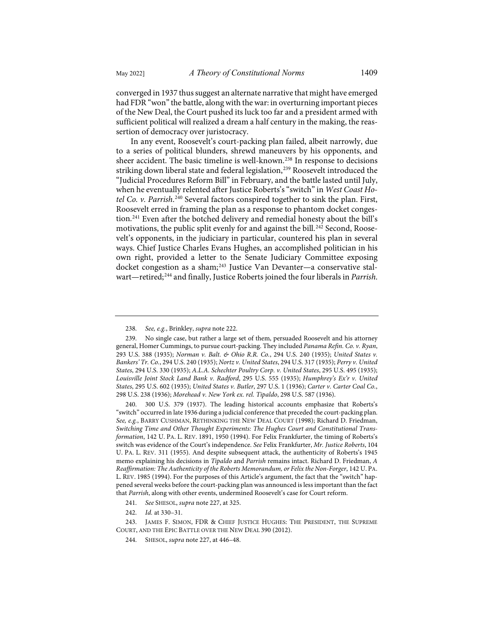converged in 1937 thus suggest an alternate narrative that might have emerged had FDR "won" the battle, along with the war: in overturning important pieces of the New Deal, the Court pushed its luck too far and a president armed with sufficient political will realized a dream a half century in the making, the reassertion of democracy over juristocracy.

In any event, Roosevelt's court-packing plan failed, albeit narrowly, due to a series of political blunders, shrewd maneuvers by his opponents, and sheer accident. The basic timeline is well-known.[238](#page-48-0) In response to decisions striking down liberal state and federal legislation,<sup>[239](#page-48-1)</sup> Roosevelt introduced the "Judicial Procedures Reform Bill" in February, and the battle lasted until July, when he eventually relented after Justice Roberts's "switch" in *West Coast Ho-*tel Co. v. Parrish.<sup>[240](#page-48-2)</sup> Several factors conspired together to sink the plan. First, Roosevelt erred in framing the plan as a response to phantom docket congestion.[241](#page-48-3) Even after the botched delivery and remedial honesty about the bill's motivations, the public split evenly for and against the bill.<sup>[242](#page-48-4)</sup> Second, Roosevelt's opponents, in the judiciary in particular, countered his plan in several ways. Chief Justice Charles Evans Hughes, an accomplished politician in his own right, provided a letter to the Senate Judiciary Committee exposing docket congestion as a sham;<sup>[243](#page-48-5)</sup> Justice Van Devanter—a conservative stalwart—retired;[244](#page-48-6) and finally, Justice Roberts joined the four liberals in *Parrish*.

<sup>238.</sup> *See, e.g.*, Brinkley, *supra* not[e 222.](#page-46-8) 

<span id="page-48-1"></span><span id="page-48-0"></span><sup>239.</sup> No single case, but rather a large set of them, persuaded Roosevelt and his attorney general, Homer Cummings, to pursue court-packing. They included *Panama Refin. Co. v. Ryan*, 293 U.S. 388 (1935); *Norman v. Balt. & Ohio R.R. Co.*, 294 U.S. 240 (1935); *United States v. Bankers' Tr. Co.*, 294 U.S. 240 (1935); *Nortz v. United States*, 294 U.S. 317 (1935); *Perry v. United States*, 294 U.S. 330 (1935); *A.L.A. Schechter Poultry Corp. v. United States*, 295 U.S. 495 (1935); *Louisville Joint Stock Land Bank v. Radford*, 295 U.S. 555 (1935); *Humphrey's Ex'r v. United States*, 295 U.S. 602 (1935); *United States v. Butler*, 297 U.S. 1 (1936); *Carter v. Carter Coal Co.*, 298 U.S. 238 (1936); *Morehead v. New York ex. rel. Tipaldo*, 298 U.S. 587 (1936).

<span id="page-48-2"></span><sup>240. 300</sup> U.S. 379 (1937). The leading historical accounts emphasize that Roberts's "switch" occurred in late 1936 during a judicial conference that preceded the court-packing plan. *See, e.g.*, BARRY CUSHMAN, RETHINKING THE NEW DEAL COURT (1998); Richard D. Friedman, *Switching Time and Other Thought Experiments: The Hughes Court and Constitutional Transformation*, 142 U. PA. L. REV. 1891, 1950 (1994). For Felix Frankfurter, the timing of Roberts's switch was evidence of the Court's independence. *See* Felix Frankfurter, *Mr. Justice Roberts*, 104 U. PA. L. REV. 311 (1955). And despite subsequent attack, the authenticity of Roberts's 1945 memo explaining his decisions in *Tipaldo* and *Parrish* remains intact. Richard D. Friedman, *A Reaffirmation: The Authenticity of the Roberts Memorandum, or Felix the Non-Forger*, 142 U. PA. L. REV. 1985 (1994). For the purposes of this Article's argument, the fact that the "switch" happened several weeks before the court-packing plan was announced is less important than the fact that *Parrish*, along with other events, undermined Roosevelt's case for Court reform.

<sup>241.</sup> *See* SHESOL, *supra* not[e 227,](#page-46-9) at 325.

<sup>242.</sup> *Id.* at 330–31.

<span id="page-48-6"></span><span id="page-48-5"></span><span id="page-48-4"></span><span id="page-48-3"></span><sup>243.</sup> JAMES F. SIMON, FDR & CHIEF JUSTICE HUGHES: THE PRESIDENT, THE SUPREME COURT, AND THE EPIC BATTLE OVER THE NEW DEAL 390 (2012).

<sup>244.</sup> SHESOL, *supra* not[e 227,](#page-46-9) at 446–48.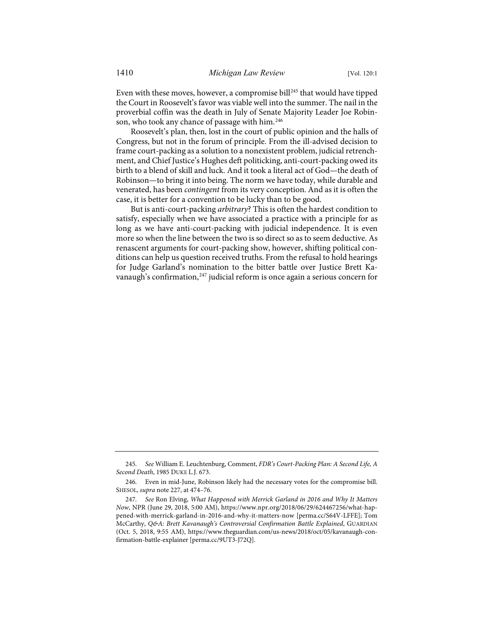Even with these moves, however, a compromise bill<sup>[245](#page-49-0)</sup> that would have tipped the Court in Roosevelt's favor was viable well into the summer. The nail in the proverbial coffin was the death in July of Senate Majority Leader Joe Robin-son, who took any chance of passage with him.<sup>[246](#page-49-1)</sup>

Roosevelt's plan, then, lost in the court of public opinion and the halls of Congress, but not in the forum of principle. From the ill-advised decision to frame court-packing as a solution to a nonexistent problem, judicial retrenchment, and Chief Justice's Hughes deft politicking, anti-court-packing owed its birth to a blend of skill and luck. And it took a literal act of God—the death of Robinson—to bring it into being. The norm we have today, while durable and venerated, has been *contingent* from its very conception. And as it is often the case, it is better for a convention to be lucky than to be good.

But is anti-court-packing *arbitrary*? This is often the hardest condition to satisfy, especially when we have associated a practice with a principle for as long as we have anti-court-packing with judicial independence. It is even more so when the line between the two is so direct so as to seem deductive. As renascent arguments for court-packing show, however, shifting political conditions can help us question received truths. From the refusal to hold hearings for Judge Garland's nomination to the bitter battle over Justice Brett Ka-vanaugh's confirmation,<sup>[247](#page-49-2)</sup> judicial reform is once again a serious concern for

<span id="page-49-0"></span><sup>245.</sup> *See* William E. Leuchtenburg, Comment, *FDR's Court-Packing Plan: A Second Life, A Second Death*, 1985 DUKE L.J. 673.

<span id="page-49-1"></span><sup>246.</sup> Even in mid-June, Robinson likely had the necessary votes for the compromise bill. SHESOL, *supra* not[e 227,](#page-46-9) at 474–76.

<span id="page-49-2"></span><sup>247.</sup> *See* Ron Elving, *What Happened with Merrick Garland in 2016 and Why It Matters Now*, NPR (June 29, 2018, 5:00 AM), [https://www.npr.org/2018/06/29/624467256/what-hap](https://www.npr.org/2018/06/29/624467256/what-happened-with-merrick-garland-in-2016-and-why-it-matters-now)[pened-with-merrick-garland-in-2016-and-why-it-matters-now](https://www.npr.org/2018/06/29/624467256/what-happened-with-merrick-garland-in-2016-and-why-it-matters-now) [\[perma.cc/S64V-LFFE\]](https://perma.cc/S64V-LFFE); Tom McCarthy, *Q&A: Brett Kavanaugh's Controversial Confirmation Battle Explained*, GUARDIAN (Oct. 5, 2018, 9:55 AM), [https://www.theguardian.com/us-news/2018/oct/05/kavanaugh-con](https://www.theguardian.com/us-news/2018/oct/05/kavanaugh-confirmation-battle-explainer)[firmation-battle-explainer](https://www.theguardian.com/us-news/2018/oct/05/kavanaugh-confirmation-battle-explainer) [\[perma.cc/9UT3-J72Q\]](https://perma.cc/9UT3-J72Q).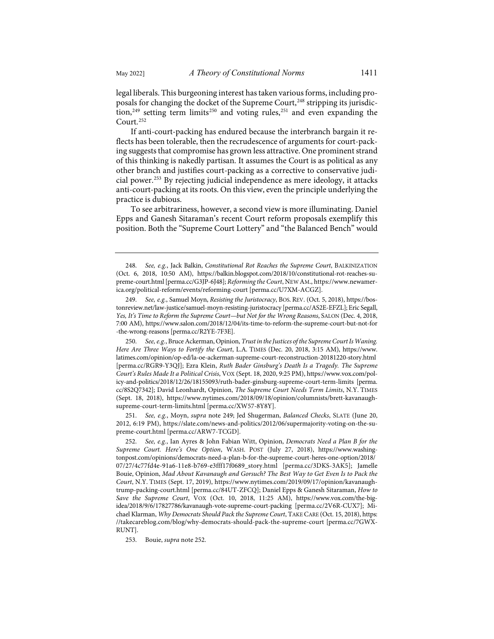<span id="page-50-0"></span>legal liberals. This burgeoning interest has taken various forms, including pro-posals for changing the docket of the Supreme Court,<sup>[248](#page-50-2)</sup> stripping its jurisdic-tion,<sup>[249](#page-50-3)</sup> setting term limits<sup>[250](#page-50-4)</sup> and voting rules,<sup>[251](#page-50-5)</sup> and even expanding the Court.[252](#page-50-6)

<span id="page-50-1"></span>If anti-court-packing has endured because the interbranch bargain it reflects has been tolerable, then the recrudescence of arguments for court-packing suggests that compromise has grown less attractive. One prominent strand of this thinking is nakedly partisan. It assumes the Court is as political as any other branch and justifies court-packing as a corrective to conservative judicial power.[253](#page-50-7) By rejecting judicial independence as mere ideology, it attacks anti-court-packing at its roots. On this view, even the principle underlying the practice is dubious.

To see arbitrariness, however, a second view is more illuminating. Daniel Epps and Ganesh Sitaraman's recent Court reform proposals exemplify this position. Both the "Supreme Court Lottery" and "the Balanced Bench" would

<span id="page-50-4"></span>250. *See, e.g.*, Bruce Ackerman, Opinion, *Trust in the Justices of the Supreme Court Is Waning. Here Are Three Ways to Fortify the Court*, L.A. TIMES (Dec. 20, 2018, 3:15 AM), [https://www.](https://www.latimes.com/opinion/op-ed/la-oe-ackerman-supreme-court-reconstruction-20181220-story.html) [latimes.com/opinion/op-ed/la-oe-ackerman-supreme-court-reconstruction-20181220-story.html](https://www.latimes.com/opinion/op-ed/la-oe-ackerman-supreme-court-reconstruction-20181220-story.html) [\[perma.cc/RGR9-Y3QJ\]](https://perma.cc/RGR9-Y3QJ); Ezra Klein, *Ruth Bader Ginsburg's Death Is a Tragedy. The Supreme Court's Rules Made It a Political Crisis*, VOX (Sept. 18, 2020, 9:25 PM)[, https://www.vox.com/pol](https://www.vox.com/policy-and-politics/2018/12/26/18155093/ruth-bader-ginsburg-supreme-court-term-limits)[icy-and-politics/2018/12/26/18155093/ruth-bader-ginsburg-supreme-court-term-limits](https://www.vox.com/policy-and-politics/2018/12/26/18155093/ruth-bader-ginsburg-supreme-court-term-limits) [\[perma.](https://perma.cc/8S2Q7342) [cc/8S2Q7342\]](https://perma.cc/8S2Q7342); David Leonhardt, Opinion, *The Supreme Court Needs Term Limits*, N.Y. TIMES (Sept. 18, 2018), [https://www.nytimes.com/2018/09/18/opinion/columnists/brett-kavanaugh](https://www.nytimes.com/2018/09/18/opinion/columnists/brett-kavanaugh-supreme-court-term-limits.html)[supreme-court-term-limits.html](https://www.nytimes.com/2018/09/18/opinion/columnists/brett-kavanaugh-supreme-court-term-limits.html) [\[perma.cc/XW57-8Y8Y\]](https://perma.cc/XW57-8Y8Y).

<span id="page-50-5"></span>251. *See, e.g.*, Moyn, *supra* note [249;](#page-50-0) Jed Shugerman, *Balanced Checks*, SLATE (June 20, 2012, 6:19 PM), [https://slate.com/news-and-politics/2012/06/supermajority-voting-on-the-su](https://slate.com/news-and-politics/2012/06/supermajority-voting-on-the-supreme-court.html)[preme-court.html](https://slate.com/news-and-politics/2012/06/supermajority-voting-on-the-supreme-court.html) [\[perma.cc/ARW7-TCGD\]](https://perma.cc/ARW7-TCGD).

<span id="page-50-2"></span><sup>248.</sup> *See, e.g.*, Jack Balkin, *Constitutional Rot Reaches the Supreme Court*, BALKINIZATION (Oct. 6, 2018, 10:50 AM), [https://balkin.blogspot.com/2018/10/constitutional-rot-reaches-su](https://balkin.blogspot.com/2018/10/constitutional-rot-reaches-supreme-court.html)[preme-court.html](https://balkin.blogspot.com/2018/10/constitutional-rot-reaches-supreme-court.html) [\[perma.cc/G3JP-6J48\]](https://perma.cc/G3JP-6J48); *Reforming the Court*, NEW AM.[, https://www.newamer](https://www.newamerica.org/political-reform/events/reforming-court)[ica.org/political-reform/events/reforming-court](https://www.newamerica.org/political-reform/events/reforming-court) [\[perma.cc/U7XM-ACGZ\]](https://perma.cc/U7XM-ACGZ).

<span id="page-50-3"></span><sup>249.</sup> *See, e.g.*, Samuel Moyn, *Resisting the Juristocracy*, BOS. REV. (Oct. 5, 2018)[, https://bos](https://bostonreview.net/law-justice/samuel-moyn-resisting-juristocracy)[tonreview.net/law-justice/samuel-moyn-resisting-juristocracy](https://bostonreview.net/law-justice/samuel-moyn-resisting-juristocracy) [\[perma.cc/AS2E-EFZL\]](https://perma.cc/AS2E-EFZL); Eric Segall, *Yes, It's Time to Reform the Supreme Court—but Not for the Wrong Reasons*, SALON (Dec. 4, 2018, 7:00 AM)[, https://www.salon.com/2018/12/04/its-time-to-reform-the-supreme-court-but-not-for](https://www.salon.com/2018/12/04/its-time-to-reform-the-supreme-court-but-not-for-the-wrong-reasons) [-the-wrong-reasons](https://www.salon.com/2018/12/04/its-time-to-reform-the-supreme-court-but-not-for-the-wrong-reasons) [\[perma.cc/R2YE-7F3E\]](https://perma.cc/R2YE-7F3E).

<span id="page-50-6"></span><sup>252.</sup> *See, e.g.*, Ian Ayres & John Fabian Witt, Opinion, *Democrats Need a Plan B for the Supreme Court. Here's One Option*, WASH. POST (July 27, 2018), [https://www.washing](https://www.washingtonpost.com/opinions/democrats-need-a-plan-b-for-the-supreme-court-heres-one-option/2018/07/27/4c77fd4e-91a6-11e8-b769-e3fff17f0689_story.html)[tonpost.com/opinions/democrats-need-a-plan-b-for-the-supreme-court-heres-one-option/2018/](https://www.washingtonpost.com/opinions/democrats-need-a-plan-b-for-the-supreme-court-heres-one-option/2018/07/27/4c77fd4e-91a6-11e8-b769-e3fff17f0689_story.html) [07/27/4c77fd4e-91a6-11e8-b769-e3fff17f0689\\_story.html](https://www.washingtonpost.com/opinions/democrats-need-a-plan-b-for-the-supreme-court-heres-one-option/2018/07/27/4c77fd4e-91a6-11e8-b769-e3fff17f0689_story.html) [\[perma.cc/3DKS-3AK5\]](https://perma.cc/3DKS-3AK5); Jamelle Bouie, Opinion, *Mad About Kavanaugh and Gorsuch? The Best Way to Get Even Is to Pack the Court*, N.Y. TIMES (Sept. 17, 2019), [https://www.nytimes.com/2019/09/17/opinion/kavanaugh](https://www.nytimes.com/2019/09/17/opinion/kavanaugh-trump-packing-court.html)[trump-packing-court.html](https://www.nytimes.com/2019/09/17/opinion/kavanaugh-trump-packing-court.html) [\[perma.cc/84UT-ZFCQ\]](https://perma.cc/84UT-ZFCQ); Daniel Epps & Ganesh Sitaraman, *How to Save the Supreme Court*, VOX (Oct. 10, 2018, 11:25 AM), [https://www.vox.com/the-big](https://www.vox.com/the-big-idea/2018/9/6/17827786/kavanaugh-vote-supreme-court-packing)[idea/2018/9/6/17827786/kavanaugh-vote-supreme-court-packing](https://www.vox.com/the-big-idea/2018/9/6/17827786/kavanaugh-vote-supreme-court-packing) [\[perma.cc/2V6R-CUX7\]](https://perma.cc/2V6R-CUX7); Michael Klarman, *Why Democrats Should Pack the Supreme Court*, TAKE CARE (Oct. 15, 2018)[, https:](https://takecareblog.com/blog/why-democrats-should-pack-the-supreme-court) [//takecareblog.com/blog/why-democrats-should-pack-the-supreme-court](https://takecareblog.com/blog/why-democrats-should-pack-the-supreme-court) [\[perma.cc/7GWX-](https://perma.cc/7GWX-RUNT)[RUNT\]](https://perma.cc/7GWX-RUNT).

<span id="page-50-7"></span><sup>253.</sup> Bouie, *supra* not[e 252.](#page-50-1)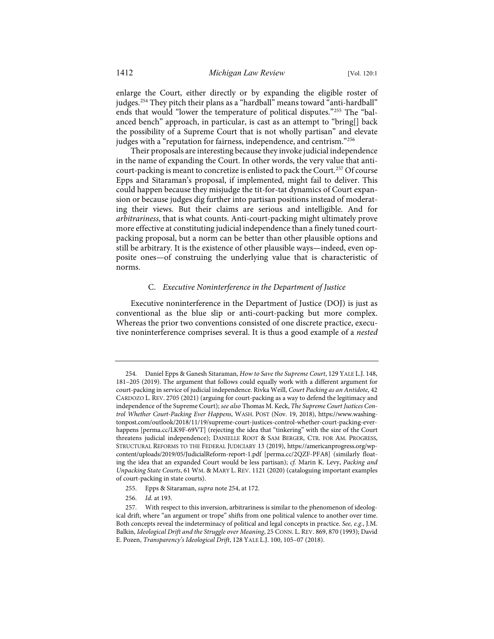<span id="page-51-0"></span>enlarge the Court, either directly or by expanding the eligible roster of judges.<sup>[254](#page-51-1)</sup> They pitch their plans as a "hardball" means toward "anti-hardball" ends that would "lower the temperature of political disputes."[255](#page-51-2) The "balanced bench" approach, in particular, is cast as an attempt to "bring[] back the possibility of a Supreme Court that is not wholly partisan" and elevate judges with a "reputation for fairness, independence, and centrism."<sup>[256](#page-51-3)</sup>

Their proposals are interesting because they invoke judicial independence in the name of expanding the Court. In other words, the very value that anticourt-packing is meant to concretize is enlisted to pack the Court.[257](#page-51-4) Of course Epps and Sitaraman's proposal, if implemented, might fail to deliver. This could happen because they misjudge the tit-for-tat dynamics of Court expansion or because judges dig further into partisan positions instead of moderating their views. But their claims are serious and intelligible. And for *arbitrariness*, that is what counts. Anti-court-packing might ultimately prove more effective at constituting judicial independence than a finely tuned courtpacking proposal, but a norm can be better than other plausible options and still be arbitrary. It is the existence of other plausible ways—indeed, even opposite ones—of construing the underlying value that is characteristic of norms.

#### C. *Executive Noninterference in the Department of Justice*

Executive noninterference in the Department of Justice (DOJ) is just as conventional as the blue slip or anti-court-packing but more complex. Whereas the prior two conventions consisted of one discrete practice, executive noninterference comprises several. It is thus a good example of a *nested*

- 255. Epps & Sitaraman, *supra* not[e 254,](#page-51-0) at 172.
- 256. *Id.* at 193.

<span id="page-51-1"></span><sup>254.</sup> Daniel Epps & Ganesh Sitaraman, *How to Save the Supreme Court*, 129 YALE L.J. 148, 181–205 (2019). The argument that follows could equally work with a different argument for court-packing in service of judicial independence. Rivka Weill, *Court Packing as an Antidote*, 42 CARDOZO L. REV. 2705 (2021) (arguing for court-packing as a way to defend the legitimacy and independence of the Supreme Court); *see also* Thomas M. Keck, *The Supreme Court Justices Control Whether Court-Packing Ever Happens*, WASH. POST (Nov. 19, 2018), [https://www.washing](https://www.washingtonpost.com/outlook/2018/11/19/supreme-court-justices-control-whether-court-packing-ever-happens)[tonpost.com/outlook/2018/11/19/supreme-court-justices-control-whether-court-packing-ever](https://www.washingtonpost.com/outlook/2018/11/19/supreme-court-justices-control-whether-court-packing-ever-happens)[happens](https://www.washingtonpost.com/outlook/2018/11/19/supreme-court-justices-control-whether-court-packing-ever-happens) [\[perma.cc/LK9F-69VT\]](https://perma.cc/LK9F-69VT) (rejecting the idea that "tinkering" with the size of the Court threatens judicial independence); DANIELLE ROOT & SAM BERGER, CTR. FOR AM. PROGRESS, STRUCTURAL REFORMS TO THE FEDERAL JUDICIARY 13 (2019), [https://americanprogress.org/wp](https://americanprogress.org/wp-content/uploads/2019/05/JudicialReform-report-1.pdf)[content/uploads/2019/05/JudicialReform-report-1.pdf](https://americanprogress.org/wp-content/uploads/2019/05/JudicialReform-report-1.pdf) [\[perma.cc/2QZF-PFA8\]](https://perma.cc/2QZF-PFA8) (similarly floating the idea that an expanded Court would be less partisan); *cf.* Marin K. Levy, *Packing and Unpacking State Courts*, 61 WM. & MARY L. REV. 1121 (2020) (cataloguing important examples of court-packing in state courts).

<span id="page-51-4"></span><span id="page-51-3"></span><span id="page-51-2"></span><sup>257.</sup> With respect to this inversion, arbitrariness is similar to the phenomenon of ideological drift, where "an argument or trope" shifts from one political valence to another over time. Both concepts reveal the indeterminacy of political and legal concepts in practice. *See, e.g.*, J.M. Balkin, *Ideological Drift and the Struggle over Meaning*, 25 CONN. L. REV. 869, 870 (1993); David E. Pozen, *Transparency's Ideological Drift*, 128 YALE L.J. 100, 105–07 (2018).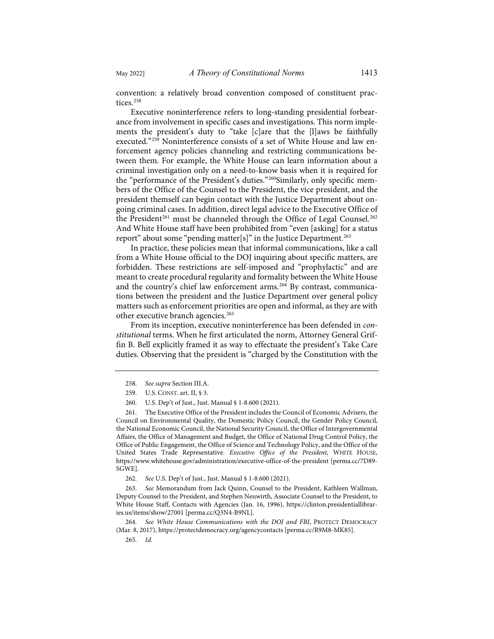<span id="page-52-8"></span>

convention: a relatively broad convention composed of constituent prac-tices.<sup>[258](#page-52-0)</sup>

Executive noninterference refers to long-standing presidential forbearance from involvement in specific cases and investigations. This norm implements the president's duty to "take [c]are that the [l]aws be faithfully executed."[259](#page-52-1) Noninterference consists of a set of White House and law enforcement agency policies channeling and restricting communications between them. For example, the White House can learn information about a criminal investigation only on a need-to-know basis when it is required for the "performance of the President's duties."[260](#page-52-2)Similarly, only specific members of the Office of the Counsel to the President, the vice president, and the president themself can begin contact with the Justice Department about ongoing criminal cases. In addition, direct legal advice to the Executive Office of the President<sup>[261](#page-52-3)</sup> must be channeled through the Office of Legal Counsel.<sup>[262](#page-52-4)</sup> And White House staff have been prohibited from "even [asking] for a status report" about some "pending matter[s]" in the Justice Department.<sup>[263](#page-52-5)</sup>

In practice, these policies mean that informal communications, like a call from a White House official to the DOJ inquiring about specific matters, are forbidden. These restrictions are self-imposed and "prophylactic" and are meant to create procedural regularity and formality between the White House and the country's chief law enforcement arms.[264](#page-52-6) By contrast, communications between the president and the Justice Department over general policy matters such as enforcement priorities are open and informal, as they are with other executive branch agencies.<sup>[265](#page-52-7)</sup>

From its inception, executive noninterference has been defended in *constitutional* terms. When he first articulated the norm, Attorney General Griffin B. Bell explicitly framed it as way to effectuate the president's Take Care duties. Observing that the president is "charged by the Constitution with the

<span id="page-52-3"></span><span id="page-52-2"></span><span id="page-52-1"></span><span id="page-52-0"></span>261. The Executive Office of the President includes the Council of Economic Advisers, the Council on Environmental Quality, the Domestic Policy Council, the Gender Policy Council, the National Economic Council, the National Security Council, the Office of Intergovernmental Affairs, the Office of Management and Budget, the Office of National Drug Control Policy, the Office of Public Engagement, the Office of Science and Technology Policy, and the Office of the United States Trade Representative. *Executive Office of the President*, WHITE HOUSE, <https://www.whitehouse.gov/administration/executive-office-of-the-president>[\[perma.cc/7D89-](https://perma.cc/7D89-SGWE) [SGWE\]](https://perma.cc/7D89-SGWE).

262. *See* U.S. Dep't of Just., Just. Manual § 1-8.600 (2021).

<span id="page-52-5"></span><span id="page-52-4"></span>263. *See* Memorandum from Jack Quinn, Counsel to the President, Kathleen Wallman, Deputy Counsel to the President, and Stephen Neuwirth, Associate Counsel to the President, to White House Staff, Contacts with Agencies (Jan. 16, 1996), [https://clinton.presidentiallibrar](https://clinton.presidentiallibraries.us/items/show/27001)[ies.us/items/show/27001](https://clinton.presidentiallibraries.us/items/show/27001) [\[perma.cc/Q3N4-B9NL\]](https://perma.cc/Q3N4-B9NL).

<span id="page-52-7"></span><span id="page-52-6"></span>264. *See White House Communications with the DOJ and FBI*, PROTECT DEMOCRACY (Mar. 8, 2017)[, https://protectdemocracy.org/agencycontacts](https://protectdemocracy.org/agencycontacts) [\[perma.cc/R9M8-MK85\]](https://perma.cc/R9M8-MK85).

265. *Id.*

<sup>258.</sup> *See supra* Section III.A.

<sup>259.</sup> U.S. CONST. art. II, § 3.

<sup>260.</sup> U.S. Dep't of Just., Just. Manual § 1-8.600 (2021).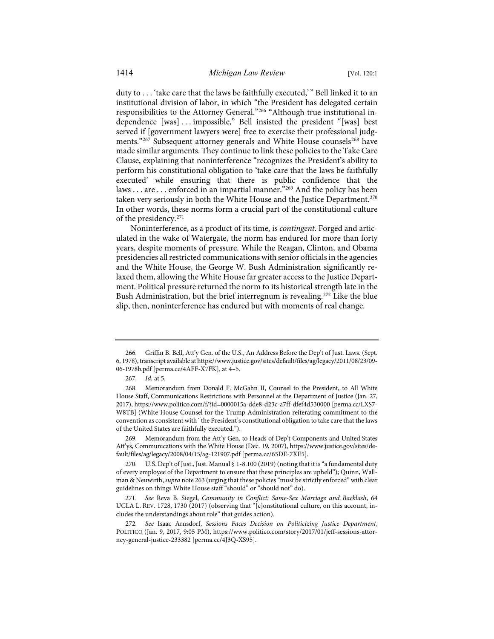duty to ... 'take care that the laws be faithfully executed,'" Bell linked it to an institutional division of labor, in which "the President has delegated certain responsibilities to the Attorney General."[266](#page-53-0) "Although true institutional independence [was] . . . impossible," Bell insisted the president "[was] best served if [government lawyers were] free to exercise their professional judg-ments."<sup>[267](#page-53-1)</sup> Subsequent attorney generals and White House counsels<sup>[268](#page-53-2)</sup> have made similar arguments. They continue to link these policies to the Take Care Clause, explaining that noninterference "recognizes the President's ability to perform his constitutional obligation to 'take care that the laws be faithfully executed' while ensuring that there is public confidence that the laws . . . are . . . enforced in an impartial manner."<sup>[269](#page-53-3)</sup> And the policy has been taken very seriously in both the White House and the Justice Department.<sup>[270](#page-53-4)</sup> In other words, these norms form a crucial part of the constitutional culture of the presidency.[271](#page-53-5)

Noninterference, as a product of its time, is *contingent*. Forged and articulated in the wake of Watergate, the norm has endured for more than forty years, despite moments of pressure. While the Reagan, Clinton, and Obama presidencies all restricted communications with senior officials in the agencies and the White House, the George W. Bush Administration significantly relaxed them, allowing the White House far greater access to the Justice Department. Political pressure returned the norm to its historical strength late in the Bush Administration, but the brief interregnum is revealing.<sup>[272](#page-53-6)</sup> Like the blue slip, then, noninterference has endured but with moments of real change.

<span id="page-53-3"></span>269. Memorandum from the Att'y Gen. to Heads of Dep't Components and United States Att'ys, Communications with the White House (Dec. 19, 2007)[, https://www.justice.gov/sites/de](https://www.justice.gov/sites/default/files/ag/legacy/2008/04/15/ag-121907.pdf)[fault/files/ag/legacy/2008/04/15/ag-121907.pdf](https://www.justice.gov/sites/default/files/ag/legacy/2008/04/15/ag-121907.pdf) [\[perma.cc/65DE-7XE5\]](https://perma.cc/65DE-7XE5).

<span id="page-53-0"></span><sup>266.</sup> Griffin B. Bell, Att'y Gen. of the U.S., An Address Before the Dep't of Just. Laws. (Sept. 6, 1978), transcript available a[t https://www.justice.gov/sites/default/files/ag/legacy/2011/08/23/09-](https://www.justice.gov/sites/default/files/ag/legacy/2011/08/23/09-06-1978b.pdf) [06-1978b.pdf \[](https://www.justice.gov/sites/default/files/ag/legacy/2011/08/23/09-06-1978b.pdf)perma.cc/4AFF-X7FK], at 4–5.

<sup>267.</sup> *Id.* at 5.

<span id="page-53-2"></span><span id="page-53-1"></span><sup>268.</sup> Memorandum from Donald F. McGahn II, Counsel to the President, to All White House Staff, Communications Restrictions with Personnel at the Department of Justice (Jan. 27, 2017),<https://www.politico.com/f/?id=0000015a-dde8-d23c-a7ff-dfef4d530000>[\[perma.cc/LXS7-](https://perma.cc/LXS7-W8TB) [W8TB\]](https://perma.cc/LXS7-W8TB) (White House Counsel for the Trump Administration reiterating commitment to the convention as consistent with "the President's constitutional obligation to take care that the laws of the United States are faithfully executed.").

<span id="page-53-4"></span><sup>270.</sup> U.S. Dep't of Just., Just. Manual § 1-8.100 (2019) (noting that it is "a fundamental duty of every employee of the Department to ensure that these principles are upheld"); Quinn, Wallman & Neuwirth, *supra* not[e 263](#page-52-8) (urging that these policies "must be strictly enforced" with clear guidelines on things White House staff "should" or "should not" do).

<span id="page-53-5"></span><sup>271.</sup> *See* Reva B. Siegel, *Community in Conflict: Same-Sex Marriage and Backlash*, 64 UCLA L. REV. 1728, 1730 (2017) (observing that "[c]onstitutional culture, on this account, includes the understandings about role" that guides action).

<span id="page-53-6"></span><sup>272.</sup> *See* Isaac Arnsdorf, *Sessions Faces Decision on Politicizing Justice Department*, POLITICO (Jan. 9, 2017, 9:05 PM), [https://www.politico.com/story/2017/01/jeff-sessions-attor](https://www.politico.com/story/2017/01/jeff-sessions-attorney-general-justice-233382)[ney-general-justice-233382](https://www.politico.com/story/2017/01/jeff-sessions-attorney-general-justice-233382) [\[perma.cc/4J3Q-XS95\]](https://perma.cc/4J3Q-XS95).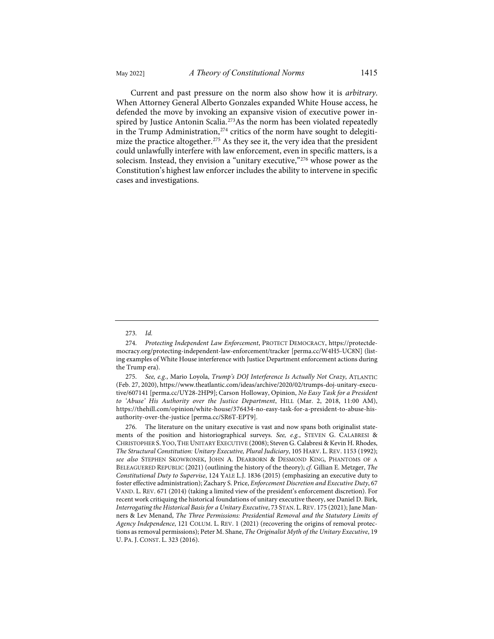Current and past pressure on the norm also show how it is *arbitrary*. When Attorney General Alberto Gonzales expanded White House access, he defended the move by invoking an expansive vision of executive power inspired by Justice Antonin Scalia.<sup>273</sup>As the norm has been violated repeatedly in the Trump Administration, $274$  critics of the norm have sought to delegiti-mize the practice altogether.<sup>[275](#page-54-2)</sup> As they see it, the very idea that the president could unlawfully interfere with law enforcement, even in specific matters, is a solecism. Instead, they envision a "unitary executive,"[276](#page-54-3) whose power as the Constitution's highest law enforcer includes the ability to intervene in specific cases and investigations.

<span id="page-54-2"></span>275. *See, e.g.*, Mario Loyola, *Trump's DOJ Interference Is Actually Not Crazy*, ATLANTIC (Feb. 27, 2020)[, https://www.theatlantic.com/ideas/archive/2020/02/trumps-doj-unitary-execu](https://www.theatlantic.com/ideas/archive/2020/02/trumps-doj-unitary-executive/607141)[tive/607141](https://www.theatlantic.com/ideas/archive/2020/02/trumps-doj-unitary-executive/607141) [\[perma.cc/UY28-2HP9\]](https://perma.cc/UY28-2HP9); Carson Holloway, Opinion, *No Easy Task for a President to 'Abuse' His Authority over the Justice Department*, HILL (Mar. 2, 2018, 11:00 AM), [https://thehill.com/opinion/white-house/376434-no-easy-task-for-a-president-to-abuse-his](https://thehill.com/opinion/white-house/376434-no-easy-task-for-a-president-to-abuse-his-authority-over-the-justice)[authority-over-the-justice](https://thehill.com/opinion/white-house/376434-no-easy-task-for-a-president-to-abuse-his-authority-over-the-justice) [\[perma.cc/SR6T-EPT9\]](https://perma.cc/SR6T-EPT9).

<span id="page-54-3"></span>276. The literature on the unitary executive is vast and now spans both originalist statements of the position and historiographical surveys. *See, e.g.*, STEVEN G. CALABRESI & CHRISTOPHER S.YOO,THE UNITARY EXECUTIVE (2008); Steven G. Calabresi & Kevin H. Rhodes, *The Structural Constitution: Unitary Executive, Plural Judiciary*, 105 HARV. L. REV. 1153 (1992); *see also* STEPHEN SKOWRONEK, JOHN A. DEARBORN & DESMOND KING, PHANTOMS OF A BELEAGUERED REPUBLIC (2021) (outlining the history of the theory); *cf.* Gillian E. Metzger, *The Constitutional Duty to Supervise*, 124 YALE L.J. 1836 (2015) (emphasizing an executive duty to foster effective administration); Zachary S. Price, *Enforcement Discretion and Executive Duty*, 67 VAND. L. REV. 671 (2014) (taking a limited view of the president's enforcement discretion). For recent work critiquing the historical foundations of unitary executive theory, see Daniel D. Birk, *Interrogating the Historical Basis for a Unitary Executive*, 73 STAN. L.REV. 175 (2021); Jane Manners & Lev Menand, *The Three Permissions: Presidential Removal and the Statutory Limits of Agency Independence*, 121 COLUM. L. REV. 1 (2021) (recovering the origins of removal protections as removal permissions); Peter M. Shane, *The Originalist Myth of the Unitary Executive*, 19 U. PA. J. CONST. L. 323 (2016).

<sup>273.</sup> *Id.*

<span id="page-54-1"></span><span id="page-54-0"></span><sup>274.</sup> *Protecting Independent Law Enforcement*, PROTECT DEMOCRACY[, https://protectde](https://protectdemocracy.org/protecting-independent-law-enforcement/tracker)[mocracy.org/protecting-independent-law-enforcement/tracker](https://protectdemocracy.org/protecting-independent-law-enforcement/tracker) [\[perma.cc/W4H5-UC8N\]](https://perma.cc/W4H5-UC8N) (listing examples of White House interference with Justice Department enforcement actions during the Trump era).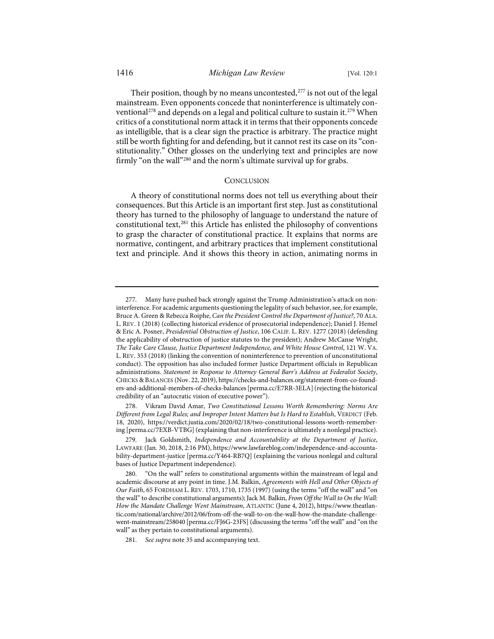Their position, though by no means uncontested,<sup>[277](#page-55-0)</sup> is not out of the legal mainstream. Even opponents concede that noninterference is ultimately con-ventional<sup>[278](#page-55-1)</sup> and depends on a legal and political culture to sustain it.<sup>[279](#page-55-2)</sup> When critics of a constitutional norm attack it in terms that their opponents concede as intelligible, that is a clear sign the practice is arbitrary. The practice might still be worth fighting for and defending, but it cannot rest its case on its "constitutionality." Other glosses on the underlying text and principles are now firmly "on the wall"<sup>280</sup> and the norm's ultimate survival up for grabs.

# **CONCLUSION**

A theory of constitutional norms does not tell us everything about their consequences. But this Article is an important first step. Just as constitutional theory has turned to the philosophy of language to understand the nature of constitutional text,[281](#page-55-4) this Article has enlisted the philosophy of conventions to grasp the character of constitutional practice. It explains that norms are normative, contingent, and arbitrary practices that implement constitutional text and principle. And it shows this theory in action, animating norms in

<span id="page-55-0"></span><sup>277.</sup> Many have pushed back strongly against the Trump Administration's attack on noninterference. For academic arguments questioning the legality of such behavior, see, for example, Bruce A. Green & Rebecca Roiphe, *Can the President Control the Department of Justice?*, 70 ALA. L. REV. 1 (2018) (collecting historical evidence of prosecutorial independence); Daniel J. Hemel & Eric A. Posner, *Presidential Obstruction of Justice*, 106 CALIF. L. REV. 1277 (2018) (defending the applicability of obstruction of justice statutes to the president); Andrew McCanse Wright, *The Take Care Clause, Justice Department Independence, and White House Control*, 121 W. VA. L. REV. 353 (2018) (linking the convention of noninterference to prevention of unconstitutional conduct). The opposition has also included former Justice Department officials in Republican administrations. *Statement in Response to Attorney General Barr's Address at Federalist Society*, CHECKS & BALANCES (Nov. 22, 2019)[, https://checks-and-balances.org/statement-from-co-found](https://checks-and-balances.org/statement-from-co-founders-and-additional-members-of-checks-balances)[ers-and-additional-members-of-checks-balances](https://checks-and-balances.org/statement-from-co-founders-and-additional-members-of-checks-balances) [\[perma.cc/E7RR-3ELA\]](https://perma.cc/E7RR-3ELA) (rejecting the historical credibility of an "autocratic vision of executive power").

<span id="page-55-1"></span><sup>278.</sup> Vikram David Amar, *Two Constitutional Lessons Worth Remembering: Norms Are Different from Legal Rules; and Improper Intent Matters but Is Hard to Establish*, VERDICT (Feb. 18, 2020), [https://verdict.justia.com/2020/02/18/two-constitutional-lessons-worth-remember](https://verdict.justia.com/2020/02/18/two-constitutional-lessons-worth-remembering)[ing](https://verdict.justia.com/2020/02/18/two-constitutional-lessons-worth-remembering) [\[perma.cc/7EXB-VTBG\]](https://perma.cc/7EXB-VTBG) (explaining that non-interference is ultimately a nonlegal practice).

<span id="page-55-2"></span><sup>279.</sup> Jack Goldsmith, *Independence and Accountability at the Department of Justice*, LAWFARE (Jan. 30, 2018, 2:16 PM)[, https://www.lawfareblog.com/independence-and-accounta](https://www.lawfareblog.com/independence-and-accountability-department-justice)[bility-department-justice](https://www.lawfareblog.com/independence-and-accountability-department-justice) [\[perma.cc/Y464-RB7Q\]](https://perma.cc/Y464-RB7Q) (explaining the various nonlegal and cultural bases of Justice Department independence).

<span id="page-55-3"></span><sup>280. &</sup>quot;On the wall" refers to constitutional arguments within the mainstream of legal and academic discourse at any point in time. J.M. Balkin, *Agreements with Hell and Other Objects of Our Faith*, 65 FORDHAM L. REV. 1703, 1710, 1735 (1997) (using the terms "off the wall" and "on the wall" to describe constitutional arguments); Jack M. Balkin, *From Off the Wall to On the Wall: How the Mandate Challenge Went Mainstream*, ATLANTIC (June 4, 2012), [https://www.theatlan](https://www.theatlantic.com/national/archive/2012/06/from-off-the-wall-to-on-the-wall-how-the-mandate-challenge-went-mainstream/258040/)[tic.com/national/archive/2012/06/from-off-the-wall-to-on-the-wall-how-the-mandate-challenge](https://www.theatlantic.com/national/archive/2012/06/from-off-the-wall-to-on-the-wall-how-the-mandate-challenge-went-mainstream/258040/)[went-mainstream/258040](https://www.theatlantic.com/national/archive/2012/06/from-off-the-wall-to-on-the-wall-how-the-mandate-challenge-went-mainstream/258040/) [\[perma.cc/FJ6G-23FS\]](https://perma.cc/FJ6G-23FS) (discussing the terms "off the wall" and "on the wall" as they pertain to constitutional arguments).

<span id="page-55-4"></span><sup>281.</sup> *See supra* not[e 35](#page-9-4) and accompanying text.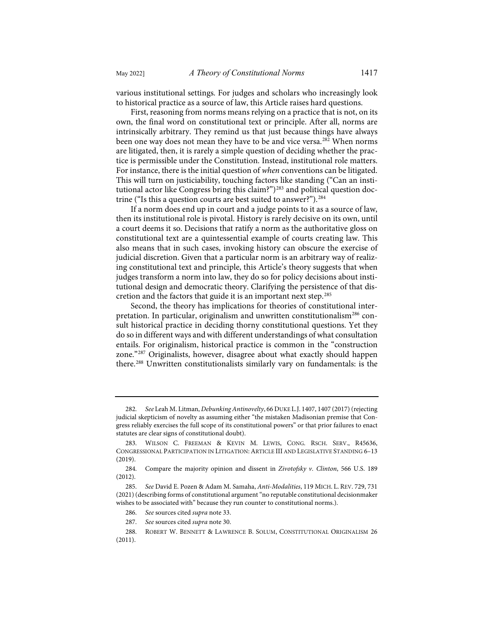various institutional settings. For judges and scholars who increasingly look to historical practice as a source of law, this Article raises hard questions.

First, reasoning from norms means relying on a practice that is not, on its own, the final word on constitutional text or principle. After all, norms are intrinsically arbitrary. They remind us that just because things have always been one way does not mean they have to be and vice versa.<sup>[282](#page-56-0)</sup> When norms are litigated, then, it is rarely a simple question of deciding whether the practice is permissible under the Constitution. Instead, institutional role matters. For instance, there is the initial question of *when* conventions can be litigated. This will turn on justiciability, touching factors like standing ("Can an institutional actor like Congress bring this claim?")<sup>283</sup> and political question doc-trine ("Is this a question courts are best suited to answer?").<sup>[284](#page-56-2)</sup>

If a norm does end up in court and a judge points to it as a source of law, then its institutional role is pivotal. History is rarely decisive on its own, until a court deems it so. Decisions that ratify a norm as the authoritative gloss on constitutional text are a quintessential example of courts creating law. This also means that in such cases, invoking history can obscure the exercise of judicial discretion. Given that a particular norm is an arbitrary way of realizing constitutional text and principle, this Article's theory suggests that when judges transform a norm into law, they do so for policy decisions about institutional design and democratic theory. Clarifying the persistence of that discretion and the factors that guide it is an important next step.[285](#page-56-3)

Second, the theory has implications for theories of constitutional inter-pretation. In particular, originalism and unwritten constitutionalism<sup>[286](#page-56-4)</sup> consult historical practice in deciding thorny constitutional questions. Yet they do so in different ways and with different understandings of what consultation entails. For originalism, historical practice is common in the "construction zone."[287](#page-56-5) Originalists, however, disagree about what exactly should happen there[.288](#page-56-6) Unwritten constitutionalists similarly vary on fundamentals: is the

<span id="page-56-0"></span><sup>282.</sup> *See* Leah M. Litman, *Debunking Antinovelty*, 66 DUKE L.J. 1407, 1407 (2017) (rejecting judicial skepticism of novelty as assuming either "the mistaken Madisonian premise that Congress reliably exercises the full scope of its constitutional powers" or that prior failures to enact statutes are clear signs of constitutional doubt).

<span id="page-56-1"></span><sup>283.</sup> WILSON C. FREEMAN & KEVIN M. LEWIS, CONG. RSCH. SERV., R45636, CONGRESSIONAL PARTICIPATION IN LITIGATION:ARTICLE III AND LEGISLATIVE STANDING 6–13 (2019).

<span id="page-56-2"></span><sup>284.</sup> Compare the majority opinion and dissent in *Zivotofsky v. Clinton*, 566 U.S. 189 (2012).

<span id="page-56-3"></span><sup>285.</sup> *See* David E. Pozen & Adam M. Samaha, *Anti-Modalities*, 119 MICH. L. REV. 729, 731 (2021) (describing forms of constitutional argument "no reputable constitutional decisionmaker wishes to be associated with" because they run counter to constitutional norms.).

<sup>286.</sup> *See* sources cited *supra* not[e 33.](#page-8-8) 

<sup>287.</sup> *See* sources cited *supra* not[e 30.](#page-8-11) 

<span id="page-56-6"></span><span id="page-56-5"></span><span id="page-56-4"></span><sup>288.</sup> ROBERT W. BENNETT & LAWRENCE B. SOLUM, CONSTITUTIONAL ORIGINALISM 26 (2011).